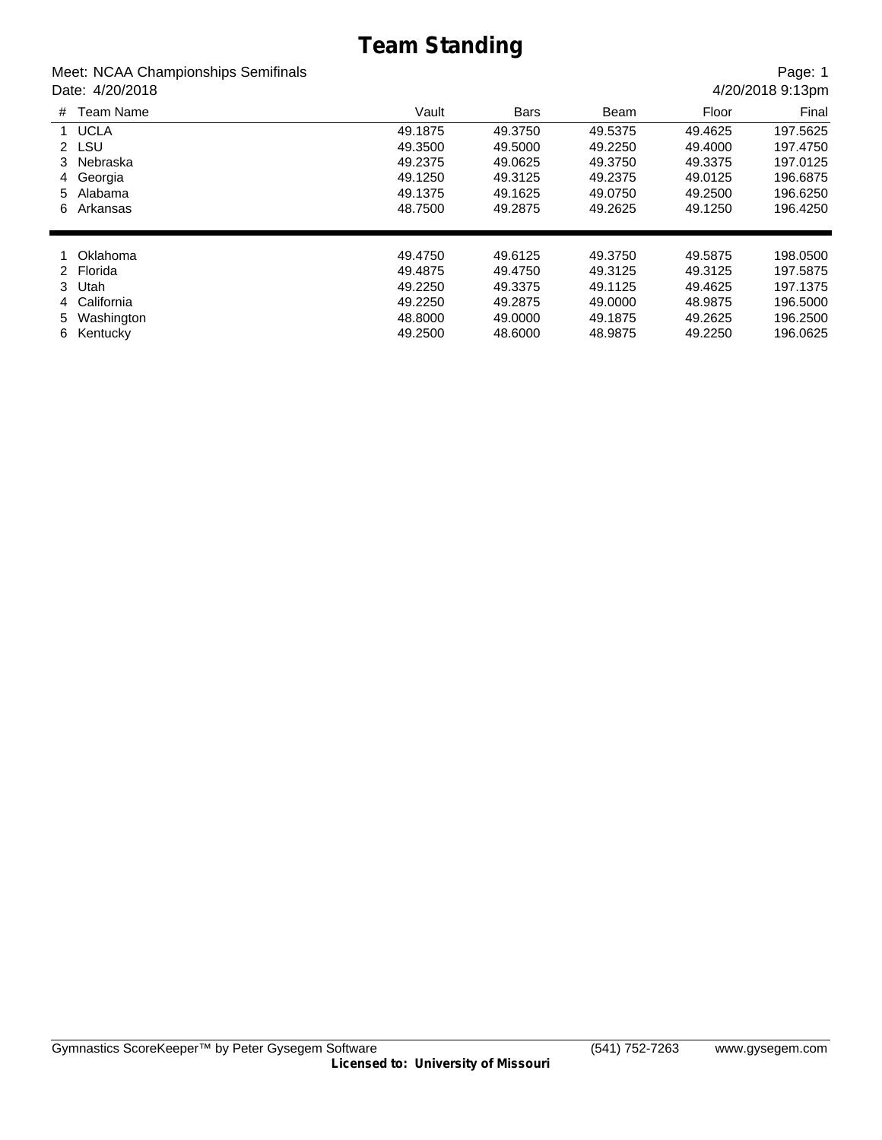#### **Team Standing**

Meet: NCAA Championships Semifinals Date: 4/20/2018

|                  | Page: 1 |  |
|------------------|---------|--|
| 4/20/2018 9:13pm |         |  |
| Floor            | Final   |  |

| # | Team Name  | Vault   | <b>Bars</b> | Beam    | Floor   | Final    |
|---|------------|---------|-------------|---------|---------|----------|
|   | 1 UCLA     | 49.1875 | 49.3750     | 49.5375 | 49.4625 | 197.5625 |
|   | 2 LSU      | 49.3500 | 49.5000     | 49.2250 | 49.4000 | 197.4750 |
| 3 | Nebraska   | 49.2375 | 49.0625     | 49.3750 | 49.3375 | 197.0125 |
| 4 | Georgia    | 49.1250 | 49.3125     | 49.2375 | 49.0125 | 196.6875 |
| 5 | Alabama    | 49.1375 | 49.1625     | 49.0750 | 49.2500 | 196.6250 |
| 6 | Arkansas   | 48.7500 | 49.2875     | 49.2625 | 49.1250 | 196.4250 |
|   |            |         |             |         |         |          |
|   | Oklahoma   | 49.4750 | 49.6125     | 49.3750 | 49.5875 | 198.0500 |
|   | 2 Florida  | 49.4875 | 49.4750     | 49.3125 | 49.3125 | 197.5875 |
| 3 | Utah       | 49.2250 | 49.3375     | 49.1125 | 49.4625 | 197.1375 |
| 4 | California | 49.2250 | 49.2875     | 49.0000 | 48.9875 | 196.5000 |
| 5 | Washington | 48,8000 | 49,0000     | 49.1875 | 49.2625 | 196.2500 |
| 6 | Kentucky   | 49.2500 | 48.6000     | 48.9875 | 49.2250 | 196.0625 |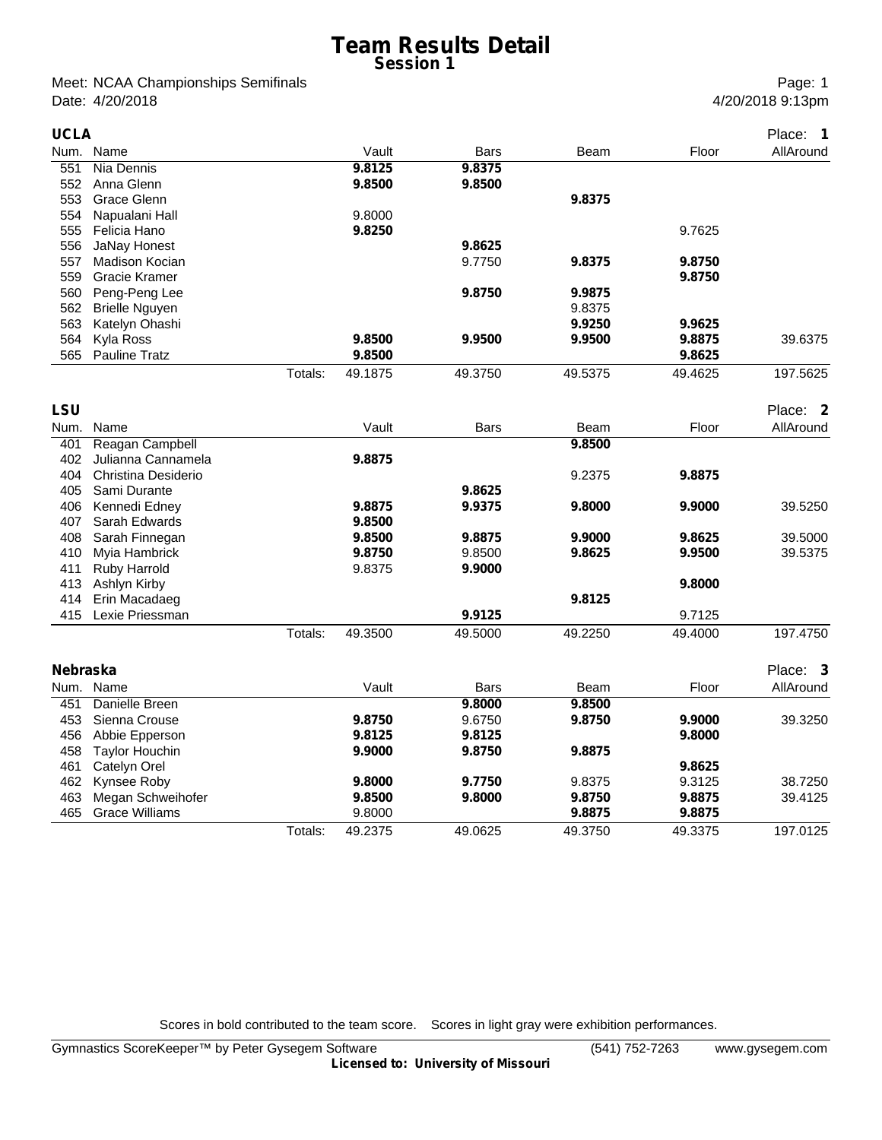Meet: NCAA Championships Semifinals **Page: 1** Network 2012 1 Date: 4/20/2018 9:13pm

| <b>UCLA</b> |                       |         |         |             |         |         | Place: 1  |
|-------------|-----------------------|---------|---------|-------------|---------|---------|-----------|
| Num.        | Name                  |         | Vault   | <b>Bars</b> | Beam    | Floor   | AllAround |
| 551         | Nia Dennis            |         | 9.8125  | 9.8375      |         |         |           |
| 552         | Anna Glenn            |         | 9.8500  | 9.8500      |         |         |           |
| 553         | Grace Glenn           |         |         |             | 9.8375  |         |           |
| 554         | Napualani Hall        |         | 9.8000  |             |         |         |           |
| 555         | Felicia Hano          |         | 9.8250  |             |         | 9.7625  |           |
| 556         | <b>JaNay Honest</b>   |         |         | 9.8625      |         |         |           |
| 557         | Madison Kocian        |         |         | 9.7750      | 9.8375  | 9.8750  |           |
| 559         | Gracie Kramer         |         |         |             |         | 9.8750  |           |
| 560         | Peng-Peng Lee         |         |         | 9.8750      | 9.9875  |         |           |
| 562         | <b>Brielle Nguyen</b> |         |         |             | 9.8375  |         |           |
| 563         | Katelyn Ohashi        |         |         |             | 9.9250  | 9.9625  |           |
| 564         | Kyla Ross             |         | 9.8500  | 9.9500      | 9.9500  | 9.8875  | 39.6375   |
| 565         | Pauline Tratz         |         | 9.8500  |             |         | 9.8625  |           |
|             |                       | Totals: | 49.1875 | 49.3750     | 49.5375 | 49.4625 | 197.5625  |
| <b>LSU</b>  |                       |         |         |             |         |         | Place: 2  |
| Num.        | Name                  |         | Vault   | <b>Bars</b> | Beam    | Floor   | AllAround |
| 401         | Reagan Campbell       |         |         |             | 9.8500  |         |           |
| 402         | Julianna Cannamela    |         | 9.8875  |             |         |         |           |
| 404         | Christina Desiderio   |         |         |             | 9.2375  | 9.8875  |           |
| 405         | Sami Durante          |         |         | 9.8625      |         |         |           |
| 406         | Kennedi Edney         |         | 9.8875  | 9.9375      | 9.8000  | 9.9000  | 39.5250   |

| 405             | Sami Durante        |         |         | 9.8625  |         |         |           |
|-----------------|---------------------|---------|---------|---------|---------|---------|-----------|
| 406             | Kennedi Edney       |         | 9.8875  | 9.9375  | 9.8000  | 9.9000  | 39.5250   |
| 407             | Sarah Edwards       |         | 9.8500  |         |         |         |           |
| 408             | Sarah Finnegan      |         | 9.8500  | 9.8875  | 9.9000  | 9.8625  | 39.5000   |
| 410             | Myia Hambrick       |         | 9.8750  | 9.8500  | 9.8625  | 9.9500  | 39.5375   |
| 411             | <b>Ruby Harrold</b> |         | 9.8375  | 9.9000  |         |         |           |
| 413             | Ashlyn Kirby        |         |         |         |         | 9.8000  |           |
| 414             | Erin Macadaeg       |         |         |         | 9.8125  |         |           |
| 415             | Lexie Priessman     |         |         | 9.9125  |         | 9.7125  |           |
|                 |                     | Totals: | 49.3500 | 49.5000 | 49.2250 | 49,4000 | 197.4750  |
| <b>Nebraska</b> |                     |         |         |         |         |         | Place: 3  |
|                 | Num. Name           |         | Vault   | Bars    | Beam    | Floor   | AllAround |
| 451             | Danielle Breen      |         |         | 9.8000  | 9.8500  |         |           |
| 453             | Sienna Crouse       |         | 9.8750  | 9.6750  | 9.8750  | 9.9000  | 39.3250   |
| 456             | Abbie Epperson      |         | 9.8125  | 9.8125  |         | 9.8000  |           |
|                 |                     |         |         |         |         |         |           |
| 458             | Taylor Houchin      |         | 9.9000  | 9.8750  | 9.8875  |         |           |
| 461             | Catelyn Orel        |         |         |         |         | 9.8625  |           |
| 462             | Kynsee Roby         |         | 9.8000  | 9.7750  | 9.8375  | 9.3125  | 38.7250   |
| 463             | Megan Schweihofer   |         | 9.8500  | 9.8000  | 9.8750  | 9.8875  | 39.4125   |
| 465             | Grace Williams      |         | 9.8000  |         | 9.8875  | 9.8875  |           |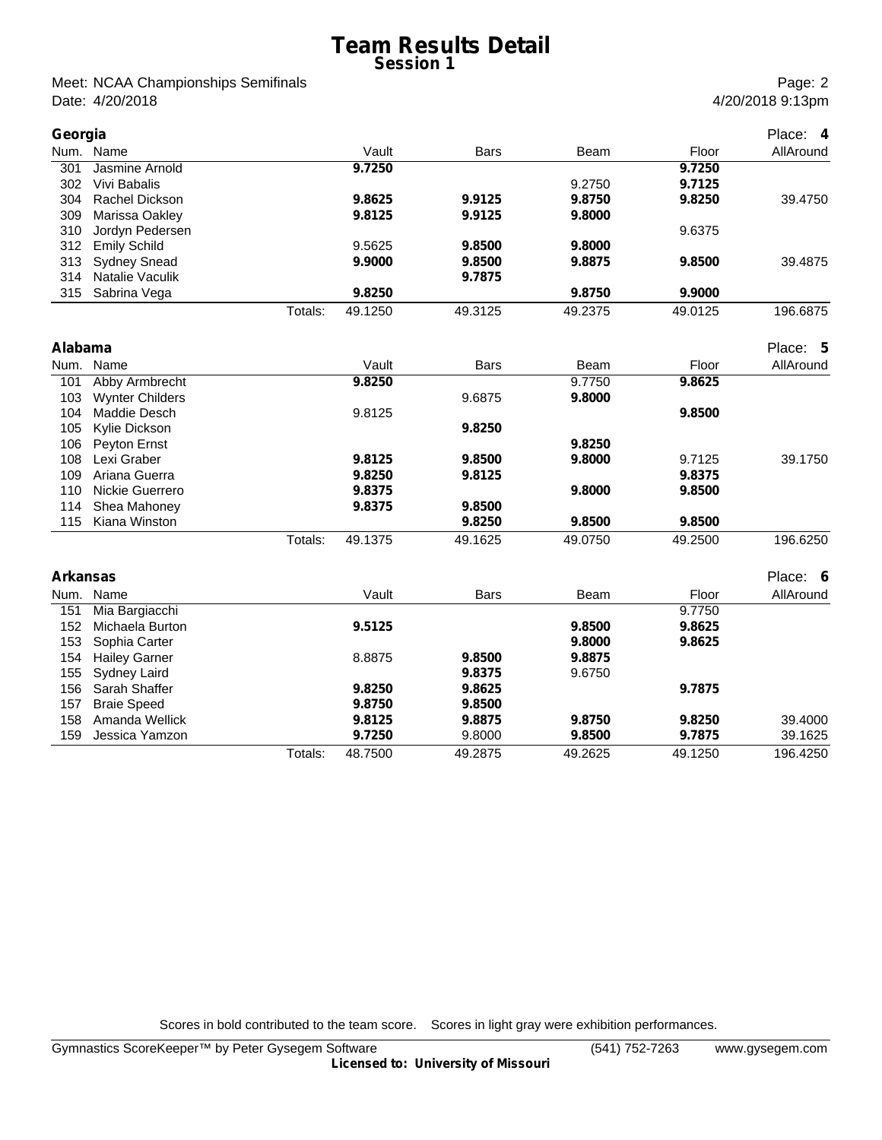Meet: NCAA Championships Semifinals **Page: 2** Page: 2 Date: 4/20/2018 9:13pm

| Georgia         |                        |         |         |             |             |         | Place: 4  |
|-----------------|------------------------|---------|---------|-------------|-------------|---------|-----------|
|                 | Num. Name              |         | Vault   | <b>Bars</b> | Beam        | Floor   | AllAround |
| 301             | Jasmine Arnold         |         | 9.7250  |             |             | 9.7250  |           |
| 302             | Vivi Babalis           |         |         |             | 9.2750      | 9.7125  |           |
| 304             | Rachel Dickson         |         | 9.8625  | 9.9125      | 9.8750      | 9.8250  | 39.4750   |
| 309             | Marissa Oakley         |         | 9.8125  | 9.9125      | 9.8000      |         |           |
| 310             | Jordyn Pedersen        |         |         |             |             | 9.6375  |           |
| 312             | <b>Emily Schild</b>    |         | 9.5625  | 9.8500      | 9.8000      |         |           |
| 313             | <b>Sydney Snead</b>    |         | 9.9000  | 9.8500      | 9.8875      | 9.8500  | 39.4875   |
| 314             | Natalie Vaculik        |         |         | 9.7875      |             |         |           |
| 315             | Sabrina Vega           |         | 9.8250  |             | 9.8750      | 9.9000  |           |
|                 |                        | Totals: | 49.1250 | 49.3125     | 49.2375     | 49.0125 | 196.6875  |
| Alabama         |                        |         |         |             |             |         | Place: 5  |
|                 | Num. Name              |         | Vault   | <b>Bars</b> | <b>Beam</b> | Floor   | AllAround |
| 101             | <b>Abby Armbrecht</b>  |         | 9.8250  |             | 9.7750      | 9.8625  |           |
| 103             | <b>Wynter Childers</b> |         |         | 9.6875      | 9.8000      |         |           |
| 104             | Maddie Desch           |         | 9.8125  |             |             | 9.8500  |           |
| 105             | Kylie Dickson          |         |         | 9.8250      |             |         |           |
| 106             | Peyton Ernst           |         |         |             | 9.8250      |         |           |
| 108             | Lexi Graber            |         | 9.8125  | 9.8500      | 9.8000      | 9.7125  | 39.1750   |
| 109             | Ariana Guerra          |         | 9.8250  | 9.8125      |             | 9.8375  |           |
| 110             | Nickie Guerrero        |         | 9.8375  |             | 9.8000      | 9.8500  |           |
| 114             | Shea Mahoney           |         | 9.8375  | 9.8500      |             |         |           |
| 115             | Kiana Winston          |         |         | 9.8250      | 9.8500      | 9.8500  |           |
|                 |                        | Totals: | 49.1375 | 49.1625     | 49.0750     | 49.2500 | 196.6250  |
| <b>Arkansas</b> |                        |         |         |             |             |         | Place: 6  |
| Num.            | Name                   |         | Vault   | <b>Bars</b> | Beam        | Floor   | AllAround |
| 151             | Mia Bargiacchi         |         |         |             |             | 9.7750  |           |
| 152             | Michaela Burton        |         | 9.5125  |             | 9.8500      | 9.8625  |           |
| 153             | Sophia Carter          |         |         |             | 9.8000      | 9.8625  |           |
| 154             | <b>Hailey Garner</b>   |         | 8.8875  | 9.8500      | 9.8875      |         |           |
| 155             | Sydney Laird           |         |         | 9.8375      | 9.6750      |         |           |
| 156             | Sarah Shaffer          |         | 9.8250  | 9.8625      |             | 9.7875  |           |
| 157             | <b>Braie Speed</b>     |         | 9.8750  | 9.8500      |             |         |           |
| 158             | Amanda Wellick         |         | 9.8125  | 9.8875      | 9.8750      | 9.8250  | 39.4000   |
| 159             | Jessica Yamzon         |         | 9.7250  | 9.8000      | 9.8500      | 9.7875  | 39.1625   |
|                 |                        | Totals: | 48.7500 | 49.2875     | 49.2625     | 49.1250 | 196.4250  |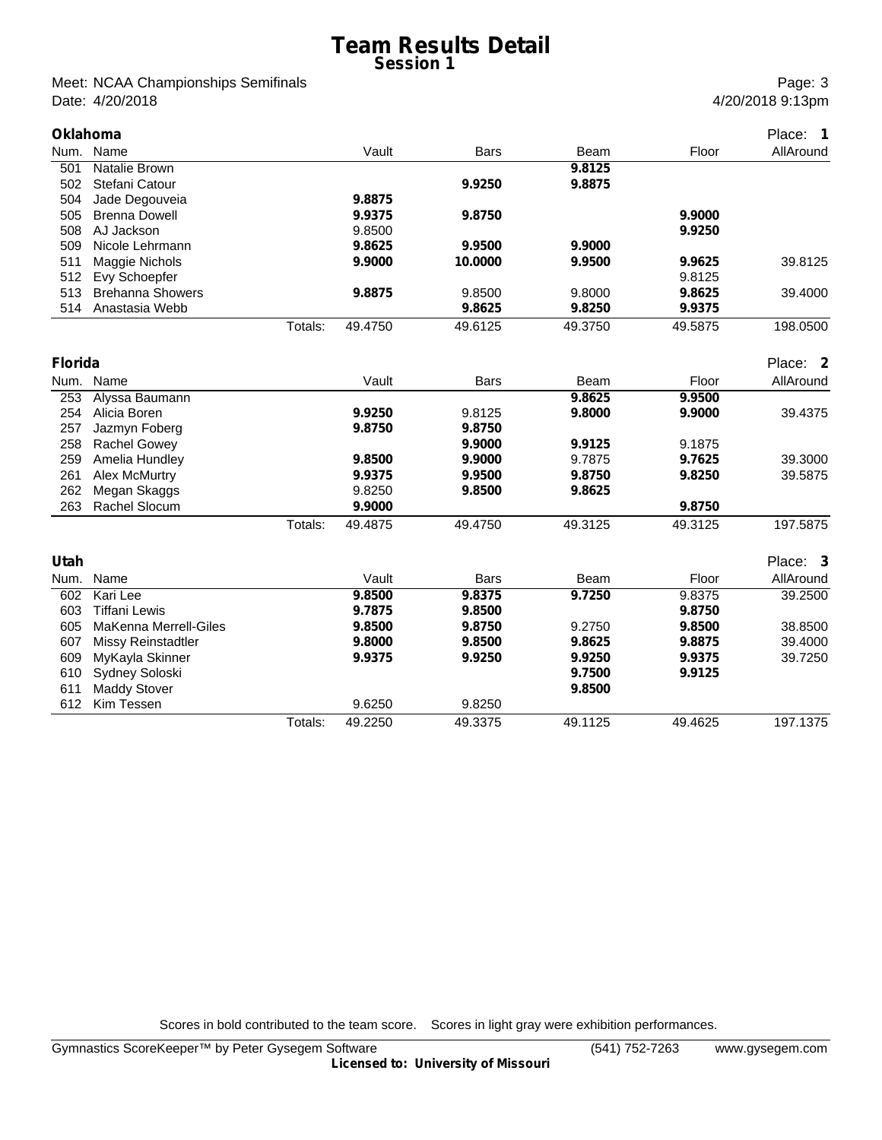Meet: NCAA Championships Semifinals **Page: 3** Date: 4/20/2018 9:13pm

|                | <b>Oklahoma</b>                  |         |         |                  |             |                  | Place: 1  |
|----------------|----------------------------------|---------|---------|------------------|-------------|------------------|-----------|
| Num.           | Name                             |         | Vault   | <b>Bars</b>      | Beam        | Floor            | AllAround |
| 501            | Natalie Brown                    |         |         |                  | 9.8125      |                  |           |
| 502            | Stefani Catour                   |         |         | 9.9250           | 9.8875      |                  |           |
| 504            | Jade Degouveia                   |         | 9.8875  |                  |             |                  |           |
| 505            | <b>Brenna Dowell</b>             |         | 9.9375  | 9.8750           |             | 9.9000           |           |
| 508            | AJ Jackson                       |         | 9.8500  |                  |             | 9.9250           |           |
| 509            | Nicole Lehrmann                  |         | 9.8625  | 9.9500           | 9.9000      |                  |           |
| 511            | Maggie Nichols                   |         | 9.9000  | 10.0000          | 9.9500      | 9.9625           | 39.8125   |
| 512            | Evy Schoepfer                    |         |         |                  |             | 9.8125           |           |
| 513            | <b>Brehanna Showers</b>          |         | 9.8875  | 9.8500           | 9.8000      | 9.8625           | 39.4000   |
| 514            | Anastasia Webb                   |         |         | 9.8625           | 9.8250      | 9.9375           |           |
|                |                                  | Totals: | 49.4750 | 49.6125          | 49.3750     | 49.5875          | 198.0500  |
| <b>Florida</b> |                                  |         |         |                  |             |                  | Place: 2  |
|                | Num. Name                        |         | Vault   | Bars             | Beam        | Floor            | AllAround |
| 253            | Alyssa Baumann                   |         |         |                  | 9.8625      | 9.9500           |           |
| 254            | Alicia Boren                     |         | 9.9250  | 9.8125           | 9.8000      | 9.9000           | 39.4375   |
| 257            | Jazmyn Foberg                    |         | 9.8750  | 9.8750           |             |                  |           |
| 258            | <b>Rachel Gowey</b>              |         |         | 9.9000           | 9.9125      | 9.1875           |           |
| 259            | Amelia Hundley                   |         | 9.8500  | 9.9000           | 9.7875      | 9.7625           | 39.3000   |
| 261            | Alex McMurtry                    |         | 9.9375  | 9.9500           | 9.8750      | 9.8250           | 39.5875   |
| 262            | Megan Skaggs                     |         | 9.8250  | 9.8500           | 9.8625      |                  |           |
| 263            | Rachel Slocum                    |         | 9.9000  |                  |             | 9.8750           |           |
|                |                                  | Totals: | 49.4875 | 49.4750          | 49.3125     | 49.3125          | 197.5875  |
| <b>Utah</b>    |                                  |         |         |                  |             |                  | Place: 3  |
| Num.           | Name                             |         | Vault   | <b>Bars</b>      | <b>Beam</b> | Floor            | AllAround |
|                |                                  |         | 9.8500  | 9.8375           | 9.7250      | 9.8375           | 39.2500   |
| 602<br>603     | Kari Lee<br><b>Tiffani Lewis</b> |         | 9.7875  |                  |             | 9.8750           |           |
| 605            | <b>MaKenna Merrell-Giles</b>     |         | 9.8500  | 9.8500           | 9.2750      |                  | 38.8500   |
| 607            |                                  |         | 9.8000  | 9.8750<br>9.8500 | 9.8625      | 9.8500<br>9.8875 | 39.4000   |
|                | Missy Reinstadtler               |         |         |                  | 9.9250      | 9.9375           |           |
| 609            | MyKayla Skinner                  |         | 9.9375  | 9.9250           |             |                  | 39.7250   |
| 610            | Sydney Soloski                   |         |         |                  | 9.7500      | 9.9125           |           |
| 611            | <b>Maddy Stover</b>              |         |         |                  | 9.8500      |                  |           |
| 612            | Kim Tessen                       |         | 9.6250  | 9.8250           |             |                  |           |
|                |                                  | Totals: | 49.2250 | 49.3375          | 49.1125     | 49.4625          | 197.1375  |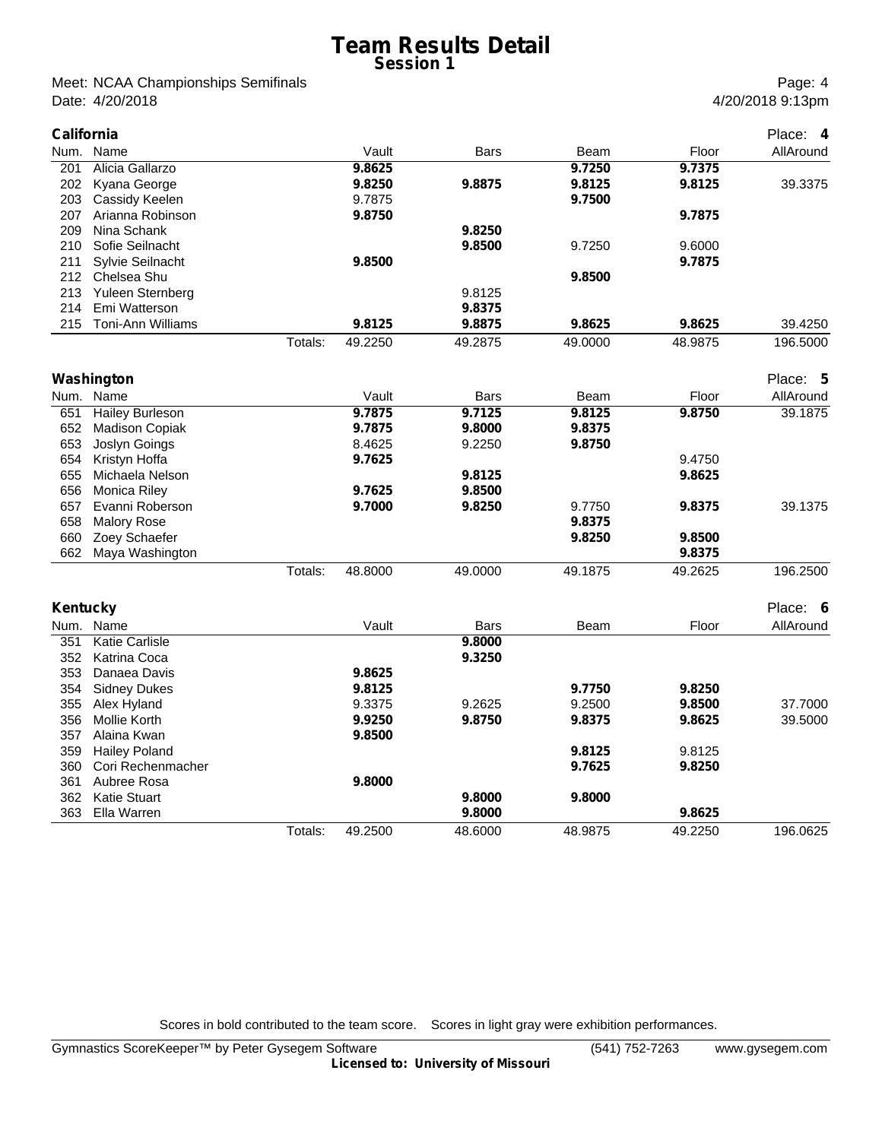Meet: NCAA Championships Semifinals **Page: 4** Page: 4 Date: 4/20/2018 9:13pm

| California |                          |         |         |             |         |         | Place: 4  |
|------------|--------------------------|---------|---------|-------------|---------|---------|-----------|
| Num.       | Name                     |         | Vault   | Bars        | Beam    | Floor   | AllAround |
| 201        | Alicia Gallarzo          |         | 9.8625  |             | 9.7250  | 9.7375  |           |
| 202        | Kyana George             |         | 9.8250  | 9.8875      | 9.8125  | 9.8125  | 39.3375   |
| 203        | Cassidy Keelen           |         | 9.7875  |             | 9.7500  |         |           |
| 207        | Arianna Robinson         |         | 9.8750  |             |         | 9.7875  |           |
| 209        | Nina Schank              |         |         | 9.8250      |         |         |           |
| 210        | Sofie Seilnacht          |         |         | 9.8500      | 9.7250  | 9.6000  |           |
| 211        | Sylvie Seilnacht         |         | 9.8500  |             |         | 9.7875  |           |
|            | 212 Chelsea Shu          |         |         |             | 9.8500  |         |           |
| 213.       | Yuleen Sternberg         |         |         | 9.8125      |         |         |           |
| 214        | Emi Watterson            |         |         | 9.8375      |         |         |           |
| 215        | <b>Toni-Ann Williams</b> |         | 9.8125  | 9.8875      | 9.8625  | 9.8625  | 39.4250   |
|            |                          | Totals: | 49.2250 | 49.2875     | 49.0000 | 48.9875 | 196.5000  |
|            | Washington               |         |         |             |         |         | Place: 5  |
| Num.       | Name                     |         | Vault   | Bars        | Beam    | Floor   | AllAround |
| 651        | <b>Hailey Burleson</b>   |         | 9.7875  | 9.7125      | 9.8125  | 9.8750  | 39.1875   |
| 652        | <b>Madison Copiak</b>    |         | 9.7875  | 9.8000      | 9.8375  |         |           |
| 653        | Joslyn Goings            |         | 8.4625  | 9.2250      | 9.8750  |         |           |
| 654        | Kristyn Hoffa            |         | 9.7625  |             |         | 9.4750  |           |
| 655        | Michaela Nelson          |         |         | 9.8125      |         | 9.8625  |           |
| 656        | Monica Riley             |         | 9.7625  | 9.8500      |         |         |           |
| 657        | Evanni Roberson          |         | 9.7000  | 9.8250      | 9.7750  | 9.8375  | 39.1375   |
| 658        | <b>Malory Rose</b>       |         |         |             | 9.8375  |         |           |
| 660        | Zoey Schaefer            |         |         |             | 9.8250  | 9.8500  |           |
| 662        | Maya Washington          |         |         |             |         | 9.8375  |           |
|            |                          | Totals: | 48.8000 | 49.0000     | 49.1875 | 49.2625 | 196.2500  |
| Kentucky   |                          |         |         |             |         |         | Place: 6  |
|            | Num. Name                |         | Vault   | <b>Bars</b> | Beam    | Floor   | AllAround |
| 351        | <b>Katie Carlisle</b>    |         |         | 9.8000      |         |         |           |
| 352        | Katrina Coca             |         |         | 9.3250      |         |         |           |
| 353        | Danaea Davis             |         | 9.8625  |             |         |         |           |
| 354        | <b>Sidney Dukes</b>      |         | 9.8125  |             | 9.7750  | 9.8250  |           |
| 355        | Alex Hyland              |         | 9.3375  | 9.2625      | 9.2500  | 9.8500  | 37.7000   |
| 356        | <b>Mollie Korth</b>      |         | 9.9250  | 9.8750      | 9.8375  | 9.8625  | 39.5000   |
| 357        | Alaina Kwan              |         | 9.8500  |             |         |         |           |
| 359        | <b>Hailey Poland</b>     |         |         |             | 9.8125  | 9.8125  |           |
| 360        | Cori Rechenmacher        |         |         |             | 9.7625  | 9.8250  |           |
| 361        | Aubree Rosa              |         | 9.8000  |             |         |         |           |
| 362        | <b>Katie Stuart</b>      |         |         | 9.8000      | 9.8000  |         |           |
| 363        | Ella Warren              |         |         | 9.8000      |         | 9.8625  |           |
|            |                          | Totals: | 49.2500 | 48.6000     | 48.9875 | 49.2250 | 196.0625  |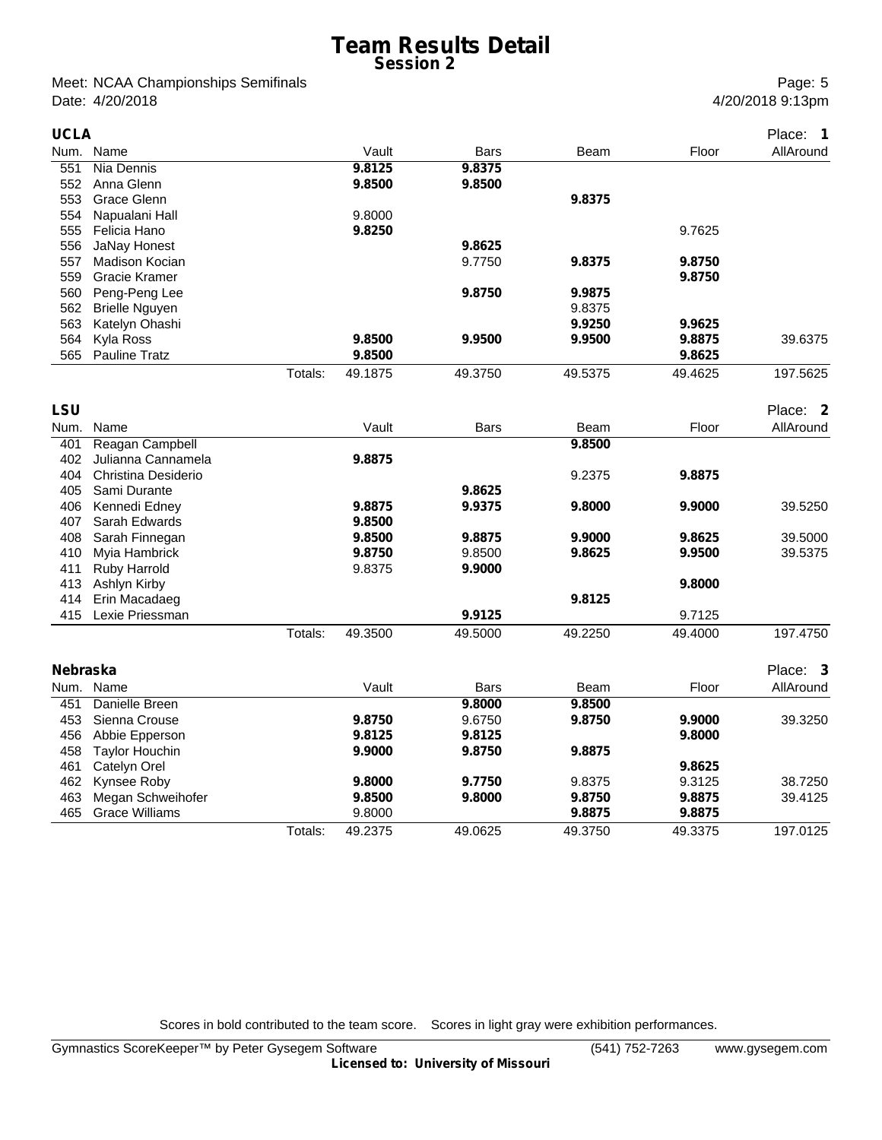Meet: NCAA Championships Semifinals **Page: 5** Page: 5 Date: 4/20/2018 9:13pm

| <b>UCLA</b> |                       |         |         |             |         |         | Place: 1  |
|-------------|-----------------------|---------|---------|-------------|---------|---------|-----------|
| Num.        | Name                  |         | Vault   | <b>Bars</b> | Beam    | Floor   | AllAround |
| 551         | Nia Dennis            |         | 9.8125  | 9.8375      |         |         |           |
| 552         | Anna Glenn            |         | 9.8500  | 9.8500      |         |         |           |
| 553         | Grace Glenn           |         |         |             | 9.8375  |         |           |
| 554         | Napualani Hall        |         | 9.8000  |             |         |         |           |
| 555         | Felicia Hano          |         | 9.8250  |             |         | 9.7625  |           |
| 556         | JaNay Honest          |         |         | 9.8625      |         |         |           |
| 557         | Madison Kocian        |         |         | 9.7750      | 9.8375  | 9.8750  |           |
| 559         | Gracie Kramer         |         |         |             |         | 9.8750  |           |
| 560         | Peng-Peng Lee         |         |         | 9.8750      | 9.9875  |         |           |
| 562         | <b>Brielle Nguyen</b> |         |         |             | 9.8375  |         |           |
| 563         | Katelyn Ohashi        |         |         |             | 9.9250  | 9.9625  |           |
| 564         | Kyla Ross             |         | 9.8500  | 9.9500      | 9.9500  | 9.8875  | 39.6375   |
| 565         | <b>Pauline Tratz</b>  |         | 9.8500  |             |         | 9.8625  |           |
|             |                       | Totals: | 49.1875 | 49.3750     | 49.5375 | 49.4625 | 197.5625  |
| <b>LSU</b>  |                       |         |         |             |         |         | Place: 2  |
| Num.        | Name                  |         | Vault   | <b>Bars</b> | Beam    | Floor   | AllAround |
| 401         | Reagan Campbell       |         |         |             | 9.8500  |         |           |
| 402         | Julianna Cannamela    |         | 9.8875  |             |         |         |           |
| 404         | Christina Desiderio   |         |         |             | 9.2375  | 9.8875  |           |
| 405         | Sami Durante          |         |         | 9.8625      |         |         |           |
| 406         | Kennedi Edney         |         | 9.8875  | 9.9375      | 9.8000  | 9.9000  | 39.5250   |
| 407         | Sarah Edwards         |         | 9.8500  |             |         |         |           |
| 408         | Sarah Finnegan        |         | 9.8500  | 9.8875      | 9.9000  | 9.8625  | 39,5000   |
| 410         | Myia Hambrick         |         | 9.8750  | 9.8500      | 9.8625  | 9.9500  | 39.5375   |
| 411         | <b>Ruby Harrold</b>   |         | 9.8375  | 9.9000      |         |         |           |
| 413         | Ashlyn Kirby          |         |         |             |         | 9.8000  |           |

| 414             | Erin Macadaeg         |         |         |             | 9.8125  |         |           |
|-----------------|-----------------------|---------|---------|-------------|---------|---------|-----------|
| 415             | Lexie Priessman       |         |         | 9.9125      |         | 9.7125  |           |
|                 |                       | Totals: | 49.3500 | 49.5000     | 49.2250 | 49,4000 | 197.4750  |
| <b>Nebraska</b> |                       |         |         |             |         |         | Place: 3  |
| Num.            | Name                  |         | Vault   | <b>Bars</b> | Beam    | Floor   | AllAround |
| 451             | Danielle Breen        |         |         | 9.8000      | 9.8500  |         |           |
| 453             | Sienna Crouse         |         | 9.8750  | 9.6750      | 9.8750  | 9.9000  | 39.3250   |
| 456             | Abbie Epperson        |         | 9.8125  | 9.8125      |         | 9.8000  |           |
| 458             | Taylor Houchin        |         | 9.9000  | 9.8750      | 9.8875  |         |           |
| 461             | Catelyn Orel          |         |         |             |         | 9.8625  |           |
| 462             | Kynsee Roby           |         | 9.8000  | 9.7750      | 9.8375  | 9.3125  | 38.7250   |
| 463             | Megan Schweihofer     |         | 9.8500  | 9.8000      | 9.8750  | 9.8875  | 39.4125   |
| 465             | <b>Grace Williams</b> |         | 9.8000  |             | 9.8875  | 9.8875  |           |
|                 |                       | Totals: | 49.2375 | 49.0625     | 49.3750 | 49.3375 | 197.0125  |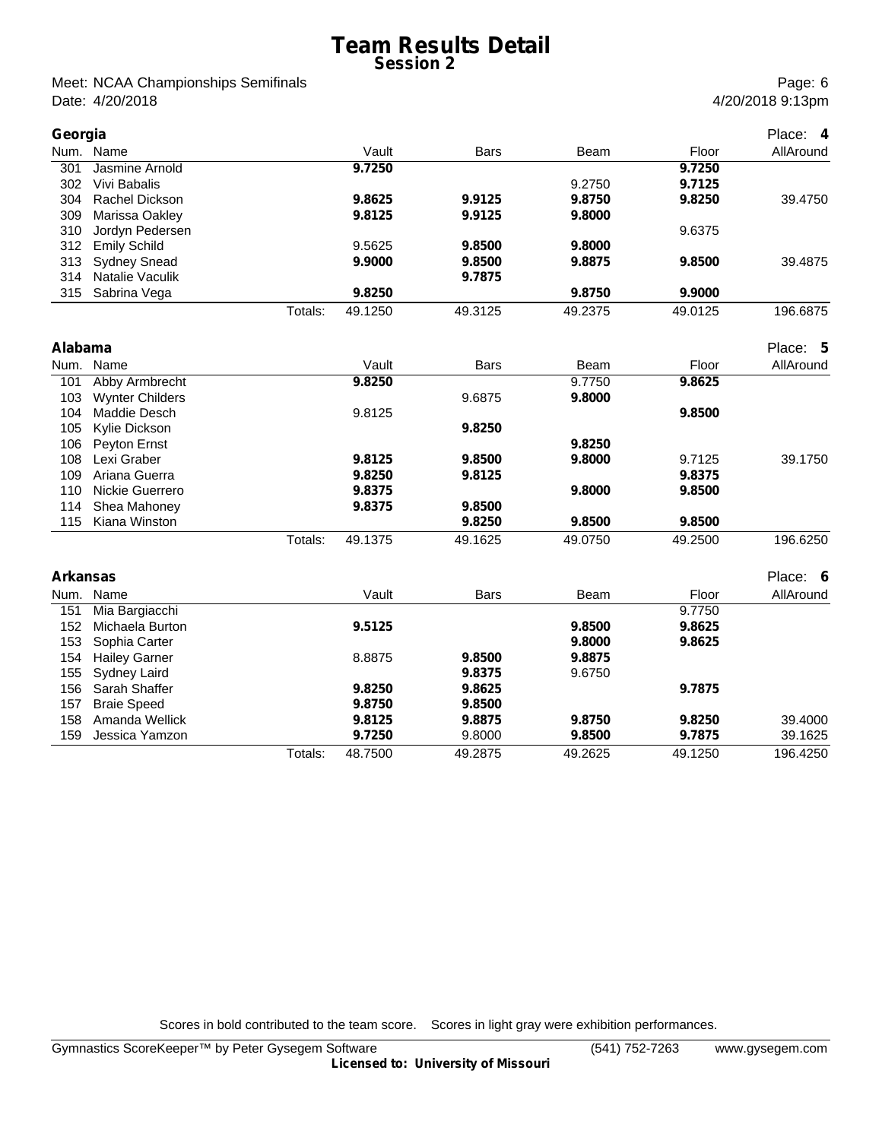Meet: NCAA Championships Semifinals **Page: 6** Page: 6 Date: 4/20/2018 9:13pm

| Georgia         |                        |         |         |             |         |         | Place: 4  |
|-----------------|------------------------|---------|---------|-------------|---------|---------|-----------|
|                 | Num. Name              |         | Vault   | <b>Bars</b> | Beam    | Floor   | AllAround |
| 301             | Jasmine Arnold         |         | 9.7250  |             |         | 9.7250  |           |
| 302             | Vivi Babalis           |         |         |             | 9.2750  | 9.7125  |           |
| 304             | <b>Rachel Dickson</b>  |         | 9.8625  | 9.9125      | 9.8750  | 9.8250  | 39.4750   |
| 309             | Marissa Oakley         |         | 9.8125  | 9.9125      | 9.8000  |         |           |
| 310             | Jordyn Pedersen        |         |         |             |         | 9.6375  |           |
| 312             | <b>Emily Schild</b>    |         | 9.5625  | 9.8500      | 9.8000  |         |           |
| 313             | <b>Sydney Snead</b>    |         | 9.9000  | 9.8500      | 9.8875  | 9.8500  | 39.4875   |
| 314             | Natalie Vaculik        |         |         | 9.7875      |         |         |           |
| 315             | Sabrina Vega           |         | 9.8250  |             | 9.8750  | 9.9000  |           |
|                 |                        | Totals: | 49.1250 | 49.3125     | 49.2375 | 49.0125 | 196.6875  |
| Alabama         |                        |         |         |             |         |         | Place: 5  |
|                 | Num. Name              |         | Vault   | <b>Bars</b> | Beam    | Floor   | AllAround |
| 101             | <b>Abby Armbrecht</b>  |         | 9.8250  |             | 9.7750  | 9.8625  |           |
| 103             | <b>Wynter Childers</b> |         |         | 9.6875      | 9.8000  |         |           |
| 104             | Maddie Desch           |         | 9.8125  |             |         | 9.8500  |           |
| 105             | Kylie Dickson          |         |         | 9.8250      |         |         |           |
| 106             | Peyton Ernst           |         |         |             | 9.8250  |         |           |
| 108             | Lexi Graber            |         | 9.8125  | 9.8500      | 9.8000  | 9.7125  | 39.1750   |
| 109             | Ariana Guerra          |         | 9.8250  | 9.8125      |         | 9.8375  |           |
| 110             | Nickie Guerrero        |         | 9.8375  |             | 9.8000  | 9.8500  |           |
| 114             | Shea Mahoney           |         | 9.8375  | 9.8500      |         |         |           |
| 115             | Kiana Winston          |         |         | 9.8250      | 9.8500  | 9.8500  |           |
|                 |                        | Totals: | 49.1375 | 49.1625     | 49.0750 | 49.2500 | 196.6250  |
| <b>Arkansas</b> |                        |         |         |             |         |         | Place: 6  |
| Num.            | Name                   |         | Vault   | <b>Bars</b> | Beam    | Floor   | AllAround |
| 151             | Mia Bargiacchi         |         |         |             |         | 9.7750  |           |
| 152             | Michaela Burton        |         | 9.5125  |             | 9.8500  | 9.8625  |           |
| 153             | Sophia Carter          |         |         |             | 9.8000  | 9.8625  |           |
| 154             | <b>Hailey Garner</b>   |         | 8.8875  | 9.8500      | 9.8875  |         |           |
| 155             | Sydney Laird           |         |         | 9.8375      | 9.6750  |         |           |
| 156             | Sarah Shaffer          |         | 9.8250  | 9.8625      |         | 9.7875  |           |
| 157             | <b>Braie Speed</b>     |         | 9.8750  | 9.8500      |         |         |           |
| 158             | Amanda Wellick         |         | 9.8125  | 9.8875      | 9.8750  | 9.8250  | 39.4000   |
| 159             | Jessica Yamzon         |         | 9.7250  | 9.8000      | 9.8500  | 9.7875  | 39.1625   |
|                 |                        | Totals: | 48.7500 | 49.2875     | 49.2625 | 49.1250 | 196.4250  |
|                 |                        |         |         |             |         |         |           |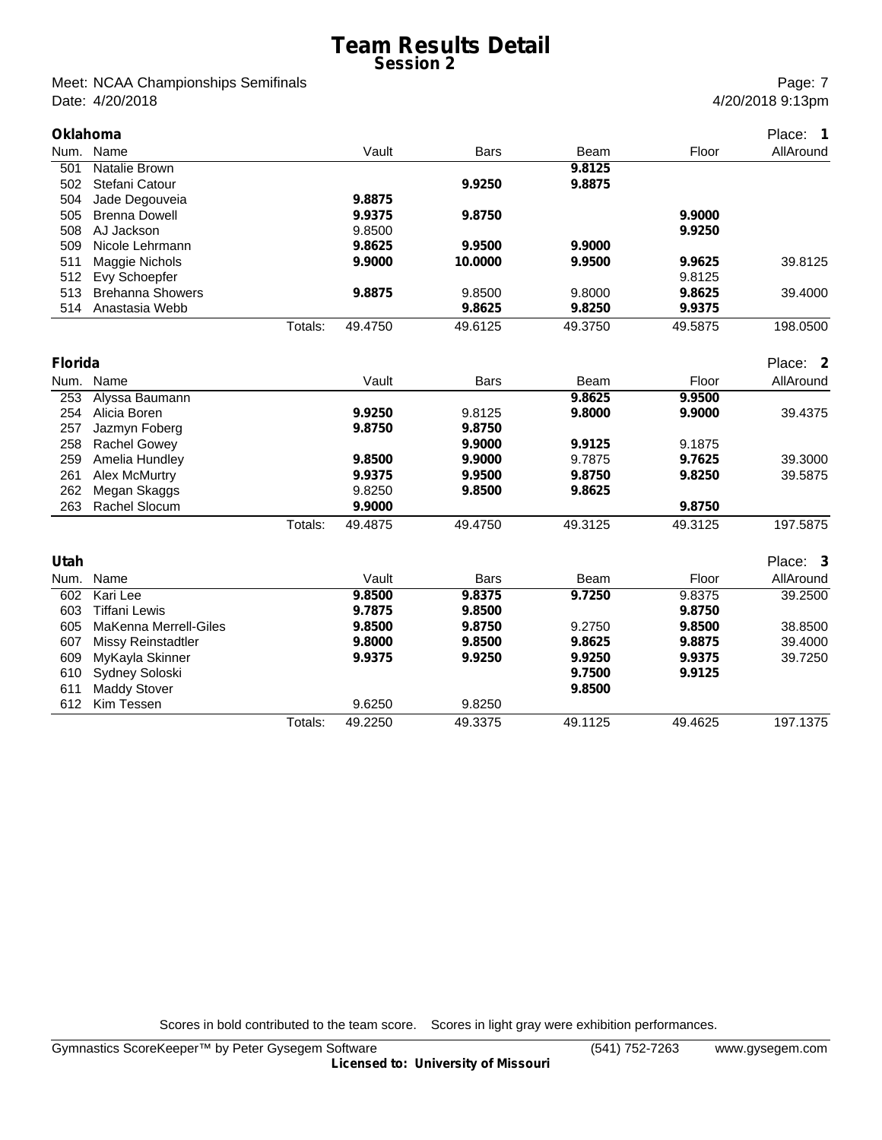Meet: NCAA Championships Semifinals **Page: 7** Neet: NCAA Championships Semifinals Date: 4/20/2018 9:13pm

|                | <b>Oklahoma</b>              |         |         |             |         |         | Place: 1  |
|----------------|------------------------------|---------|---------|-------------|---------|---------|-----------|
|                | Num. Name                    |         | Vault   | <b>Bars</b> | Beam    | Floor   | AllAround |
| 501            | Natalie Brown                |         |         |             | 9.8125  |         |           |
| 502            | Stefani Catour               |         |         | 9.9250      | 9.8875  |         |           |
| 504            | Jade Degouveia               |         | 9.8875  |             |         |         |           |
| 505            | <b>Brenna Dowell</b>         |         | 9.9375  | 9.8750      |         | 9.9000  |           |
| 508            | AJ Jackson                   |         | 9.8500  |             |         | 9.9250  |           |
| 509            | Nicole Lehrmann              |         | 9.8625  | 9.9500      | 9.9000  |         |           |
| 511            | Maggie Nichols               |         | 9.9000  | 10.0000     | 9.9500  | 9.9625  | 39.8125   |
| 512            | Evy Schoepfer                |         |         |             |         | 9.8125  |           |
| 513            | <b>Brehanna Showers</b>      |         | 9.8875  | 9.8500      | 9.8000  | 9.8625  | 39.4000   |
| 514            | Anastasia Webb               |         |         | 9.8625      | 9.8250  | 9.9375  |           |
|                |                              | Totals: | 49.4750 | 49.6125     | 49.3750 | 49.5875 | 198.0500  |
| <b>Florida</b> |                              |         |         |             |         |         | Place: 2  |
|                | Num. Name                    |         | Vault   | <b>Bars</b> | Beam    | Floor   | AllAround |
| 253            | Alyssa Baumann               |         |         |             | 9.8625  | 9.9500  |           |
| 254            | Alicia Boren                 |         | 9.9250  | 9.8125      | 9.8000  | 9.9000  | 39.4375   |
| 257            | Jazmyn Foberg                |         | 9.8750  | 9.8750      |         |         |           |
| 258            | <b>Rachel Gowey</b>          |         |         | 9.9000      | 9.9125  | 9.1875  |           |
| 259            | Amelia Hundley               |         | 9.8500  | 9.9000      | 9.7875  | 9.7625  | 39.3000   |
| 261            | Alex McMurtry                |         | 9.9375  | 9.9500      | 9.8750  | 9.8250  | 39.5875   |
| 262            | Megan Skaggs                 |         | 9.8250  | 9.8500      | 9.8625  |         |           |
| 263            | Rachel Slocum                |         | 9.9000  |             |         | 9.8750  |           |
|                |                              | Totals: | 49.4875 | 49.4750     | 49.3125 | 49.3125 | 197.5875  |
| <b>Utah</b>    |                              |         |         |             |         |         | Place: 3  |
| Num.           | Name                         |         | Vault   | <b>Bars</b> | Beam    | Floor   | AllAround |
| 602            | Kari Lee                     |         | 9.8500  | 9.8375      | 9.7250  | 9.8375  | 39.2500   |
| 603            | <b>Tiffani Lewis</b>         |         | 9.7875  | 9.8500      |         | 9.8750  |           |
| 605            | <b>MaKenna Merrell-Giles</b> |         | 9.8500  | 9.8750      | 9.2750  | 9.8500  | 38.8500   |
| 607            | <b>Missy Reinstadtler</b>    |         | 9.8000  | 9.8500      | 9.8625  | 9.8875  | 39.4000   |
| 609            | MyKayla Skinner              |         | 9.9375  | 9.9250      | 9.9250  | 9.9375  | 39.7250   |
| 610            | Sydney Soloski               |         |         |             | 9.7500  | 9.9125  |           |
| 611            | <b>Maddy Stover</b>          |         |         |             | 9.8500  |         |           |
| 612            | Kim Tessen                   |         | 9.6250  | 9.8250      |         |         |           |
|                |                              | Totals: | 49.2250 | 49.3375     | 49.1125 | 49.4625 | 197.1375  |
|                |                              |         |         |             |         |         |           |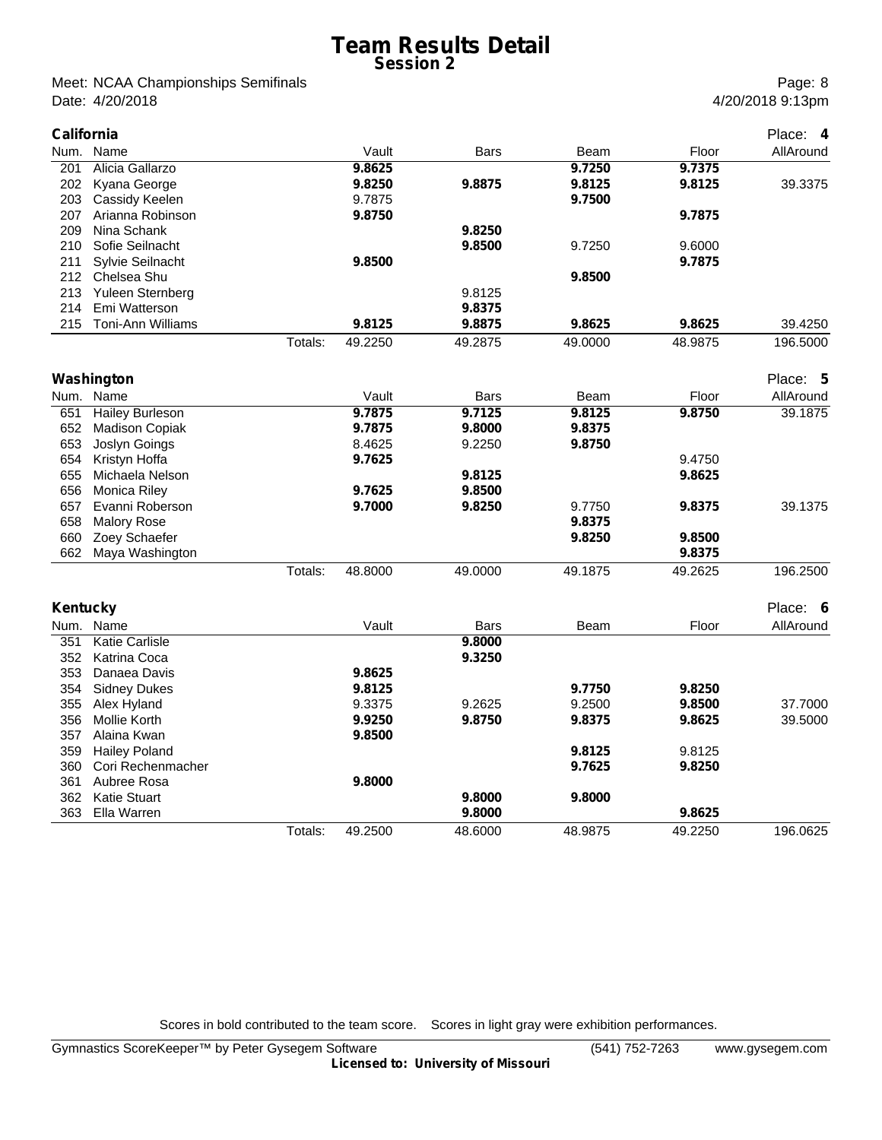Meet: NCAA Championships Semifinals **Page: 8** Page: 8 Date: 4/20/2018 9:13pm

| California |                          |         |         |             |         |         | Place: 4  |
|------------|--------------------------|---------|---------|-------------|---------|---------|-----------|
|            | Num. Name                |         | Vault   | Bars        | Beam    | Floor   | AllAround |
| 201        | Alicia Gallarzo          |         | 9.8625  |             | 9.7250  | 9.7375  |           |
| 202        | Kyana George             |         | 9.8250  | 9.8875      | 9.8125  | 9.8125  | 39.3375   |
| 203        | Cassidy Keelen           |         | 9.7875  |             | 9.7500  |         |           |
| 207        | Arianna Robinson         |         | 9.8750  |             |         | 9.7875  |           |
| 209        | Nina Schank              |         |         | 9.8250      |         |         |           |
| 210        | Sofie Seilnacht          |         |         | 9.8500      | 9.7250  | 9.6000  |           |
| 211        | Sylvie Seilnacht         |         | 9.8500  |             |         | 9.7875  |           |
| 212        | Chelsea Shu              |         |         |             | 9.8500  |         |           |
| 213        | Yuleen Sternberg         |         |         | 9.8125      |         |         |           |
| 214        | Emi Watterson            |         |         | 9.8375      |         |         |           |
| 215        | <b>Toni-Ann Williams</b> |         | 9.8125  | 9.8875      | 9.8625  | 9.8625  | 39.4250   |
|            |                          | Totals: | 49.2250 | 49.2875     | 49.0000 | 48.9875 | 196.5000  |
|            | Washington               |         |         |             |         |         | Place: 5  |
| Num.       | Name                     |         | Vault   | <b>Bars</b> | Beam    | Floor   | AllAround |
| 651        | <b>Hailey Burleson</b>   |         | 9.7875  | 9.7125      | 9.8125  | 9.8750  | 39.1875   |
| 652        | <b>Madison Copiak</b>    |         | 9.7875  | 9.8000      | 9.8375  |         |           |
| 653        | Joslyn Goings            |         | 8.4625  | 9.2250      | 9.8750  |         |           |
| 654        | Kristyn Hoffa            |         | 9.7625  |             |         | 9.4750  |           |
| 655        | Michaela Nelson          |         |         | 9.8125      |         | 9.8625  |           |
| 656        | Monica Riley             |         | 9.7625  | 9.8500      |         |         |           |
| 657        | Evanni Roberson          |         | 9.7000  | 9.8250      | 9.7750  | 9.8375  | 39.1375   |
| 658        | <b>Malory Rose</b>       |         |         |             | 9.8375  |         |           |
| 660        | Zoey Schaefer            |         |         |             | 9.8250  | 9.8500  |           |
| 662        | Maya Washington          |         |         |             |         | 9.8375  |           |
|            |                          | Totals: | 48.8000 | 49.0000     | 49.1875 | 49.2625 | 196.2500  |
| Kentucky   |                          |         |         |             |         |         | Place: 6  |
| Num.       | Name                     |         | Vault   | <b>Bars</b> | Beam    | Floor   | AllAround |
| 351        | <b>Katie Carlisle</b>    |         |         | 9.8000      |         |         |           |
| 352        | Katrina Coca             |         |         | 9.3250      |         |         |           |
| 353        | Danaea Davis             |         | 9.8625  |             |         |         |           |
| 354        | <b>Sidney Dukes</b>      |         | 9.8125  |             | 9.7750  | 9.8250  |           |
| 355        | Alex Hyland              |         | 9.3375  | 9.2625      | 9.2500  | 9.8500  | 37.7000   |
| 356        | <b>Mollie Korth</b>      |         | 9.9250  | 9.8750      | 9.8375  | 9.8625  | 39.5000   |
| 357        | Alaina Kwan              |         | 9.8500  |             |         |         |           |
| 359        | <b>Hailey Poland</b>     |         |         |             | 9.8125  | 9.8125  |           |
| 360        | Cori Rechenmacher        |         |         |             | 9.7625  | 9.8250  |           |
| 361        | Aubree Rosa              |         | 9.8000  |             |         |         |           |
| 362        | <b>Katie Stuart</b>      |         |         | 9.8000      | 9.8000  |         |           |
| 363        | Ella Warren              |         |         | 9.8000      |         | 9.8625  |           |
|            |                          | Totals: | 49.2500 | 48.6000     | 48.9875 | 49.2250 | 196.0625  |
|            |                          |         |         |             |         |         |           |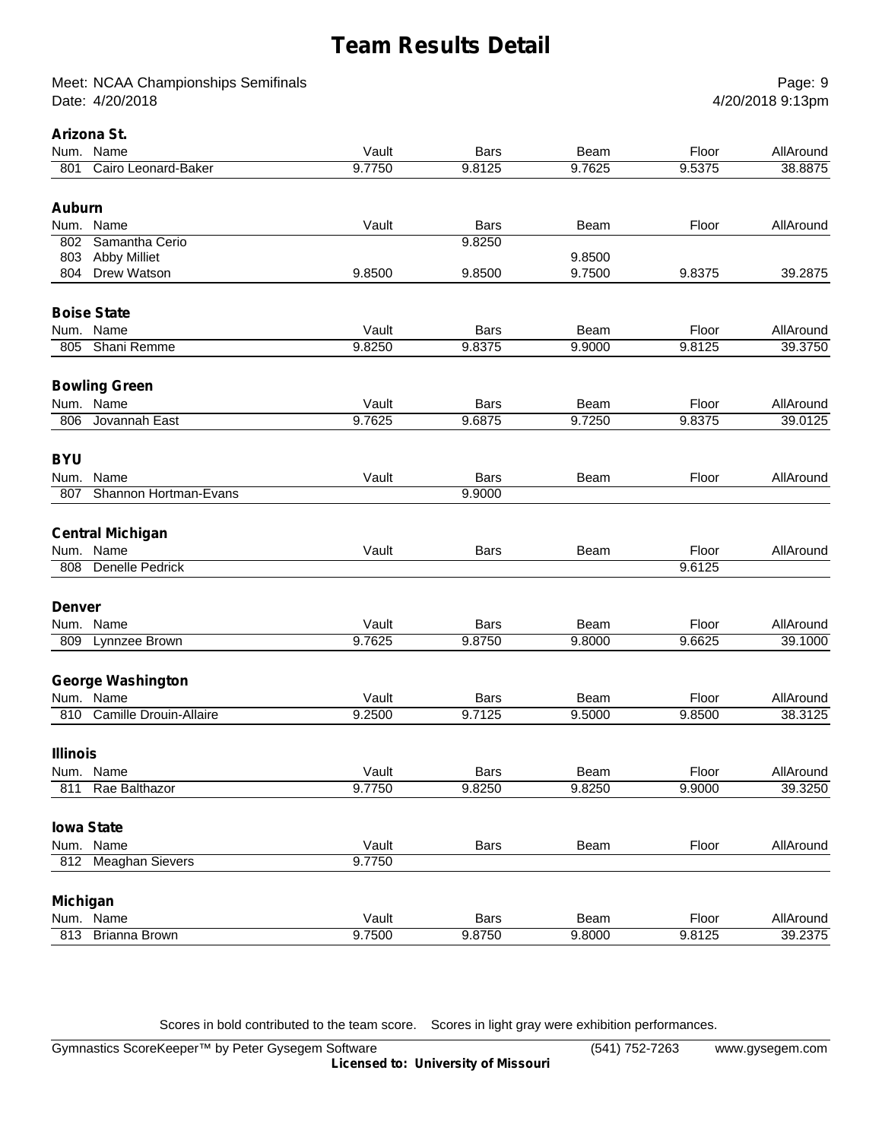#### **Team Results Detail**

Meet: NCAA Championships Semifinals **Page: 9** Page: 9 Date: 4/20/2018 9:13pm

|                 | Arizona St.                           |        |             |        |        |           |
|-----------------|---------------------------------------|--------|-------------|--------|--------|-----------|
|                 | Num. Name                             | Vault  | <b>Bars</b> | Beam   | Floor  | AllAround |
| 801             | Cairo Leonard-Baker                   | 9.7750 | 9.8125      | 9.7625 | 9.5375 | 38.8875   |
|                 |                                       |        |             |        |        |           |
| <b>Auburn</b>   |                                       |        |             |        |        |           |
|                 | Num. Name                             | Vault  | <b>Bars</b> | Beam   | Floor  | AllAround |
| 802<br>803      | Samantha Cerio<br><b>Abby Milliet</b> |        | 9.8250      | 9.8500 |        |           |
| 804             | Drew Watson                           | 9.8500 | 9.8500      | 9.7500 | 9.8375 | 39.2875   |
|                 |                                       |        |             |        |        |           |
|                 | <b>Boise State</b>                    |        |             |        |        |           |
|                 | Num. Name                             | Vault  | <b>Bars</b> | Beam   | Floor  | AllAround |
| 805             | Shani Remme                           | 9.8250 | 9.8375      | 9.9000 | 9.8125 | 39.3750   |
|                 | <b>Bowling Green</b>                  |        |             |        |        |           |
|                 | Num. Name                             | Vault  | <b>Bars</b> | Beam   | Floor  | AllAround |
| 806             | Jovannah East                         | 9.7625 | 9.6875      | 9.7250 | 9.8375 | 39.0125   |
| <b>BYU</b>      |                                       |        |             |        |        |           |
|                 | Num. Name                             | Vault  | Bars        | Beam   | Floor  | AllAround |
| 807             | Shannon Hortman-Evans                 |        | 9.9000      |        |        |           |
|                 |                                       |        |             |        |        |           |
|                 | <b>Central Michigan</b>               |        |             |        |        |           |
|                 | Num. Name                             | Vault  | <b>Bars</b> | Beam   | Floor  | AllAround |
| 808             | <b>Denelle Pedrick</b>                |        |             |        | 9.6125 |           |
| <b>Denver</b>   |                                       |        |             |        |        |           |
|                 | Num. Name                             | Vault  | <b>Bars</b> | Beam   | Floor  | AllAround |
|                 | 809 Lynnzee Brown                     | 9.7625 | 9.8750      | 9.8000 | 9.6625 | 39.1000   |
|                 | <b>George Washington</b>              |        |             |        |        |           |
|                 | Num. Name                             | Vault  | <b>Bars</b> | Beam   | Floor  | AllAround |
| 810             | <b>Camille Drouin-Allaire</b>         | 9.2500 | 9.7125      | 9.5000 | 9.8500 | 38.3125   |
|                 |                                       |        |             |        |        |           |
| <b>Illinois</b> |                                       |        |             |        |        |           |
|                 | Num. Name                             | Vault  | <b>Bars</b> | Beam   | Floor  | AllAround |
| 811             | Rae Balthazor                         | 9.7750 | 9.8250      | 9.8250 | 9.9000 | 39.3250   |
|                 | <b>Iowa State</b>                     |        |             |        |        |           |
|                 | Num. Name                             | Vault  | Bars        | Beam   | Floor  | AllAround |
|                 | 812 Meaghan Sievers                   | 9.7750 |             |        |        |           |
| <b>Michigan</b> |                                       |        |             |        |        |           |
|                 | Num. Name                             | Vault  | Bars        | Beam   | Floor  | AllAround |
|                 | 813 Brianna Brown                     | 9.7500 | 9.8750      | 9.8000 | 9.8125 | 39.2375   |
|                 |                                       |        |             |        |        |           |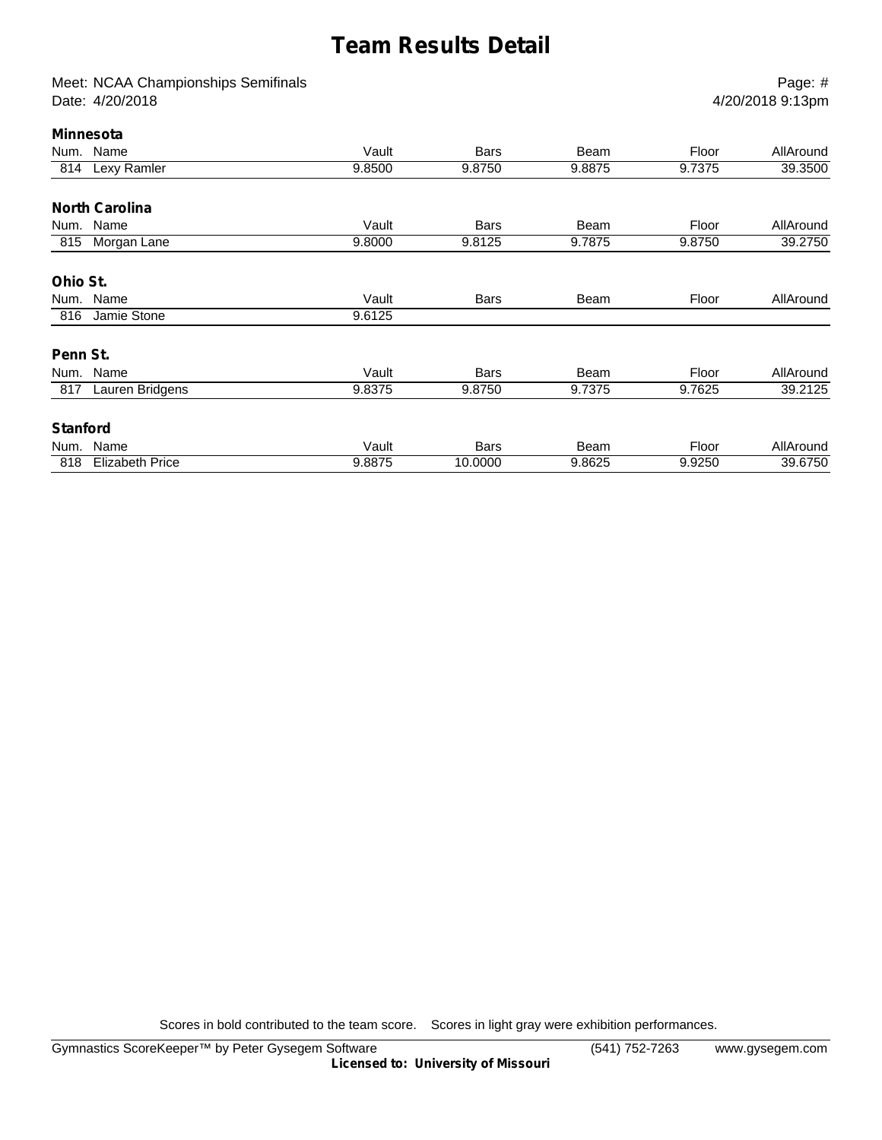#### **Team Results Detail**

Meet: NCAA Championships Semifinals **Page: #** Page: # Date: 4/20/2018 9:13pm

**Minnesota**

|                 | <b>IVIIIIIIIESULA</b>  |        |             |        |        |           |
|-----------------|------------------------|--------|-------------|--------|--------|-----------|
| Num.            | Name                   | Vault  | <b>Bars</b> | Beam   | Floor  | AllAround |
| 814             | Lexy Ramler            | 9.8500 | 9.8750      | 9.8875 | 9.7375 | 39.3500   |
|                 | <b>North Carolina</b>  |        |             |        |        |           |
|                 | Num. Name              | Vault  | <b>Bars</b> | Beam   | Floor  | AllAround |
| 815             | Morgan Lane            | 9.8000 | 9.8125      | 9.7875 | 9.8750 | 39.2750   |
| Ohio St.        |                        |        |             |        |        |           |
| Num.            | Name                   | Vault  | <b>Bars</b> | Beam   | Floor  | AllAround |
| 816             | Jamie Stone            | 9.6125 |             |        |        |           |
| Penn St.        |                        |        |             |        |        |           |
| Num.            | Name                   | Vault  | <b>Bars</b> | Beam   | Floor  | AllAround |
| 817             | Lauren Bridgens        | 9.8375 | 9.8750      | 9.7375 | 9.7625 | 39.2125   |
| <b>Stanford</b> |                        |        |             |        |        |           |
|                 | Num. Name              | Vault  | <b>Bars</b> | Beam   | Floor  | AllAround |
| 818             | <b>Elizabeth Price</b> | 9.8875 | 10.0000     | 9.8625 | 9.9250 | 39.6750   |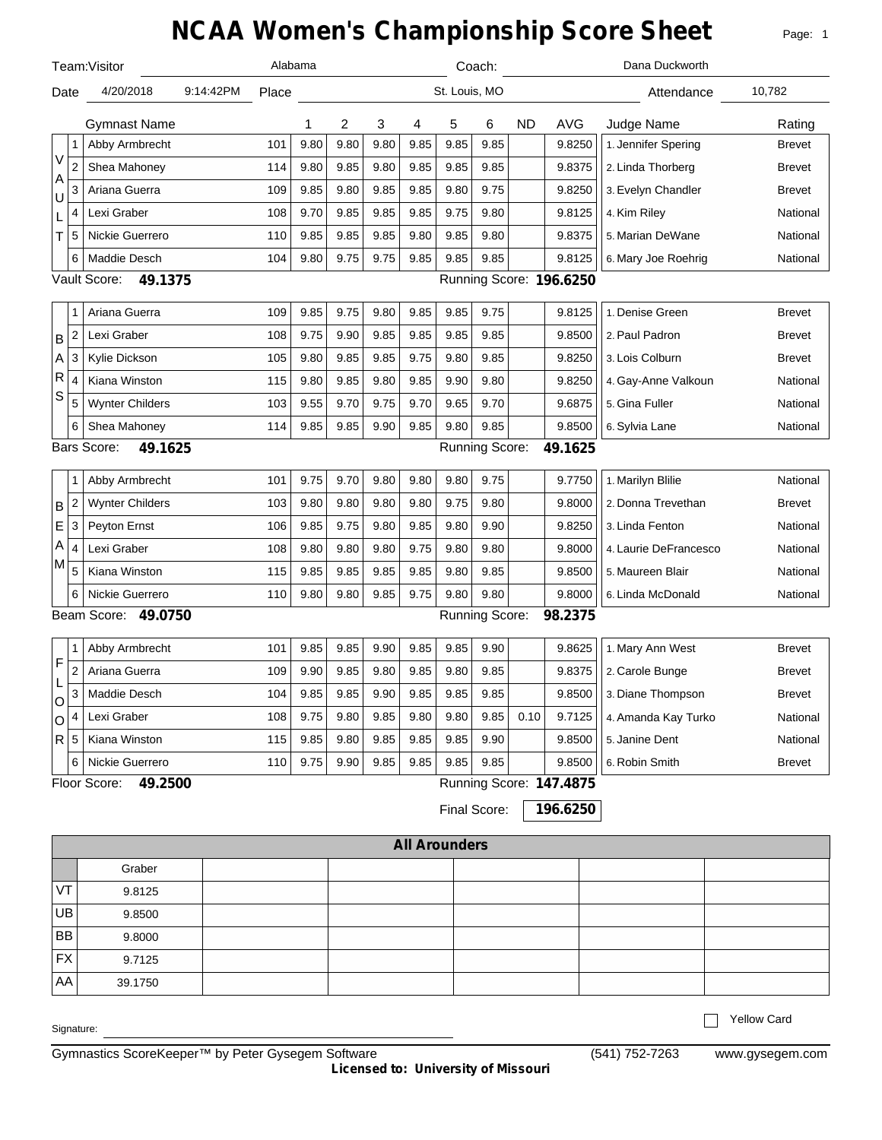|            |                         | Team: Visitor           |       | Alabama |      |      |                      |               | Coach:                |           |                         | Dana Duckworth        |                    |
|------------|-------------------------|-------------------------|-------|---------|------|------|----------------------|---------------|-----------------------|-----------|-------------------------|-----------------------|--------------------|
| Date       |                         | 4/20/2018<br>9:14:42PM  | Place |         |      |      |                      | St. Louis, MO |                       |           |                         | Attendance            | 10,782             |
|            |                         | <b>Gymnast Name</b>     |       | 1       | 2    | 3    | 4                    | 5             | 6                     | <b>ND</b> | AVG                     | Judge Name            | Rating             |
|            | 1                       | Abby Armbrecht          | 101   | 9.80    | 9.80 | 9.80 | 9.85                 | 9.85          | 9.85                  |           | 9.8250                  | 1. Jennifer Spering   | <b>Brevet</b>      |
| ٧          | $\overline{\mathbf{c}}$ | Shea Mahoney            | 114   | 9.80    | 9.85 | 9.80 | 9.85                 | 9.85          | 9.85                  |           | 9.8375                  | 2. Linda Thorberg     | <b>Brevet</b>      |
| Α<br>U     | 3                       | Ariana Guerra           | 109   | 9.85    | 9.80 | 9.85 | 9.85                 | 9.80          | 9.75                  |           | 9.8250                  | 3. Evelyn Chandler    | <b>Brevet</b>      |
|            | 4                       | Lexi Graber             | 108   | 9.70    | 9.85 | 9.85 | 9.85                 | 9.75          | 9.80                  |           | 9.8125                  | 4. Kim Riley          | National           |
| т          | 5                       | Nickie Guerrero         | 110   | 9.85    | 9.85 | 9.85 | 9.80                 | 9.85          | 9.80                  |           | 9.8375                  | 5. Marian DeWane      | National           |
|            | 6                       | <b>Maddie Desch</b>     | 104   | 9.80    | 9.75 | 9.75 | 9.85                 | 9.85          | 9.85                  |           | 9.8125                  | 6. Mary Joe Roehrig   | National           |
|            |                         | Vault Score:<br>49.1375 |       |         |      |      |                      |               |                       |           | Running Score: 196.6250 |                       |                    |
|            | 1                       | Ariana Guerra           | 109   | 9.85    | 9.75 | 9.80 | 9.85                 | 9.85          | 9.75                  |           | 9.8125                  | 1. Denise Green       | <b>Brevet</b>      |
| B          | 2                       | Lexi Graber             | 108   | 9.75    | 9.90 | 9.85 | 9.85                 | 9.85          | 9.85                  |           | 9.8500                  | 2. Paul Padron        | <b>Brevet</b>      |
| Α          | 3                       | Kylie Dickson           | 105   | 9.80    | 9.85 | 9.85 | 9.75                 | 9.80          | 9.85                  |           | 9.8250                  | 3. Lois Colburn       | <b>Brevet</b>      |
| R          | 4                       | Kiana Winston           | 115   | 9.80    | 9.85 | 9.80 | 9.85                 | 9.90          | 9.80                  |           | 9.8250                  | 4. Gay-Anne Valkoun   | National           |
| S          | 5                       | <b>Wynter Childers</b>  | 103   | 9.55    | 9.70 | 9.75 | 9.70                 | 9.65          | 9.70                  |           | 9.6875                  | 5. Gina Fuller        | National           |
|            | 6                       | Shea Mahoney            | 114   | 9.85    | 9.85 | 9.90 | 9.85                 | 9.80          | 9.85                  |           | 9.8500                  | 6. Sylvia Lane        | National           |
|            |                         | Bars Score:<br>49.1625  |       |         |      |      |                      |               | <b>Running Score:</b> |           | 49.1625                 |                       |                    |
|            | 1                       | Abby Armbrecht          | 101   | 9.75    | 9.70 | 9.80 | 9.80                 | 9.80          | 9.75                  |           | 9.7750                  | 1. Marilyn Blilie     | National           |
| B          | $\overline{\mathbf{c}}$ | <b>Wynter Childers</b>  | 103   | 9.80    | 9.80 | 9.80 | 9.80                 | 9.75          | 9.80                  |           | 9.8000                  | 2. Donna Trevethan    | <b>Brevet</b>      |
| Е          | 3                       | Peyton Ernst            | 106   | 9.85    | 9.75 | 9.80 | 9.85                 | 9.80          | 9.90                  |           | 9.8250                  | 3. Linda Fenton       | National           |
| Α          | 4                       | Lexi Graber             | 108   | 9.80    | 9.80 | 9.80 | 9.75                 | 9.80          | 9.80                  |           | 9.8000                  | 4. Laurie DeFrancesco | National           |
| M          | 5                       | Kiana Winston           | 115   | 9.85    | 9.85 | 9.85 | 9.85                 | 9.80          | 9.85                  |           | 9.8500                  | 5. Maureen Blair      | National           |
|            | 6                       | Nickie Guerrero         | 110   | 9.80    | 9.80 | 9.85 | 9.75                 | 9.80          | 9.80                  |           | 9.8000                  | 6. Linda McDonald     | National           |
|            |                         | Beam Score: 49.0750     |       |         |      |      |                      |               | Running Score:        |           | 98.2375                 |                       |                    |
|            | 1                       | Abby Armbrecht          | 101   | 9.85    | 9.85 | 9.90 | 9.85                 | 9.85          | 9.90                  |           | 9.8625                  | 1. Mary Ann West      | <b>Brevet</b>      |
| F          | $\overline{c}$          | Ariana Guerra           | 109   | 9.90    | 9.85 | 9.80 | 9.85                 | 9.80          | 9.85                  |           | 9.8375                  | 2. Carole Bunge       | <b>Brevet</b>      |
| O          | 3                       | Maddie Desch            | 104   | 9.85    | 9.85 | 9.90 | 9.85                 | 9.85          | 9.85                  |           | 9.8500                  | 3. Diane Thompson     | <b>Brevet</b>      |
| O          | 4                       | Lexi Graber             | 108   | 9.75    | 9.80 | 9.85 | 9.80                 | 9.80          | 9.85                  | 0.10      | 9.7125                  | 4. Amanda Kay Turko   | National           |
| $R \mid 5$ |                         | Kiana Winston           | 115   | 9.85    | 9.80 | 9.85 | 9.85                 | 9.85          | 9.90                  |           | 9.8500                  | 5. Janine Dent        | National           |
|            | 6                       | Nickie Guerrero         | 110   | 9.75    | 9.90 | 9.85 | 9.85                 | 9.85          | 9.85                  |           | 9.8500                  | 6. Robin Smith        | <b>Brevet</b>      |
|            |                         | Floor Score:<br>49.2500 |       |         |      |      |                      |               |                       |           | Running Score: 147.4875 |                       |                    |
|            |                         |                         |       |         |      |      |                      |               | Final Score:          |           | 196.6250                |                       |                    |
|            |                         |                         |       |         |      |      | <b>All Arounders</b> |               |                       |           |                         |                       |                    |
|            |                         | Graber                  |       |         |      |      |                      |               |                       |           |                         |                       |                    |
| VT         |                         | 9.8125                  |       |         |      |      |                      |               |                       |           |                         |                       |                    |
| UB         |                         | 9.8500                  |       |         |      |      |                      |               |                       |           |                         |                       |                    |
| BB         |                         | 9.8000                  |       |         |      |      |                      |               |                       |           |                         |                       |                    |
| <b>FX</b>  |                         | 9.7125                  |       |         |      |      |                      |               |                       |           |                         |                       |                    |
| AA         |                         | 39.1750                 |       |         |      |      |                      |               |                       |           |                         |                       |                    |
| Signature: |                         |                         |       |         |      |      |                      |               |                       |           |                         |                       | <b>Yellow Card</b> |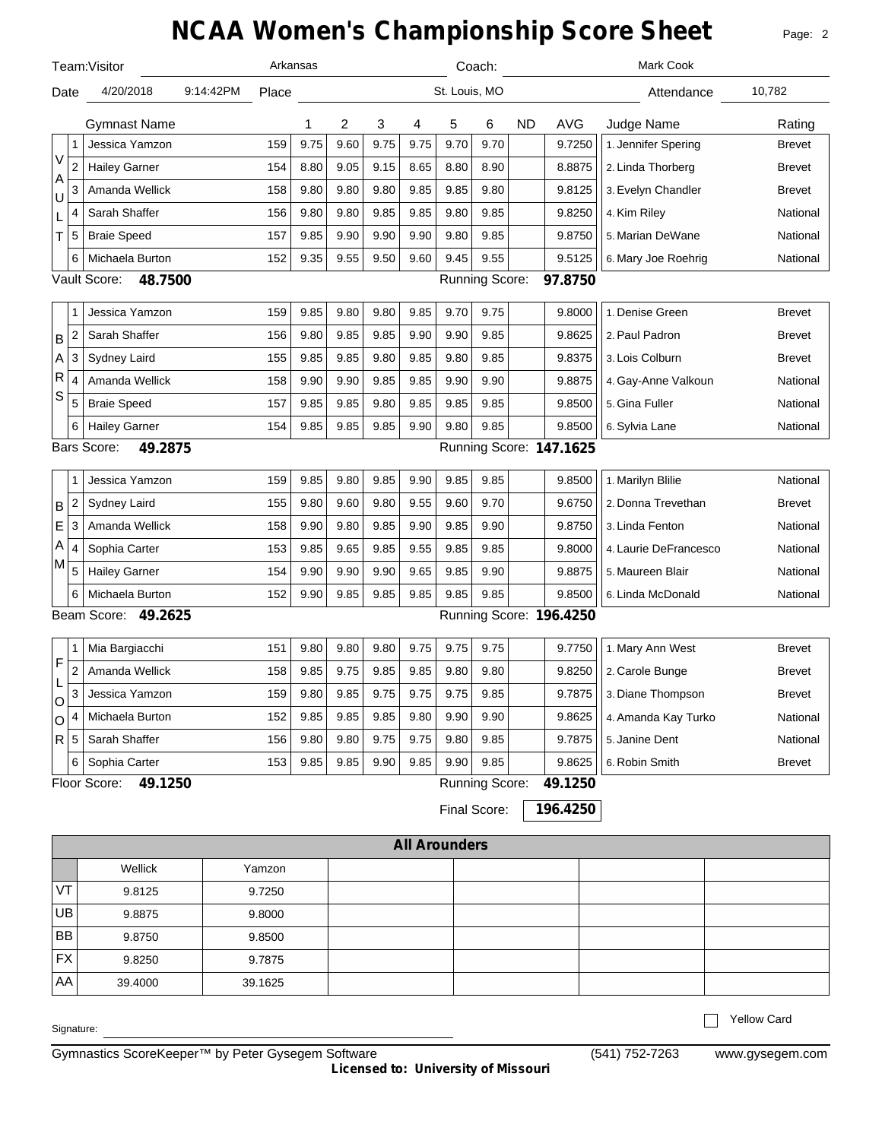|            |                         | Team:Visitor                  |         | Arkansas |      |      |      |                      | Coach:         |           |                         | Mark Cook             |                    |
|------------|-------------------------|-------------------------------|---------|----------|------|------|------|----------------------|----------------|-----------|-------------------------|-----------------------|--------------------|
| Date       |                         | 9:14:42PM<br>4/20/2018        | Place   |          |      |      |      | St. Louis, MO        |                |           |                         | Attendance            | 10,782             |
|            |                         | <b>Gymnast Name</b>           |         | 1        | 2    | 3    | 4    | 5                    | 6              | <b>ND</b> | AVG                     | Judge Name            | Rating             |
|            | 1                       | Jessica Yamzon                | 159     | 9.75     | 9.60 | 9.75 | 9.75 | 9.70                 | 9.70           |           | 9.7250                  | 1. Jennifer Spering   | <b>Brevet</b>      |
| ٧          | $\overline{\mathbf{c}}$ | <b>Hailey Garner</b>          | 154     | 8.80     | 9.05 | 9.15 | 8.65 | 8.80                 | 8.90           |           | 8.8875                  | 2. Linda Thorberg     | <b>Brevet</b>      |
| Α          | 3                       | Amanda Wellick                | 158     | 9.80     | 9.80 | 9.80 | 9.85 | 9.85                 | 9.80           |           | 9.8125                  | 3. Evelyn Chandler    | <b>Brevet</b>      |
|            | 4                       | Sarah Shaffer                 | 156     | 9.80     | 9.80 | 9.85 | 9.85 | 9.80                 | 9.85           |           | 9.8250                  | 4. Kim Riley          | National           |
| Т          | 5                       | <b>Braie Speed</b>            | 157     | 9.85     | 9.90 | 9.90 | 9.90 | 9.80                 | 9.85           |           | 9.8750                  | 5. Marian DeWane      | National           |
|            | 6                       | Michaela Burton               | 152     | 9.35     | 9.55 | 9.50 | 9.60 | 9.45                 | 9.55           |           | 9.5125                  | 6. Mary Joe Roehrig   | National           |
|            |                         | Vault Score:<br>48.7500       |         |          |      |      |      |                      | Running Score: |           | 97.8750                 |                       |                    |
|            | 1                       | Jessica Yamzon                | 159     | 9.85     | 9.80 | 9.80 | 9.85 | 9.70                 | 9.75           |           | 9.8000                  | 1. Denise Green       | <b>Brevet</b>      |
| B          | $\overline{\mathbf{c}}$ | Sarah Shaffer                 | 156     | 9.80     | 9.85 | 9.85 | 9.90 | 9.90                 | 9.85           |           | 9.8625                  | 2. Paul Padron        | <b>Brevet</b>      |
| Α          | 3                       | <b>Sydney Laird</b>           | 155     | 9.85     | 9.85 | 9.80 | 9.85 | 9.80                 | 9.85           |           | 9.8375                  | 3. Lois Colburn       | <b>Brevet</b>      |
| R          | 4                       | Amanda Wellick                | 158     | 9.90     | 9.90 | 9.85 | 9.85 | 9.90                 | 9.90           |           | 9.8875                  | 4. Gay-Anne Valkoun   | National           |
| S          | 5                       | <b>Braie Speed</b>            | 157     | 9.85     | 9.85 | 9.80 | 9.85 | 9.85                 | 9.85           |           | 9.8500                  | 5. Gina Fuller        | National           |
|            | 6                       | <b>Hailey Garner</b>          | 154     | 9.85     | 9.85 | 9.85 | 9.90 | 9.80                 | 9.85           |           | 9.8500                  | 6. Sylvia Lane        | National           |
|            |                         | <b>Bars Score:</b><br>49.2875 |         |          |      |      |      |                      |                |           | Running Score: 147.1625 |                       |                    |
|            | 1                       | Jessica Yamzon                | 159     | 9.85     | 9.80 | 9.85 | 9.90 | 9.85                 | 9.85           |           | 9.8500                  | 1. Marilyn Blilie     | National           |
| B          | $\overline{\mathbf{c}}$ | Sydney Laird                  | 155     | 9.80     | 9.60 | 9.80 | 9.55 | 9.60                 | 9.70           |           | 9.6750                  | 2. Donna Trevethan    | <b>Brevet</b>      |
| E          | 3                       | Amanda Wellick                | 158     | 9.90     | 9.80 | 9.85 | 9.90 | 9.85                 | 9.90           |           | 9.8750                  | 3. Linda Fenton       | National           |
| Α          | $\overline{4}$          | Sophia Carter                 | 153     | 9.85     | 9.65 | 9.85 | 9.55 | 9.85                 | 9.85           |           | 9.8000                  | 4. Laurie DeFrancesco | National           |
| M          | 5                       | <b>Hailey Garner</b>          | 154     | 9.90     | 9.90 | 9.90 | 9.65 | 9.85                 | 9.90           |           | 9.8875                  | 5. Maureen Blair      | National           |
|            | 6                       | Michaela Burton               | 152     | 9.90     | 9.85 | 9.85 | 9.85 | 9.85                 | 9.85           |           | 9.8500                  | 6. Linda McDonald     | National           |
|            |                         | Beam Score: 49.2625           |         |          |      |      |      |                      |                |           | Running Score: 196.4250 |                       |                    |
|            | 1                       | Mia Bargiacchi                | 151     | 9.80     | 9.80 | 9.80 | 9.75 | 9.75                 | 9.75           |           | 9.7750                  | 1. Mary Ann West      | <b>Brevet</b>      |
| F          | 2                       | Amanda Wellick                | 158     | 9.85     | 9.75 | 9.85 | 9.85 | 9.80                 | 9.80           |           | 9.8250                  | 2. Carole Bunge       | <b>Brevet</b>      |
| O          | 3                       | Jessica Yamzon                | 159     | 9.80     | 9.85 | 9.75 | 9.75 | 9.75                 | 9.85           |           | 9.7875                  | 3. Diane Thompson     | <b>Brevet</b>      |
| O          | 4                       | Michaela Burton               | 152     | 9.85     | 9.85 | 9.85 | 9.80 | 9.90                 | 9.90           |           | 9.8625                  | 4. Amanda Kay Turko   | National           |
| $R\vert 5$ |                         | Sarah Shaffer                 | 156     | 9.80     | 9.80 | 9.75 | 9.75 | 9.80                 | 9.85           |           | 9.7875                  | 5. Janine Dent        | National           |
|            | 6                       | Sophia Carter                 | 153     | 9.85     | 9.85 | 9.90 | 9.85 | 9.90                 | 9.85           |           | 9.8625                  | 6. Robin Smith        | <b>Brevet</b>      |
|            |                         | Floor Score:<br>49.1250       |         |          |      |      |      |                      | Running Score: |           | 49.1250                 |                       |                    |
|            |                         |                               |         |          |      |      |      |                      | Final Score:   |           | 196.4250                |                       |                    |
|            |                         |                               |         |          |      |      |      | <b>All Arounders</b> |                |           |                         |                       |                    |
|            |                         | Wellick                       | Yamzon  |          |      |      |      |                      |                |           |                         |                       |                    |
| VT         |                         | 9.8125                        | 9.7250  |          |      |      |      |                      |                |           |                         |                       |                    |
| UB         |                         | 9.8875                        | 9.8000  |          |      |      |      |                      |                |           |                         |                       |                    |
| BB         |                         | 9.8750                        | 9.8500  |          |      |      |      |                      |                |           |                         |                       |                    |
| <b>FX</b>  |                         | 9.8250                        | 9.7875  |          |      |      |      |                      |                |           |                         |                       |                    |
| AA         |                         | 39.4000                       | 39.1625 |          |      |      |      |                      |                |           |                         |                       |                    |
|            |                         |                               |         |          |      |      |      |                      |                |           |                         |                       |                    |
| Signature: |                         |                               |         |          |      |      |      |                      |                |           |                         |                       | <b>Yellow Card</b> |

Gymnastics ScoreKeeper™ by Peter Gysegem Software (541) 752-7263 www.gysegem.com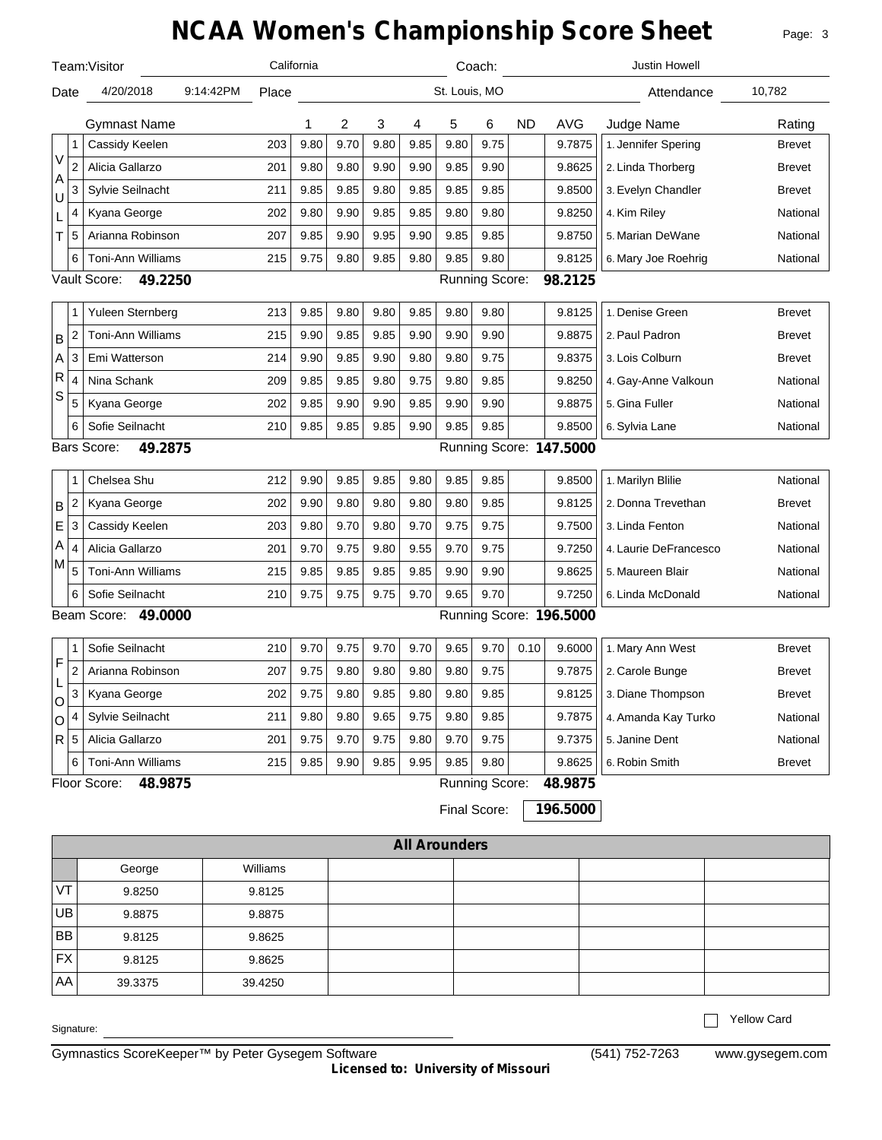| Team: Visitor                |                        |          | California |      |      |      |                      | Coach:                |           |                         | Justin Howell         |                    |
|------------------------------|------------------------|----------|------------|------|------|------|----------------------|-----------------------|-----------|-------------------------|-----------------------|--------------------|
| Date                         | 4/20/2018<br>9:14:42PM | Place    |            |      |      |      | St. Louis, MO        |                       |           |                         | Attendance            | 10,782             |
|                              | <b>Gymnast Name</b>    |          | 1          | 2    | 3    | 4    | 5                    | 6                     | <b>ND</b> | AVG                     | Judge Name            | Rating             |
| 1                            | Cassidy Keelen         | 203      | 9.80       | 9.70 | 9.80 | 9.85 | 9.80                 | 9.75                  |           | 9.7875                  | 1. Jennifer Spering   | <b>Brevet</b>      |
| V<br>$\overline{c}$          | Alicia Gallarzo        | 201      | 9.80       | 9.80 | 9.90 | 9.90 | 9.85                 | 9.90                  |           | 9.8625                  | 2. Linda Thorberg     | <b>Brevet</b>      |
| Α<br>3<br>U                  | Sylvie Seilnacht       | 211      | 9.85       | 9.85 | 9.80 | 9.85 | 9.85                 | 9.85                  |           | 9.8500                  | 3. Evelyn Chandler    | <b>Brevet</b>      |
| 4<br>L                       | Kvana George           | 202      | 9.80       | 9.90 | 9.85 | 9.85 | 9.80                 | 9.80                  |           | 9.8250                  | 4. Kim Riley          | National           |
| 5<br>т                       | Arianna Robinson       | 207      | 9.85       | 9.90 | 9.95 | 9.90 | 9.85                 | 9.85                  |           | 9.8750                  | 5. Marian DeWane      | National           |
| 6                            | Toni-Ann Williams      | 215      | 9.75       | 9.80 | 9.85 | 9.80 | 9.85                 | 9.80                  |           | 9.8125                  | 6. Mary Joe Roehrig   | National           |
| Vault Score:                 | 49.2250                |          |            |      |      |      |                      | <b>Running Score:</b> |           | 98.2125                 |                       |                    |
| 1                            | Yuleen Sternberg       | 213      | 9.85       | 9.80 | 9.80 | 9.85 | 9.80                 | 9.80                  |           | 9.8125                  | 1. Denise Green       | <b>Brevet</b>      |
| 2<br>B                       | Toni-Ann Williams      | 215      | 9.90       | 9.85 | 9.85 | 9.90 | 9.90                 | 9.90                  |           | 9.8875                  | 2. Paul Padron        | <b>Brevet</b>      |
| 3<br>Α                       | Emi Watterson          | 214      | 9.90       | 9.85 | 9.90 | 9.80 | 9.80                 | 9.75                  |           | 9.8375                  | 3. Lois Colburn       | <b>Brevet</b>      |
| R<br>4<br>Nina Schank        |                        | 209      | 9.85       | 9.85 | 9.80 | 9.75 | 9.80                 | 9.85                  |           | 9.8250                  | 4. Gay-Anne Valkoun   | National           |
| S<br>5                       | Kyana George           | 202      | 9.85       | 9.90 | 9.90 | 9.85 | 9.90                 | 9.90                  |           | 9.8875                  | 5. Gina Fuller        | National           |
| 6                            | Sofie Seilnacht        | 210      | 9.85       | 9.85 | 9.85 | 9.90 | 9.85                 | 9.85                  |           | 9.8500                  | 6. Sylvia Lane        | National           |
| Bars Score:                  | 49.2875                |          |            |      |      |      |                      |                       |           | Running Score: 147.5000 |                       |                    |
| Chelsea Shu<br>1             |                        | 212      | 9.90       | 9.85 | 9.85 | 9.80 | 9.85                 | 9.85                  |           | 9.8500                  | 1. Marilyn Blilie     | National           |
| 2<br>В                       | Kyana George           | 202      | 9.90       | 9.80 | 9.80 | 9.80 | 9.80                 | 9.85                  |           | 9.8125                  | 2. Donna Trevethan    | <b>Brevet</b>      |
| E<br>3                       | Cassidy Keelen         | 203      | 9.80       | 9.70 | 9.80 | 9.70 | 9.75                 | 9.75                  |           | 9.7500                  | 3. Linda Fenton       | National           |
| Α<br>4                       | Alicia Gallarzo        | 201      | 9.70       | 9.75 | 9.80 | 9.55 | 9.70                 | 9.75                  |           | 9.7250                  | 4. Laurie DeFrancesco | National           |
| M<br>5                       | Toni-Ann Williams      | 215      | 9.85       | 9.85 | 9.85 | 9.85 | 9.90                 | 9.90                  |           | 9.8625                  | 5. Maureen Blair      | National           |
| 6                            | Sofie Seilnacht        | 210      | 9.75       | 9.75 | 9.75 | 9.70 | 9.65                 | 9.70                  |           | 9.7250                  | 6. Linda McDonald     | National           |
| Beam Score: 49.0000          |                        |          |            |      |      |      |                      |                       |           | Running Score: 196.5000 |                       |                    |
| 1                            | Sofie Seilnacht        | 210      | 9.70       | 9.75 | 9.70 | 9.70 | 9.65                 | 9.70                  | 0.10      | 9.6000                  | 1. Mary Ann West      | <b>Brevet</b>      |
| F<br>$\overline{\mathbf{c}}$ | Arianna Robinson       | 207      | 9.75       | 9.80 | 9.80 | 9.80 | 9.80                 | 9.75                  |           | 9.7875                  | 2. Carole Bunge       | <b>Brevet</b>      |
| L<br>3<br>O                  | Kyana George           | 202      | 9.75       | 9.80 | 9.85 | 9.80 | 9.80                 | 9.85                  |           | 9.8125                  | 3. Diane Thompson     | <b>Brevet</b>      |
| 4<br>O                       | Sylvie Seilnacht       | 211      | 9.80       | 9.80 | 9.65 | 9.75 | 9.80                 | 9.85                  |           | 9.7875                  | 4. Amanda Kay Turko   | National           |
| R <br>5                      | Alicia Gallarzo        | 201      | 9.75       | 9.70 | 9.75 | 9.80 | 9.70                 | 9.75                  |           | 9.7375                  | 5. Janine Dent        | National           |
| 6                            | Toni-Ann Williams      | 215      | 9.85       | 9.90 | 9.85 | 9.95 | 9.85                 | 9.80                  |           | 9.8625                  | 6. Robin Smith        | <b>Brevet</b>      |
| Floor Score:                 | 48.9875                |          |            |      |      |      |                      | Running Score:        |           | 48.9875                 |                       |                    |
|                              |                        |          |            |      |      |      |                      | Final Score:          |           | 196.5000                |                       |                    |
|                              |                        |          |            |      |      |      | <b>All Arounders</b> |                       |           |                         |                       |                    |
|                              | George                 | Williams |            |      |      |      |                      |                       |           |                         |                       |                    |
| VT                           | 9.8250                 | 9.8125   |            |      |      |      |                      |                       |           |                         |                       |                    |
| UB                           | 9.8875                 | 9.8875   |            |      |      |      |                      |                       |           |                         |                       |                    |
| BB                           | 9.8125                 | 9.8625   |            |      |      |      |                      |                       |           |                         |                       |                    |
| <b>FX</b>                    | 9.8125                 | 9.8625   |            |      |      |      |                      |                       |           |                         |                       |                    |
| AA                           | 39.3375                | 39.4250  |            |      |      |      |                      |                       |           |                         |                       |                    |
| Signature:                   |                        |          |            |      |      |      |                      |                       |           |                         |                       | <b>Yellow Card</b> |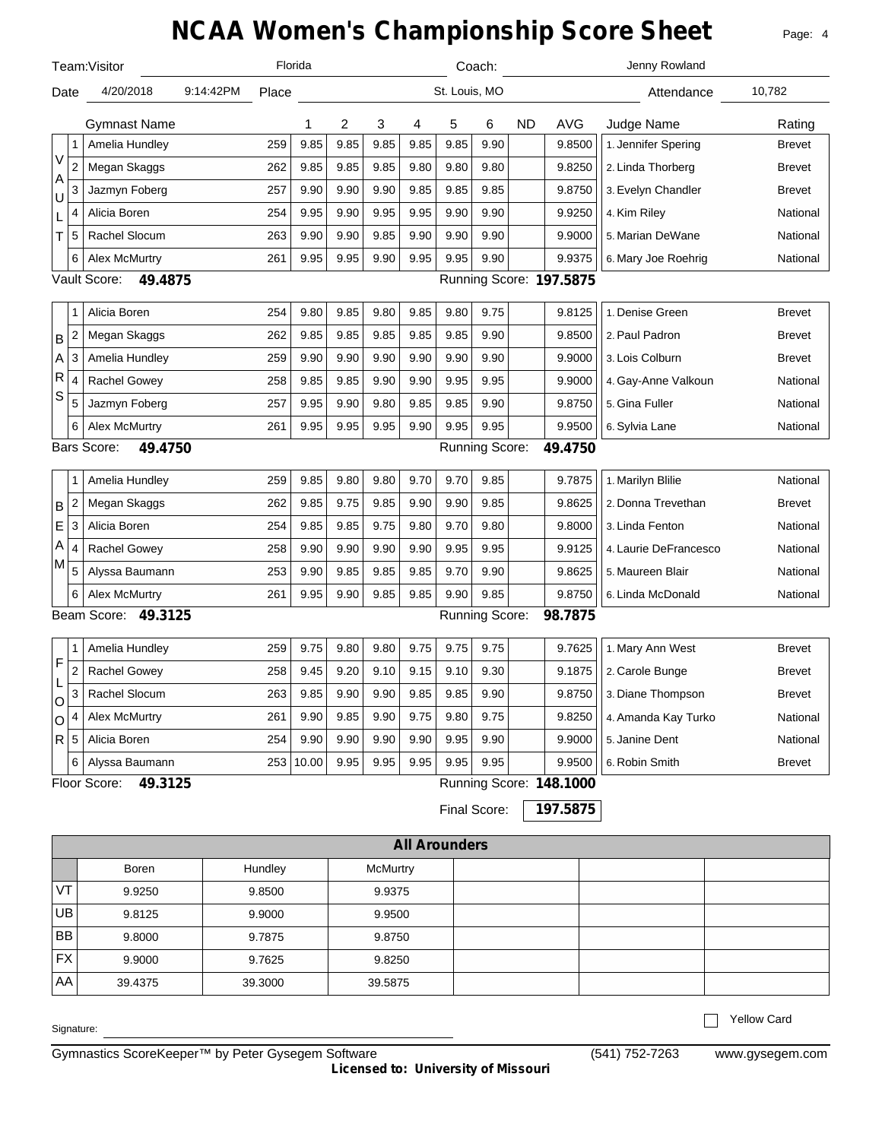|                       | Team:Visitor                  |                    | Florida |      |          |      |                      | Coach:                |           |                         | Jenny Rowland         |                    |
|-----------------------|-------------------------------|--------------------|---------|------|----------|------|----------------------|-----------------------|-----------|-------------------------|-----------------------|--------------------|
| Date                  | 4/20/2018                     | 9:14:42PM<br>Place |         |      |          |      | St. Louis, MO        |                       |           |                         | Attendance            | 10,782             |
|                       | <b>Gymnast Name</b>           |                    | 1       | 2    | 3        | 4    | 5                    | 6                     | <b>ND</b> | <b>AVG</b>              | Judge Name            | Rating             |
| 1                     | Amelia Hundley                | 259                | 9.85    | 9.85 | 9.85     | 9.85 | 9.85                 | 9.90                  |           | 9.8500                  | 1. Jennifer Spering   | <b>Brevet</b>      |
| V<br>$\boldsymbol{2}$ | Megan Skaggs                  | 262                | 9.85    | 9.85 | 9.85     | 9.80 | 9.80                 | 9.80                  |           | 9.8250                  | 2. Linda Thorberg     | <b>Brevet</b>      |
| A<br>3                | Jazmyn Foberg                 | 257                | 9.90    | 9.90 | 9.90     | 9.85 | 9.85                 | 9.85                  |           | 9.8750                  | 3. Evelyn Chandler    | <b>Brevet</b>      |
| 4<br>L                | Alicia Boren                  | 254                | 9.95    | 9.90 | 9.95     | 9.95 | 9.90                 | 9.90                  |           | 9.9250                  | 4. Kim Riley          | National           |
| 5<br>т                | Rachel Slocum                 | 263                | 9.90    | 9.90 | 9.85     | 9.90 | 9.90                 | 9.90                  |           | 9.9000                  | 5. Marian DeWane      | National           |
| 6                     | <b>Alex McMurtry</b>          | 261                | 9.95    | 9.95 | 9.90     | 9.95 | 9.95                 | 9.90                  |           | 9.9375                  | 6. Mary Joe Roehrig   | National           |
|                       | Vault Score:<br>49.4875       |                    |         |      |          |      |                      |                       |           | Running Score: 197.5875 |                       |                    |
| 1                     | Alicia Boren                  | 254                | 9.80    | 9.85 | 9.80     | 9.85 | 9.80                 | 9.75                  |           | 9.8125                  | 1. Denise Green       | <b>Brevet</b>      |
| 2<br>В                | Megan Skaggs                  | 262                | 9.85    | 9.85 | 9.85     | 9.85 | 9.85                 | 9.90                  |           | 9.8500                  | 2. Paul Padron        | <b>Brevet</b>      |
| 3<br>Α                | Amelia Hundley                | 259                | 9.90    | 9.90 | 9.90     | 9.90 | 9.90                 | 9.90                  |           | 9.9000                  | 3. Lois Colburn       | <b>Brevet</b>      |
| R<br>4                | <b>Rachel Gowey</b>           | 258                | 9.85    | 9.85 | 9.90     | 9.90 | 9.95                 | 9.95                  |           | 9.9000                  | 4. Gay-Anne Valkoun   | National           |
| S<br>5                | Jazmyn Foberg                 | 257                | 9.95    | 9.90 | 9.80     | 9.85 | 9.85                 | 9.90                  |           | 9.8750                  | 5. Gina Fuller        | National           |
| 6                     | Alex McMurtry                 | 261                | 9.95    | 9.95 | 9.95     | 9.90 | 9.95                 | 9.95                  |           | 9.9500                  | 6. Sylvia Lane        | National           |
|                       | <b>Bars Score:</b><br>49.4750 |                    |         |      |          |      |                      | <b>Running Score:</b> |           | 49.4750                 |                       |                    |
| 1                     | Amelia Hundley                | 259                | 9.85    | 9.80 | 9.80     | 9.70 | 9.70                 | 9.85                  |           | 9.7875                  | 1. Marilyn Blilie     | National           |
| 2<br>В                | Megan Skaggs                  | 262                | 9.85    | 9.75 | 9.85     | 9.90 | 9.90                 | 9.85                  |           | 9.8625                  | 2. Donna Trevethan    | <b>Brevet</b>      |
| Е<br>3                | Alicia Boren                  | 254                | 9.85    | 9.85 | 9.75     | 9.80 | 9.70                 | 9.80                  |           | 9.8000                  | 3. Linda Fenton       | National           |
| A<br>$\overline{4}$   | <b>Rachel Gowey</b>           | 258                | 9.90    | 9.90 | 9.90     | 9.90 | 9.95                 | 9.95                  |           | 9.9125                  | 4. Laurie DeFrancesco | National           |
| M<br>5                | Alyssa Baumann                | 253                | 9.90    | 9.85 | 9.85     | 9.85 | 9.70                 | 9.90                  |           | 9.8625                  | 5. Maureen Blair      | National           |
| 6                     | Alex McMurtry                 | 261                | 9.95    | 9.90 | 9.85     | 9.85 | 9.90                 | 9.85                  |           | 9.8750                  | 6. Linda McDonald     | National           |
|                       | Beam Score: 49.3125           |                    |         |      |          |      |                      | Running Score:        |           | 98.7875                 |                       |                    |
| 1                     | Amelia Hundley                | 259                | 9.75    | 9.80 | 9.80     | 9.75 | 9.75                 | 9.75                  |           | 9.7625                  | 1. Mary Ann West      | <b>Brevet</b>      |
| F<br>$\boldsymbol{2}$ | <b>Rachel Gowey</b>           | 258                | 9.45    | 9.20 | 9.10     | 9.15 | 9.10                 | 9.30                  |           | 9.1875                  | 2. Carole Bunge       | Brevet             |
|                       | 3<br>Rachel Slocum            | 263                | 9.85    | 9.90 | 9.90     | 9.85 | 9.85                 | 9.90                  |           | 9.8750                  | 3. Diane Thompson     | <b>Brevet</b>      |
| O                     | Alex McMurtry<br>4            | 261                | 9.90    | 9.85 | 9.90     | 9.75 | 9.80                 | 9.75                  |           | 9.8250                  | 4. Amanda Kay Turko   | National           |
| $\sqrt{5}$<br>R       | Alicia Boren                  | 254                | 9.90    | 9.90 | 9.90     | 9.90 | 9.95                 | 9.90                  |           | 9.9000                  | 5. Janine Dent        | National           |
| 6                     | Alyssa Baumann                | 253                | 10.00   | 9.95 | 9.95     | 9.95 | 9.95                 | 9.95                  |           | 9.9500                  | 6. Robin Smith        | <b>Brevet</b>      |
|                       | Floor Score:<br>49.3125       |                    |         |      |          |      |                      |                       |           | Running Score: 148.1000 |                       |                    |
|                       |                               |                    |         |      |          |      |                      | Final Score:          |           | 197.5875                |                       |                    |
|                       |                               |                    |         |      |          |      | <b>All Arounders</b> |                       |           |                         |                       |                    |
|                       | Boren                         | Hundley            |         |      | McMurtry |      |                      |                       |           |                         |                       |                    |
| VT                    | 9.9250                        | 9.8500             |         |      | 9.9375   |      |                      |                       |           |                         |                       |                    |
| UB                    | 9.8125                        | 9.9000             |         |      | 9.9500   |      |                      |                       |           |                         |                       |                    |
| BB                    | 9.8000                        | 9.7875             |         |      | 9.8750   |      |                      |                       |           |                         |                       |                    |
| <b>FX</b>             | 9.9000                        | 9.7625             |         |      | 9.8250   |      |                      |                       |           |                         |                       |                    |
| AA                    | 39.4375                       | 39.3000            |         |      | 39.5875  |      |                      |                       |           |                         |                       |                    |
| Signature:            |                               |                    |         |      |          |      |                      |                       |           |                         |                       | <b>Yellow Card</b> |

Gymnastics ScoreKeeper™ by Peter Gysegem Software (541) 752-7263 www.gysegem.com

**Licensed to: University of Missouri**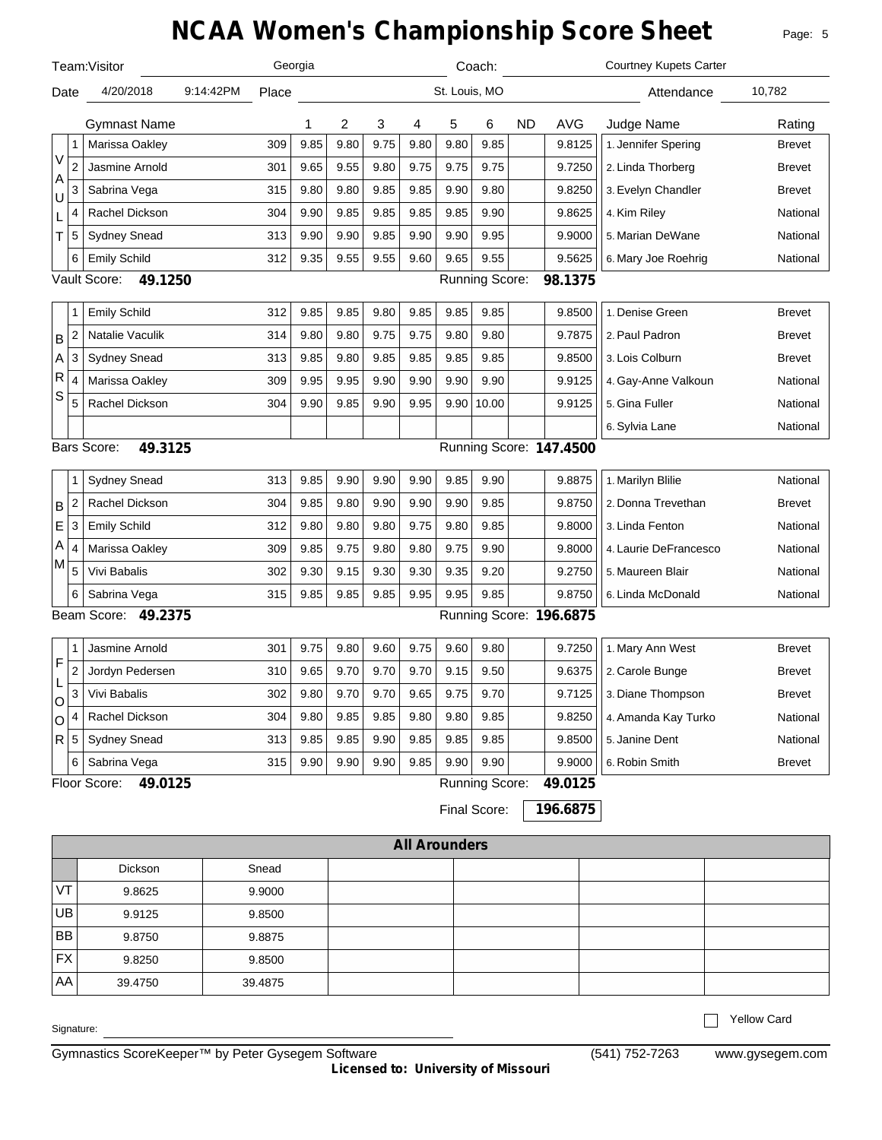Team: Visitor Coach: Georgia Coach: Coach: Date 4/20/2018 9:14:42PM Place St. Louis, MO St. Louis, MO Attendance 10,782 Gymnast Name  $\begin{array}{cccccccc}\n 1 & 2 & 3 & 4 & 5 & 6 & \text{ND} & \text{AVG} & \text{Judge Name}\n \end{array}$  Rating V A U L T 1. Jennifer Spering Brevet 2. Linda Thorberg Brevet 3. Evelyn Chandler Brevet 4. Kim Riley National 5. Marian DeWane National 6. Mary Joe Roehrig National Vault Score: **49.1250** 98.1375 B A R S 1. Denise Green Brevet 2. Paul Padron Brevet 3. Lois Colburn Brevet 4. Gay-Anne Valkoun National 5. Gina Fuller National 6. Sylvia Lane National **Bars Score: 49.3125 <b>147.4500 147.4500 147.4500** B E A M 1. Marilyn Blilie National 2. Donna Trevethan Brevet 3. Linda Fenton National 4. Laurie DeFrancesco National 5. Maureen Blair National 6. Linda McDonald National Beam Score: 49.2375 F L O O R 1. Mary Ann West **Brevet** 2. Carole Bunge Brevet 3. Diane Thompson Brevet 4. Amanda Kay Turko National 5. Janine Dent National 6. Robin Smith Brevet Floor Score: 49.0125 Final Score: **All Arounders** VT UB BB FX AA Signature: Courtney Kupets Carter 1 Marissa Oakley 309 9.85 9.80 9.75 9.80 9.80 9.85 9.8125 2 Jasmine Arnold 301 9.65 9.55 9.80 9.75 9.75 9.75 9.7250 3 Sabrina Vega 315 9.80 9.80 9.85 9.85 9.90 9.80 9.8250 4 Rachel Dickson 304 9.90 9.85 9.85 9.85 9.85 9.90 9.8625 5 Sydney Snead 313 9.90 9.90 9.85 9.90 9.90 9.95 9.9000 6 Emily Schild 312 9.35 9.55 9.55 9.60 9.65 9.55 9.5625 1 Emily Schild 312 9.85 9.85 9.80 9.85 9.85 9.85 9.8500 2 Natalie Vaculik 314 9.80 9.80 9.75 9.75 9.80 9.80 9.7875 3 Sydney Snead 313 9.85 9.80 9.85 9.85 9.85 9.85 9.8500 4 Marissa Oakley 309 9.95 9.95 9.90 9.90 9.90 9.90 9.9125 5 Rachel Dickson 304 9.90 9.85 9.90 9.95 9.90 10.00 9.9125 1 Sydney Snead 313 9.85 9.90 9.90 9.90 9.85 9.90 9.8875 2 Rachel Dickson 304 9.85 9.80 9.90 9.90 9.90 9.85 9.8750 3 Emily Schild 312 9.80 9.80 9.80 9.75 9.80 9.85 9.8000 4 Marissa Oakley 309 9.85 9.75 9.80 9.80 9.75 9.90 9.8000 5 Vivi Babalis 302 9.30 9.15 9.30 9.30 9.35 9.20 9.2750 6 Sabrina Vega 315 9.85 9.85 9.85 9.95 9.95 9.85 9.8750 **49.2375 196.6875** 1 Jasmine Arnold 301 | 9.75 | 9.80 | 9.76 | 9.75 | 9.80 | 9.80 | 9.7250 2 Jordyn Pedersen 310 9.65 9.70 9.70 9.70 9.15 9.50 9.6375 3 Vivi Babalis 302 9.80 9.70 9.70 9.65 9.75 9.70 9.7125 4 Rachel Dickson 304 9.80 9.85 9.85 9.80 9.80 9.85 9.8250 5 Sydney Snead 313 9.85 9.85 9.90 9.85 9.85 9.85 9.8500 6 Sabrina Vega 315 9.90 9.90 9.90 9.85 9.90 9.90 9.9000 **49.0125 49.0125 196.6875** Dickson | Snead 9.8625 9.9000 9.9125 9.8500 9.8750 9.8875 9.8250 9.8500 39.4750 39.4875 **Nellow Card**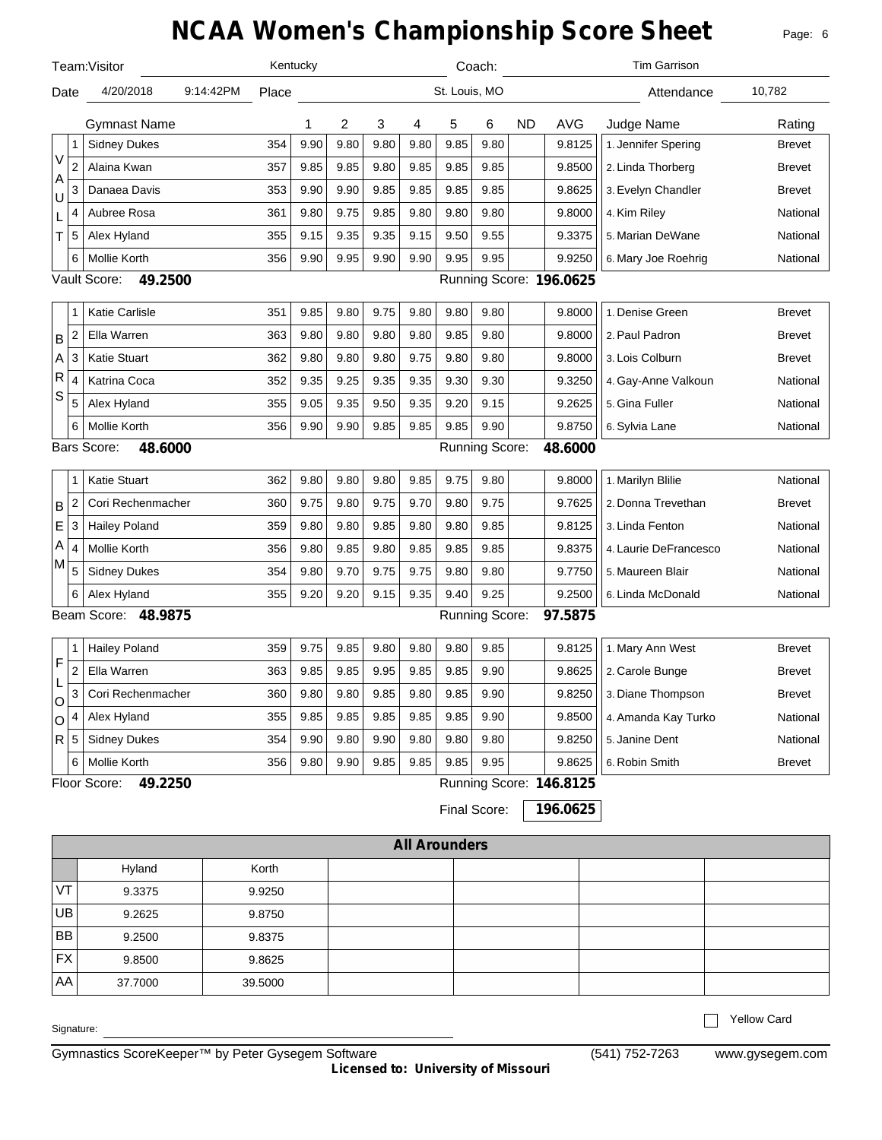|             |                         | Team:Visitor                  |         | Kentucky |      |      |      |                      | Coach:                |           |                         | <b>Tim Garrison</b>   |                    |
|-------------|-------------------------|-------------------------------|---------|----------|------|------|------|----------------------|-----------------------|-----------|-------------------------|-----------------------|--------------------|
| Date        |                         | 4/20/2018<br>9:14:42PM        | Place   |          |      |      |      | St. Louis, MO        |                       |           |                         | Attendance            | 10,782             |
|             |                         | <b>Gymnast Name</b>           |         | 1        | 2    | 3    | 4    | 5                    | 6                     | <b>ND</b> | <b>AVG</b>              | Judge Name            | Rating             |
|             | 1                       | <b>Sidney Dukes</b>           | 354     | 9.90     | 9.80 | 9.80 | 9.80 | 9.85                 | 9.80                  |           | 9.8125                  | 1. Jennifer Spering   | <b>Brevet</b>      |
| ٧           | $\overline{\mathbf{c}}$ | Alaina Kwan                   | 357     | 9.85     | 9.85 | 9.80 | 9.85 | 9.85                 | 9.85                  |           | 9.8500                  | 2. Linda Thorberg     | <b>Brevet</b>      |
| Α           | 3                       | Danaea Davis                  | 353     | 9.90     | 9.90 | 9.85 | 9.85 | 9.85                 | 9.85                  |           | 9.8625                  | 3. Evelyn Chandler    | <b>Brevet</b>      |
|             | 4                       | Aubree Rosa                   | 361     | 9.80     | 9.75 | 9.85 | 9.80 | 9.80                 | 9.80                  |           | 9.8000                  | 4. Kim Riley          | National           |
| Т           | 5                       | Alex Hyland                   | 355     | 9.15     | 9.35 | 9.35 | 9.15 | 9.50                 | 9.55                  |           | 9.3375                  | 5. Marian DeWane      | National           |
|             | 6                       | Mollie Korth                  | 356     | 9.90     | 9.95 | 9.90 | 9.90 | 9.95                 | 9.95                  |           | 9.9250                  | 6. Mary Joe Roehrig   | National           |
|             |                         | Vault Score:<br>49.2500       |         |          |      |      |      |                      |                       |           | Running Score: 196.0625 |                       |                    |
|             | 1                       | <b>Katie Carlisle</b>         | 351     | 9.85     | 9.80 | 9.75 | 9.80 | 9.80                 | 9.80                  |           | 9.8000                  | 1. Denise Green       | <b>Brevet</b>      |
| B           | 2                       | Ella Warren                   | 363     | 9.80     | 9.80 | 9.80 | 9.80 | 9.85                 | 9.80                  |           | 9.8000                  | 2. Paul Padron        | <b>Brevet</b>      |
| Α           | 3                       | Katie Stuart                  | 362     | 9.80     | 9.80 | 9.80 | 9.75 | 9.80                 | 9.80                  |           | 9.8000                  | 3. Lois Colburn       | <b>Brevet</b>      |
| R           | 4                       | Katrina Coca                  | 352     | 9.35     | 9.25 | 9.35 | 9.35 | 9.30                 | 9.30                  |           | 9.3250                  | 4. Gay-Anne Valkoun   | National           |
| S           | 5                       | Alex Hyland                   | 355     | 9.05     | 9.35 | 9.50 | 9.35 | 9.20                 | 9.15                  |           | 9.2625                  | 5. Gina Fuller        | National           |
|             | 6                       | Mollie Korth                  | 356     | 9.90     | 9.90 | 9.85 | 9.85 | 9.85                 | 9.90                  |           | 9.8750                  | 6. Sylvia Lane        | National           |
|             |                         | <b>Bars Score:</b><br>48.6000 |         |          |      |      |      |                      | Running Score:        |           | 48.6000                 |                       |                    |
|             | 1                       | <b>Katie Stuart</b>           | 362     | 9.80     | 9.80 | 9.80 | 9.85 | 9.75                 | 9.80                  |           | 9.8000                  | 1. Marilyn Blilie     | National           |
| В           | $\overline{2}$          | Cori Rechenmacher             | 360     | 9.75     | 9.80 | 9.75 | 9.70 | 9.80                 | 9.75                  |           | 9.7625                  | 2. Donna Trevethan    | <b>Brevet</b>      |
| Е           | 3                       | <b>Hailey Poland</b>          | 359     | 9.80     | 9.80 | 9.85 | 9.80 | 9.80                 | 9.85                  |           | 9.8125                  | 3. Linda Fenton       | National           |
| Α           | $\overline{4}$          | Mollie Korth                  | 356     | 9.80     | 9.85 | 9.80 | 9.85 | 9.85                 | 9.85                  |           | 9.8375                  | 4. Laurie DeFrancesco | National           |
| M           | 5                       | <b>Sidney Dukes</b>           | 354     | 9.80     | 9.70 | 9.75 | 9.75 | 9.80                 | 9.80                  |           | 9.7750                  | 5. Maureen Blair      | National           |
|             | 6                       | Alex Hyland                   | 355     | 9.20     | 9.20 | 9.15 | 9.35 | 9.40                 | 9.25                  |           | 9.2500                  | 6. Linda McDonald     | National           |
|             |                         | Beam Score: 48.9875           |         |          |      |      |      |                      | <b>Running Score:</b> |           | 97.5875                 |                       |                    |
|             | 1                       | <b>Hailey Poland</b>          | 359     | 9.75     | 9.85 | 9.80 | 9.80 | 9.80                 | 9.85                  |           | 9.8125                  | 1. Mary Ann West      | <b>Brevet</b>      |
| F           | 2                       | Ella Warren                   | 363     | 9.85     | 9.85 | 9.95 | 9.85 | 9.85                 | 9.90                  |           | 9.8625                  | 2. Carole Bunge       | <b>Brevet</b>      |
| O           | 3                       | Cori Rechenmacher             | 360     | 9.80     | 9.80 | 9.85 | 9.80 | 9.85                 | 9.90                  |           | 9.8250                  | 3. Diane Thompson     | <b>Brevet</b>      |
| O           | 4                       | Alex Hyland                   | 355     | 9.85     | 9.85 | 9.85 | 9.85 | 9.85                 | 9.90                  |           | 9.8500                  | 4. Amanda Kay Turko   | National           |
| $R \vert 5$ |                         | <b>Sidney Dukes</b>           | 354     | 9.90     | 9.80 | 9.90 | 9.80 | 9.80                 | 9.80                  |           | 9.8250                  | 5. Janine Dent        | National           |
|             | 6                       | Mollie Korth                  | 356     | 9.80     | 9.90 | 9.85 | 9.85 | 9.85                 | 9.95                  |           | 9.8625                  | 6. Robin Smith        | <b>Brevet</b>      |
|             |                         | Floor Score:<br>49.2250       |         |          |      |      |      |                      |                       |           | Running Score: 146.8125 |                       |                    |
|             |                         |                               |         |          |      |      |      |                      | Final Score:          |           | 196.0625                |                       |                    |
|             |                         |                               |         |          |      |      |      | <b>All Arounders</b> |                       |           |                         |                       |                    |
|             |                         | Hyland                        | Korth   |          |      |      |      |                      |                       |           |                         |                       |                    |
| VT          |                         | 9.3375                        | 9.9250  |          |      |      |      |                      |                       |           |                         |                       |                    |
| UB          |                         | 9.2625                        | 9.8750  |          |      |      |      |                      |                       |           |                         |                       |                    |
| BB          |                         | 9.2500                        | 9.8375  |          |      |      |      |                      |                       |           |                         |                       |                    |
| <b>FX</b>   |                         | 9.8500                        | 9.8625  |          |      |      |      |                      |                       |           |                         |                       |                    |
| AA          |                         | 37.7000                       | 39.5000 |          |      |      |      |                      |                       |           |                         |                       |                    |
|             |                         |                               |         |          |      |      |      |                      |                       |           |                         |                       |                    |
| Signature:  |                         |                               |         |          |      |      |      |                      |                       |           |                         |                       | <b>Yellow Card</b> |

Gymnastics ScoreKeeper™ by Peter Gysegem Software (541) 752-7263 www.gysegem.com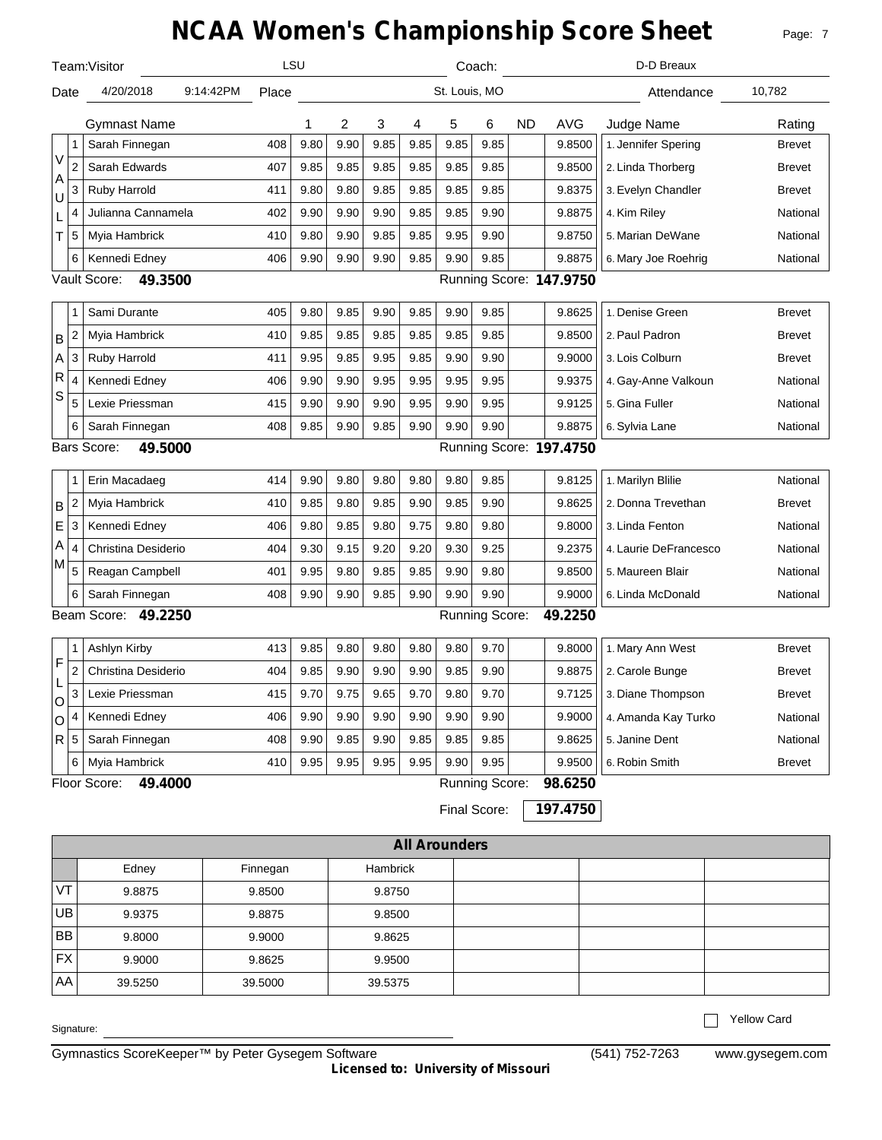|            |                           | Team: Visitor           |          | LSU  |      |          |      |                      | Coach:                |           |                         | D-D Breaux            |                    |
|------------|---------------------------|-------------------------|----------|------|------|----------|------|----------------------|-----------------------|-----------|-------------------------|-----------------------|--------------------|
| Date       |                           | 4/20/2018<br>9:14:42PM  | Place    |      |      |          |      | St. Louis, MO        |                       |           |                         | Attendance            | 10,782             |
|            |                           | <b>Gymnast Name</b>     |          | 1    | 2    | 3        | 4    | 5                    | 6                     | <b>ND</b> | AVG                     | Judge Name            | Rating             |
|            | 1                         | Sarah Finnegan          | 408      | 9.80 | 9.90 | 9.85     | 9.85 | 9.85                 | 9.85                  |           | 9.8500                  | 1. Jennifer Spering   | <b>Brevet</b>      |
| ٧          | $\overline{c}$            | Sarah Edwards           | 407      | 9.85 | 9.85 | 9.85     | 9.85 | 9.85                 | 9.85                  |           | 9.8500                  | 2. Linda Thorberg     | <b>Brevet</b>      |
| Α<br>U     | 3                         | Ruby Harrold            | 411      | 9.80 | 9.80 | 9.85     | 9.85 | 9.85                 | 9.85                  |           | 9.8375                  | 3. Evelyn Chandler    | <b>Brevet</b>      |
| L          | 4                         | Julianna Cannamela      | 402      | 9.90 | 9.90 | 9.90     | 9.85 | 9.85                 | 9.90                  |           | 9.8875                  | 4. Kim Riley          | National           |
| т          | 5                         | Myia Hambrick           | 410      | 9.80 | 9.90 | 9.85     | 9.85 | 9.95                 | 9.90                  |           | 9.8750                  | 5. Marian DeWane      | National           |
|            | 6                         | Kennedi Edney           | 406      | 9.90 | 9.90 | 9.90     | 9.85 | 9.90                 | 9.85                  |           | 9.8875                  | 6. Mary Joe Roehrig   | National           |
|            |                           | Vault Score:<br>49.3500 |          |      |      |          |      |                      |                       |           | Running Score: 147.9750 |                       |                    |
|            | 1                         | Sami Durante            | 405      | 9.80 | 9.85 | 9.90     | 9.85 | 9.90                 | 9.85                  |           | 9.8625                  | 1. Denise Green       | <b>Brevet</b>      |
| B          | $\overline{c}$            | Myia Hambrick           | 410      | 9.85 | 9.85 | 9.85     | 9.85 | 9.85                 | 9.85                  |           | 9.8500                  | 2. Paul Padron        | <b>Brevet</b>      |
| Α          | $\ensuremath{\mathsf{3}}$ | Ruby Harrold            | 411      | 9.95 | 9.85 | 9.95     | 9.85 | 9.90                 | 9.90                  |           | 9.9000                  | 3. Lois Colburn       | <b>Brevet</b>      |
| R          | $\overline{\mathcal{L}}$  | Kennedi Edney           | 406      | 9.90 | 9.90 | 9.95     | 9.95 | 9.95                 | 9.95                  |           | 9.9375                  | 4. Gay-Anne Valkoun   | National           |
| S          | 5                         | Lexie Priessman         | 415      | 9.90 | 9.90 | 9.90     | 9.95 | 9.90                 | 9.95                  |           | 9.9125                  | 5. Gina Fuller        | National           |
|            | 6                         | Sarah Finnegan          | 408      | 9.85 | 9.90 | 9.85     | 9.90 | 9.90                 | 9.90                  |           | 9.8875                  | 6. Sylvia Lane        | National           |
|            |                           | Bars Score:<br>49.5000  |          |      |      |          |      |                      |                       |           | Running Score: 197.4750 |                       |                    |
|            | 1                         | Erin Macadaeg           | 414      | 9.90 | 9.80 | 9.80     | 9.80 | 9.80                 | 9.85                  |           | 9.8125                  | 1. Marilyn Blilie     | National           |
| в          | $\overline{2}$            | Myia Hambrick           | 410      | 9.85 | 9.80 | 9.85     | 9.90 | 9.85                 | 9.90                  |           | 9.8625                  | 2. Donna Trevethan    | <b>Brevet</b>      |
| Е          | 3                         | Kennedi Edney           | 406      | 9.80 | 9.85 | 9.80     | 9.75 | 9.80                 | 9.80                  |           | 9.8000                  | 3. Linda Fenton       | National           |
| Α          | $\overline{4}$            | Christina Desiderio     | 404      | 9.30 | 9.15 | 9.20     | 9.20 | 9.30                 | 9.25                  |           | 9.2375                  | 4. Laurie DeFrancesco | National           |
| М          | 5                         | Reagan Campbell         | 401      | 9.95 | 9.80 | 9.85     | 9.85 | 9.90                 | 9.80                  |           | 9.8500                  | 5. Maureen Blair      | National           |
|            | 6                         | Sarah Finnegan          | 408      | 9.90 | 9.90 | 9.85     | 9.90 | 9.90                 | 9.90                  |           | 9.9000                  | 6. Linda McDonald     | National           |
|            |                           | Beam Score: 49.2250     |          |      |      |          |      |                      | <b>Running Score:</b> |           | 49.2250                 |                       |                    |
|            | 1                         | Ashlyn Kirby            | 413      | 9.85 | 9.80 | 9.80     | 9.80 | 9.80                 | 9.70                  |           | 9.8000                  | 1. Mary Ann West      | <b>Brevet</b>      |
| F          | $\boldsymbol{2}$          | Christina Desiderio     | 404      | 9.85 | 9.90 | 9.90     | 9.90 | 9.85                 | 9.90                  |           | 9.8875                  | 2. Carole Bunge       | <b>Brevet</b>      |
| L<br>O     | 3                         | Lexie Priessman         | 415      | 9.70 | 9.75 | 9.65     | 9.70 | 9.80                 | 9.70                  |           | 9.7125                  | 3. Diane Thompson     | <b>Brevet</b>      |
| $\circ$    | 4                         | Kennedi Edney           | 406      | 9.90 | 9.90 | 9.90     | 9.90 | 9.90                 | 9.90                  |           | 9.9000                  | 4. Amanda Kay Turko   | National           |
| $R\vert 5$ |                           | Sarah Finnegan          | 408      | 9.90 | 9.85 | 9.90     | 9.85 | 9.85                 | 9.85                  |           | 9.8625                  | 5. Janine Dent        | National           |
|            | 6                         | Myia Hambrick           | 410      | 9.95 | 9.95 | 9.95     | 9.95 | 9.90                 | 9.95                  |           | 9.9500                  | 6. Robin Smith        | <b>Brevet</b>      |
|            |                           | Floor Score:<br>49.4000 |          |      |      |          |      |                      | Running Score:        |           | 98.6250                 |                       |                    |
|            |                           |                         |          |      |      |          |      |                      | Final Score:          |           | 197.4750                |                       |                    |
|            |                           |                         |          |      |      |          |      | <b>All Arounders</b> |                       |           |                         |                       |                    |
|            |                           | Edney                   | Finnegan |      |      | Hambrick |      |                      |                       |           |                         |                       |                    |
| VT         |                           | 9.8875                  | 9.8500   |      |      | 9.8750   |      |                      |                       |           |                         |                       |                    |
| UB         |                           | 9.9375                  | 9.8875   |      |      | 9.8500   |      |                      |                       |           |                         |                       |                    |
| BB         |                           | 9.8000                  | 9.9000   |      |      | 9.8625   |      |                      |                       |           |                         |                       |                    |
| <b>FX</b>  |                           | 9.9000                  | 9.8625   |      |      | 9.9500   |      |                      |                       |           |                         |                       |                    |
| AA         |                           | 39.5250                 | 39.5000  |      |      | 39.5375  |      |                      |                       |           |                         |                       |                    |
|            |                           |                         |          |      |      |          |      |                      |                       |           |                         |                       |                    |
| Signature: |                           |                         |          |      |      |          |      |                      |                       |           |                         |                       | <b>Yellow Card</b> |

Gymnastics ScoreKeeper™ by Peter Gysegem Software (541) 752-7263 www.gysegem.com

**Licensed to: University of Missouri**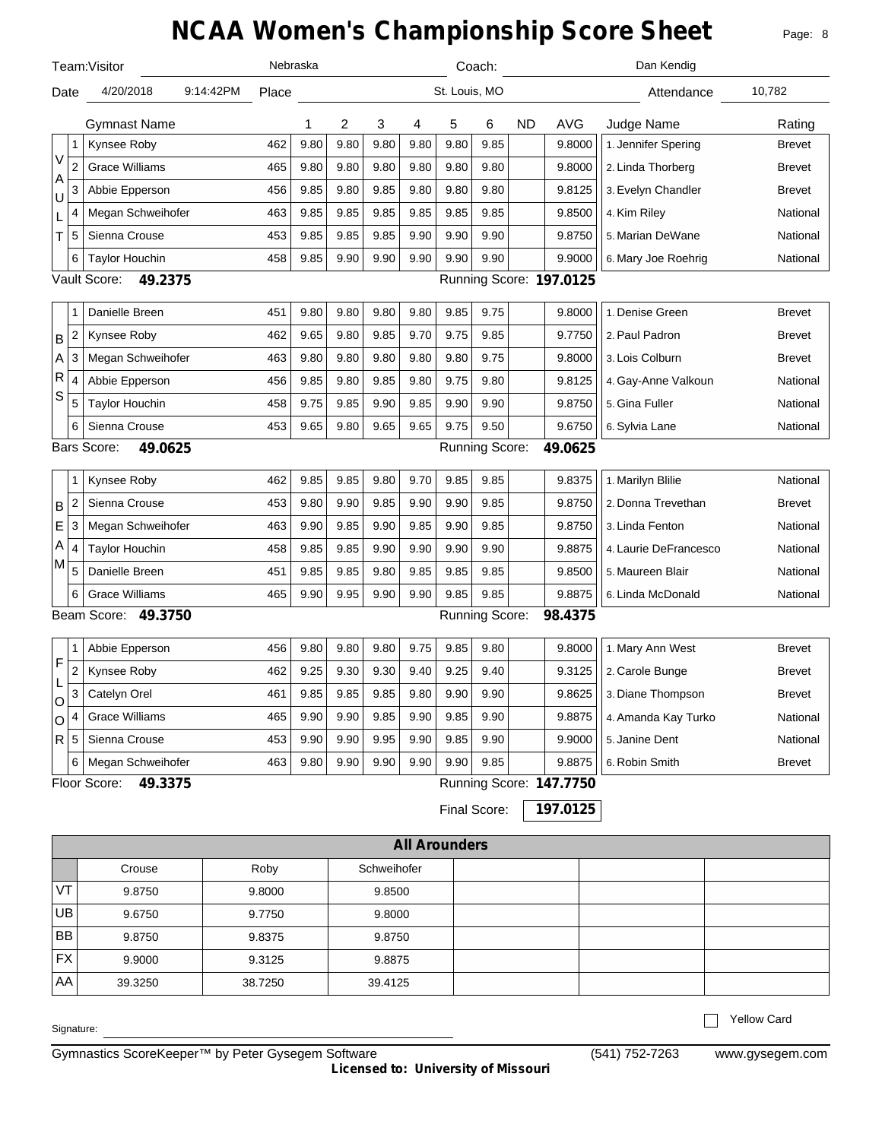|           |                         | Team: Visitor                 |         | Nebraska |      |             |      |                      | Coach:                |           |                         | Dan Kendig            |                    |
|-----------|-------------------------|-------------------------------|---------|----------|------|-------------|------|----------------------|-----------------------|-----------|-------------------------|-----------------------|--------------------|
|           | Date                    | 4/20/2018<br>9:14:42PM        | Place   |          |      |             |      | St. Louis, MO        |                       |           |                         | Attendance            | 10,782             |
|           |                         | <b>Gymnast Name</b>           |         | 1        | 2    | 3           | 4    | 5                    | 6                     | <b>ND</b> | AVG                     | Judge Name            | Rating             |
|           | 1                       | Kynsee Roby                   | 462     | 9.80     | 9.80 | 9.80        | 9.80 | 9.80                 | 9.85                  |           | 9.8000                  | 1. Jennifer Spering   | <b>Brevet</b>      |
| V         | $\boldsymbol{2}$        | <b>Grace Williams</b>         | 465     | 9.80     | 9.80 | 9.80        | 9.80 | 9.80                 | 9.80                  |           | 9.8000                  | 2. Linda Thorberg     | <b>Brevet</b>      |
| Α<br>U    | 3                       | Abbie Epperson                | 456     | 9.85     | 9.80 | 9.85        | 9.80 | 9.80                 | 9.80                  |           | 9.8125                  | 3. Evelyn Chandler    | <b>Brevet</b>      |
| L         | 4                       | Megan Schweihofer             | 463     | 9.85     | 9.85 | 9.85        | 9.85 | 9.85                 | 9.85                  |           | 9.8500                  | 4. Kim Riley          | National           |
| T         | 5                       | Sienna Crouse                 | 453     | 9.85     | 9.85 | 9.85        | 9.90 | 9.90                 | 9.90                  |           | 9.8750                  | 5. Marian DeWane      | National           |
|           | 6                       | <b>Taylor Houchin</b>         | 458     | 9.85     | 9.90 | 9.90        | 9.90 | 9.90                 | 9.90                  |           | 9.9000                  | 6. Mary Joe Roehrig   | National           |
|           |                         | Vault Score:<br>49.2375       |         |          |      |             |      |                      |                       |           | Running Score: 197.0125 |                       |                    |
|           | 1                       | Danielle Breen                | 451     | 9.80     | 9.80 | 9.80        | 9.80 | 9.85                 | 9.75                  |           | 9.8000                  | 1. Denise Green       | <b>Brevet</b>      |
| $\sf B$   | $\overline{\mathbf{c}}$ | Kynsee Roby                   | 462     | 9.65     | 9.80 | 9.85        | 9.70 | 9.75                 | 9.85                  |           | 9.7750                  | 2. Paul Padron        | <b>Brevet</b>      |
| Α         | 3                       | Megan Schweihofer             | 463     | 9.80     | 9.80 | 9.80        | 9.80 | 9.80                 | 9.75                  |           | 9.8000                  | 3. Lois Colburn       | <b>Brevet</b>      |
| ${\sf R}$ | $\overline{4}$          | Abbie Epperson                | 456     | 9.85     | 9.80 | 9.85        | 9.80 | 9.75                 | 9.80                  |           | 9.8125                  | 4. Gay-Anne Valkoun   | National           |
| S         | 5                       | <b>Taylor Houchin</b>         | 458     | 9.75     | 9.85 | 9.90        | 9.85 | 9.90                 | 9.90                  |           | 9.8750                  | 5. Gina Fuller        | National           |
|           | 6                       | Sienna Crouse                 | 453     | 9.65     | 9.80 | 9.65        | 9.65 | 9.75                 | 9.50                  |           | 9.6750                  | 6. Sylvia Lane        | National           |
|           |                         | <b>Bars Score:</b><br>49.0625 |         |          |      |             |      |                      | <b>Running Score:</b> |           | 49.0625                 |                       |                    |
|           | 1                       | Kynsee Roby                   | 462     | 9.85     | 9.85 | 9.80        | 9.70 | 9.85                 | 9.85                  |           | 9.8375                  | 1. Marilyn Blilie     | National           |
|           | $\overline{\mathbf{c}}$ | Sienna Crouse                 | 453     | 9.80     | 9.90 | 9.85        | 9.90 | 9.90                 | 9.85                  |           | 9.8750                  | 2. Donna Trevethan    | <b>Brevet</b>      |
| B<br>E    | 3                       | Megan Schweihofer             | 463     | 9.90     | 9.85 | 9.90        | 9.85 | 9.90                 | 9.85                  |           | 9.8750                  | 3. Linda Fenton       | National           |
| A         | $\overline{4}$          | <b>Taylor Houchin</b>         | 458     | 9.85     | 9.85 | 9.90        | 9.90 | 9.90                 | 9.90                  |           | 9.8875                  | 4. Laurie DeFrancesco | National           |
| M         | 5                       | Danielle Breen                | 451     | 9.85     | 9.85 | 9.80        | 9.85 | 9.85                 | 9.85                  |           | 9.8500                  | 5. Maureen Blair      | National           |
|           | 6                       | <b>Grace Williams</b>         | 465     | 9.90     | 9.95 | 9.90        | 9.90 | 9.85                 | 9.85                  |           | 9.8875                  | 6. Linda McDonald     | National           |
|           |                         | Beam Score: 49.3750           |         |          |      |             |      |                      | <b>Running Score:</b> |           | 98.4375                 |                       |                    |
|           | 1                       | Abbie Epperson                | 456     | 9.80     | 9.80 | 9.80        | 9.75 | 9.85                 | 9.80                  |           | 9.8000                  | 1. Mary Ann West      | <b>Brevet</b>      |
| F         | $\mathbf 2$             | Kynsee Roby                   | 462     | 9.25     | 9.30 | 9.30        | 9.40 | 9.25                 | 9.40                  |           | 9.3125                  | 2. Carole Bunge       | <b>Brevet</b>      |
| L         | 3                       | Catelyn Orel                  | 461     | 9.85     | 9.85 | 9.85        | 9.80 | 9.90                 | 9.90                  |           | 9.8625                  | 3. Diane Thompson     | <b>Brevet</b>      |
| O<br>O    | 4                       | Grace Williams                | 465     | 9.90     | 9.90 | 9.85        | 9.90 | 9.85                 | 9.90                  |           | 9.8875                  | 4. Amanda Kay Turko   | National           |
|           | 5<br>R                  | Sienna Crouse                 | 453     | 9.90     | 9.90 | 9.95        | 9.90 | 9.85                 | 9.90                  |           | 9.9000                  | 5. Janine Dent        | National           |
|           | 6                       | Megan Schweihofer             | 463     | 9.80     | 9.90 | 9.90        | 9.90 | 9.90                 | 9.85                  |           | 9.8875                  | 6. Robin Smith        | <b>Brevet</b>      |
|           |                         | Floor Score:<br>49.3375       |         |          |      |             |      |                      |                       |           | Running Score: 147.7750 |                       |                    |
|           |                         |                               |         |          |      |             |      |                      | Final Score:          |           | 197.0125                |                       |                    |
|           |                         |                               |         |          |      |             |      | <b>All Arounders</b> |                       |           |                         |                       |                    |
|           |                         | Crouse                        | Roby    |          |      | Schweihofer |      |                      |                       |           |                         |                       |                    |
|           | VT                      | 9.8750                        | 9.8000  |          |      | 9.8500      |      |                      |                       |           |                         |                       |                    |
|           | UB                      | 9.6750                        | 9.7750  |          |      | 9.8000      |      |                      |                       |           |                         |                       |                    |
|           | BB                      | 9.8750                        | 9.8375  |          |      | 9.8750      |      |                      |                       |           |                         |                       |                    |
|           | <b>FX</b>               | 9.9000                        | 9.3125  |          |      | 9.8875      |      |                      |                       |           |                         |                       |                    |
|           | AA                      | 39.3250                       | 38.7250 |          |      | 39.4125     |      |                      |                       |           |                         |                       |                    |
|           | Signature:              |                               |         |          |      |             |      |                      |                       |           |                         |                       | <b>Yellow Card</b> |

Gymnastics ScoreKeeper™ by Peter Gysegem Software (541) 752-7263 www.gysegem.com

**Licensed to: University of Missouri**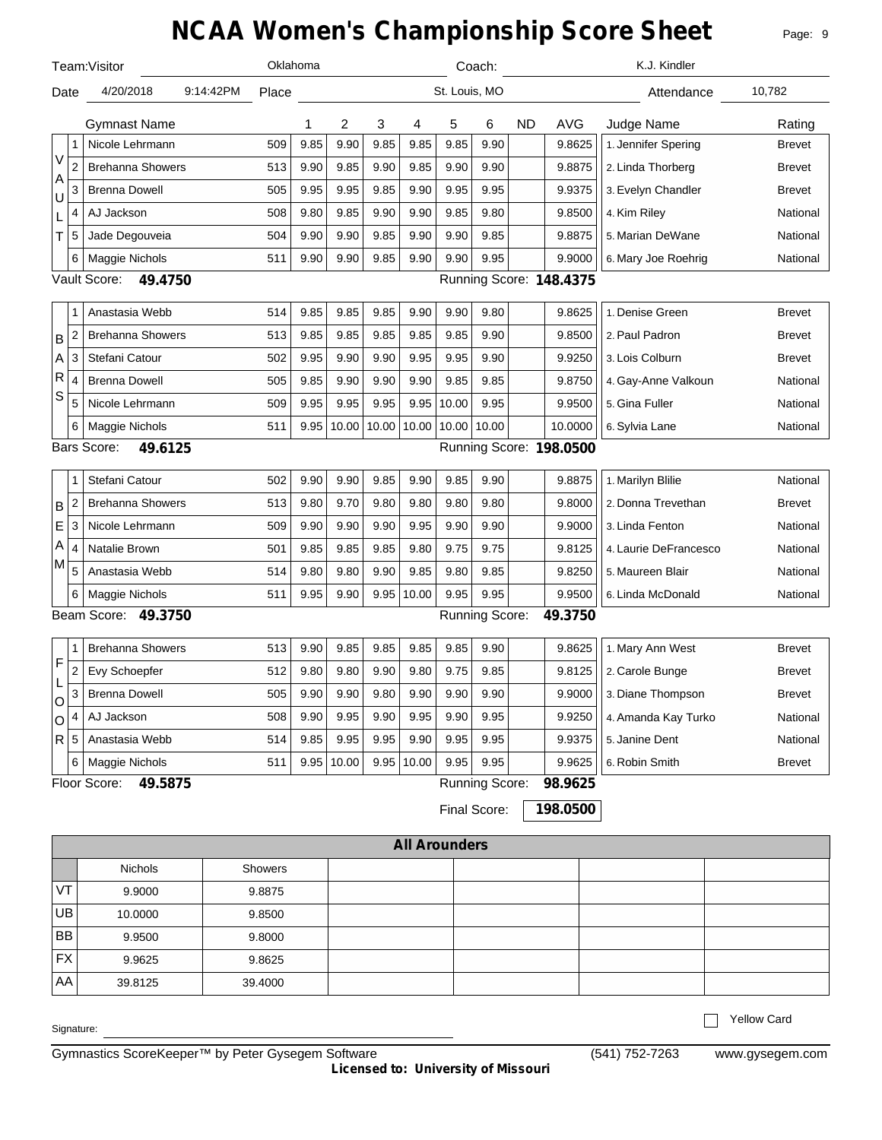|            |                         | Team: Visitor           |         | Oklahoma |                |       |                      |               | Coach:                |           |                         | K.J. Kindler          |                    |
|------------|-------------------------|-------------------------|---------|----------|----------------|-------|----------------------|---------------|-----------------------|-----------|-------------------------|-----------------------|--------------------|
| Date       |                         | 4/20/2018<br>9:14:42PM  | Place   |          |                |       |                      | St. Louis, MO |                       |           |                         | Attendance            | 10,782             |
|            |                         | <b>Gymnast Name</b>     |         | 1        | 2              | 3     | 4                    | 5             | 6                     | <b>ND</b> | <b>AVG</b>              | Judge Name            | Rating             |
|            | 1                       | Nicole Lehrmann         | 509     | 9.85     | 9.90           | 9.85  | 9.85                 | 9.85          | 9.90                  |           | 9.8625                  | 1. Jennifer Spering   | <b>Brevet</b>      |
| V          | $\overline{\mathbf{c}}$ | <b>Brehanna Showers</b> | 513     | 9.90     | 9.85           | 9.90  | 9.85                 | 9.90          | 9.90                  |           | 9.8875                  | 2. Linda Thorberg     | <b>Brevet</b>      |
| Α<br>U     | 3                       | <b>Brenna Dowell</b>    | 505     | 9.95     | 9.95           | 9.85  | 9.90                 | 9.95          | 9.95                  |           | 9.9375                  | 3. Evelyn Chandler    | <b>Brevet</b>      |
|            | 4                       | AJ Jackson              | 508     | 9.80     | 9.85           | 9.90  | 9.90                 | 9.85          | 9.80                  |           | 9.8500                  | 4. Kim Riley          | National           |
| Т          | 5                       | Jade Degouveia          | 504     | 9.90     | 9.90           | 9.85  | 9.90                 | 9.90          | 9.85                  |           | 9.8875                  | 5. Marian DeWane      | National           |
|            | 6                       | Maggie Nichols          | 511     | 9.90     | 9.90           | 9.85  | 9.90                 | 9.90          | 9.95                  |           | 9.9000                  | 6. Mary Joe Roehrig   | National           |
|            |                         | Vault Score:<br>49.4750 |         |          |                |       |                      |               |                       |           | Running Score: 148.4375 |                       |                    |
|            | 1                       | Anastasia Webb          | 514     | 9.85     | 9.85           | 9.85  | 9.90                 | 9.90          | 9.80                  |           | 9.8625                  | 1. Denise Green       | <b>Brevet</b>      |
| В          | 2                       | <b>Brehanna Showers</b> | 513     | 9.85     | 9.85           | 9.85  | 9.85                 | 9.85          | 9.90                  |           | 9.8500                  | 2. Paul Padron        | <b>Brevet</b>      |
| А          | 3                       | Stefani Catour          | 502     | 9.95     | 9.90           | 9.90  | 9.95                 | 9.95          | 9.90                  |           | 9.9250                  | 3. Lois Colburn       | <b>Brevet</b>      |
| R          | 4                       | <b>Brenna Dowell</b>    | 505     | 9.85     | 9.90           | 9.90  | 9.90                 | 9.85          | 9.85                  |           | 9.8750                  | 4. Gay-Anne Valkoun   | National           |
| S          | 5                       | Nicole Lehrmann         | 509     | 9.95     | 9.95           | 9.95  | 9.95                 | 10.00         | 9.95                  |           | 9.9500                  | 5. Gina Fuller        | National           |
|            | 6                       | Maggie Nichols          | 511     | 9.95     | 10.00          | 10.00 | 10.00                | 10.00         | 10.00                 |           | 10.0000                 | 6. Sylvia Lane        | National           |
|            |                         | Bars Score:<br>49.6125  |         |          |                |       |                      |               |                       |           | Running Score: 198.0500 |                       |                    |
|            | 1                       | Stefani Catour          | 502     | 9.90     | 9.90           | 9.85  | 9.90                 | 9.85          | 9.90                  |           | 9.8875                  | 1. Marilyn Blilie     | National           |
| В          | 2                       | <b>Brehanna Showers</b> | 513     | 9.80     | 9.70           | 9.80  | 9.80                 | 9.80          | 9.80                  |           | 9.8000                  | 2. Donna Trevethan    | <b>Brevet</b>      |
| E          | 3                       | Nicole Lehrmann         | 509     | 9.90     | 9.90           | 9.90  | 9.95                 | 9.90          | 9.90                  |           | 9.9000                  | 3. Linda Fenton       | National           |
| Α          | 4                       | Natalie Brown           | 501     | 9.85     | 9.85           | 9.85  | 9.80                 | 9.75          | 9.75                  |           | 9.8125                  | 4. Laurie DeFrancesco | National           |
| M          | 5                       | Anastasia Webb          | 514     | 9.80     | 9.80           | 9.90  | 9.85                 | 9.80          | 9.85                  |           | 9.8250                  | 5. Maureen Blair      | National           |
|            | 6                       | Maggie Nichols          | 511     | 9.95     | 9.90           | 9.95  | 10.00                | 9.95          | 9.95                  |           | 9.9500                  | 6. Linda McDonald     | National           |
|            |                         | Beam Score: 49.3750     |         |          |                |       |                      |               | <b>Running Score:</b> |           | 49.3750                 |                       |                    |
|            | 1                       | <b>Brehanna Showers</b> | 513     | 9.90     | 9.85           | 9.85  | 9.85                 | 9.85          | 9.90                  |           | 9.8625                  | 1. Mary Ann West      | <b>Brevet</b>      |
| F          | $\overline{\mathbf{c}}$ | Evy Schoepfer           | 512     | 9.80     | 9.80           | 9.90  | 9.80                 | 9.75          | 9.85                  |           | 9.8125                  | 2. Carole Bunge       | <b>Brevet</b>      |
|            | 3                       | <b>Brenna Dowell</b>    | 505     | 9.90     | 9.90           | 9.80  | 9.90                 | 9.90          | 9.90                  |           | 9.9000                  | 3. Diane Thompson     | <b>Brevet</b>      |
| Ő          | 4                       | AJ Jackson              | 508     | 9.90     | 9.95           | 9.90  | 9.95                 | 9.90          | 9.95                  |           | 9.9250                  | 4. Amanda Kay Turko   | National           |
| Ο          | $R \vert 5$             | Anastasia Webb          | 514     | 9.85     | 9.95           | 9.95  | 9.90                 | 9.95          | 9.95                  |           | 9.9375                  | 5. Janine Dent        | National           |
|            | 6                       | Maggie Nichols          | 511     |          | $9.95$   10.00 |       | $9.95$ 10.00         | 9.95          | 9.95                  |           | 9.9625                  | 6. Robin Smith        | <b>Brevet</b>      |
|            |                         | Floor Score:<br>49.5875 |         |          |                |       |                      |               | Running Score:        |           | 98.9625                 |                       |                    |
|            |                         |                         |         |          |                |       |                      |               | Final Score:          |           | 198.0500                |                       |                    |
|            |                         |                         |         |          |                |       |                      |               |                       |           |                         |                       |                    |
|            |                         |                         |         |          |                |       | <b>All Arounders</b> |               |                       |           |                         |                       |                    |
|            |                         | Nichols                 | Showers |          |                |       |                      |               |                       |           |                         |                       |                    |
| VT         |                         | 9.9000                  | 9.8875  |          |                |       |                      |               |                       |           |                         |                       |                    |
| UB         |                         | 10.0000                 | 9.8500  |          |                |       |                      |               |                       |           |                         |                       |                    |
| BB         |                         | 9.9500                  | 9.8000  |          |                |       |                      |               |                       |           |                         |                       |                    |
| <b>FX</b>  |                         | 9.9625                  | 9.8625  |          |                |       |                      |               |                       |           |                         |                       |                    |
| AA         |                         | 39.8125                 | 39.4000 |          |                |       |                      |               |                       |           |                         |                       |                    |
| Signature: |                         |                         |         |          |                |       |                      |               |                       |           |                         |                       | <b>Yellow Card</b> |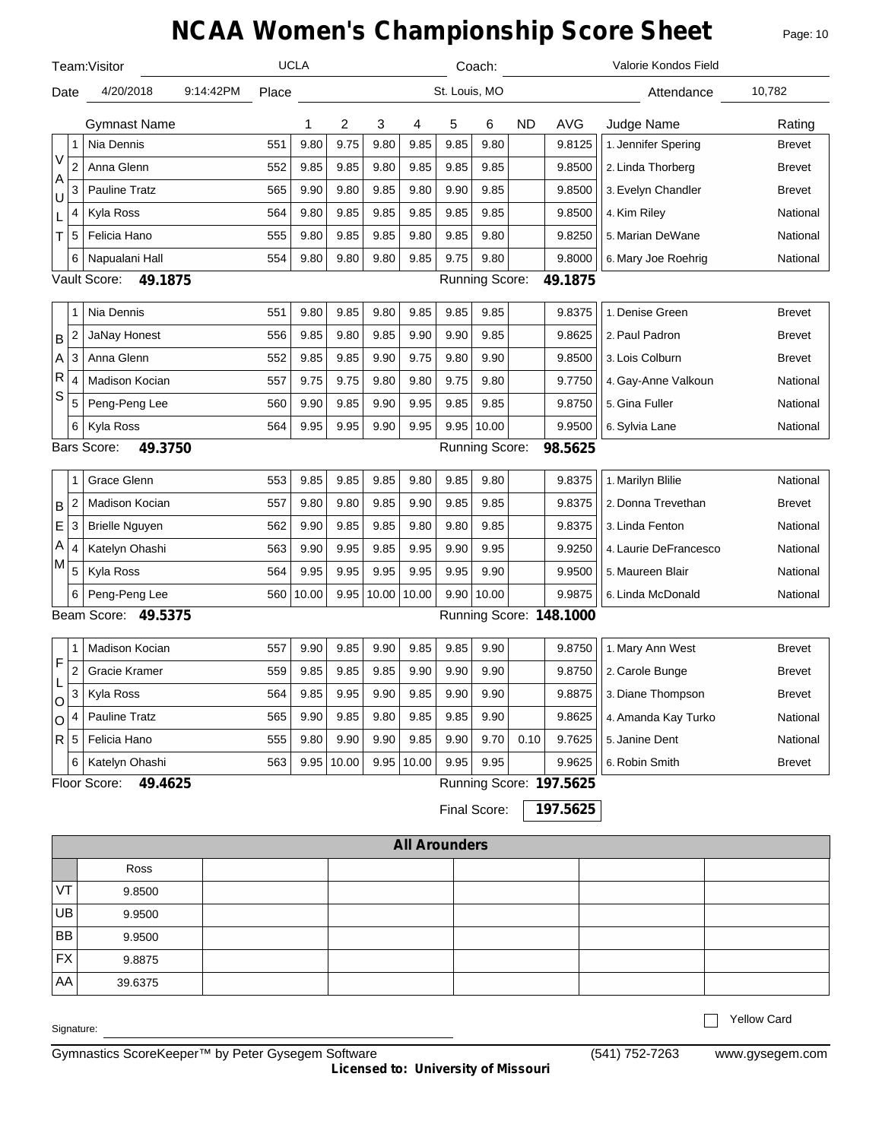Team: Visitor Coach: Coach: Coach: Coach: Coach: Coach: Coach: Coach: Coach: Coach: Coach: Coach: Co Date 4/20/2018 9:14:42PM Place St. Louis, MO St. Louis, MO Attendance 10,782 Gymnast Name  $\begin{array}{cccccccc}\n 1 & 2 & 3 & 4 & 5 & 6 & \text{ND} & \text{AVG} & \text{Judge Name}\n \end{array}$  Rating V A U L T 1. Jennifer Spering Brevet 2. Linda Thorberg Brevet 3. Evelyn Chandler Brevet 4. Kim Riley National 5. Marian DeWane National 6. Mary Joe Roehrig National Vault Score: 49.1875 **49.1875 19.1875 19.1875 19.1875** B A R S 1. Denise Green Brevet 2. Paul Padron Brevet 3. Lois Colburn Brevet 4. Gay-Anne Valkoun National 5. Gina Fuller National 6. Sylvia Lane National Bars Score: **49.3750 98.5625 98.5625** B E A M 1. Marilyn Blilie National 2. Donna Trevethan Brevet 3. Linda Fenton National 4. Laurie DeFrancesco National 5. Maureen Blair National 6. Linda McDonald National Beam Score: 49.5375 F L O O R 1. Mary Ann West **Brevet** 2. Carole Bunge Brevet 3. Diane Thompson Brevet 4. Amanda Kay Turko National 5. Janine Dent National 6. Robin Smith Brevet Floor Score: 49.4625 Final Score: **All Arounders** VT UB BB FX AA Signature: Valorie Kondos Field 1 Nia Dennis 551 9.80 9.75 9.80 9.85 9.85 9.80 9.8125 2 Anna Glenn 552 9.85 9.85 9.80 9.85 9.85 9.85 9.8500 3 Pauline Tratz 565 9.90 9.80 9.85 9.80 9.90 9.85 9.8500 4 Kyla Ross 564 9.80 9.85 9.85 9.85 9.85 9.85 9.8500 5 Felicia Hano 555 9.80 9.85 9.85 9.80 9.85 9.80 9.8250 6 Napualani Hall 554 9.80 9.80 9.80 9.85 9.75 9.80 9.8000 1 Nia Dennis 551 9.80 9.85 9.80 9.85 9.85 9.85 9.8375 2 JaNay Honest 556 9.85 9.80 9.85 9.90 9.90 9.85 9.8625 3 Anna Glenn 552 9.85 9.85 9.90 9.75 9.80 9.90 9.8500 4 Madison Kocian 557 9.75 9.75 9.80 9.80 9.75 9.80 9.7750 5 Peng-Peng Lee 560 9.90 9.85 9.90 9.95 9.85 9.85 9.8750 6 Kyla Ross 564 9.95 9.95 9.96 9.95 9.95 10.00 9.9500 1 Grace Glenn 553 | 9.85 | 9.85 | 9.85 | 9.80 | 9.80 | 9.8375 2 Madison Kocian 557 9.80 9.80 9.85 9.90 9.85 9.85 9.8375 3 Brielle Nguyen 562 9.90 9.85 9.85 9.80 9.80 9.85 9.8375 4 Katelyn Ohashi 563 9.90 9.95 9.85 9.95 9.90 9.95 9.9250 5 Kyla Ross 564 9.95 9.95 9.95 9.95 9.95 9.90 9.9500 6 Peng-Peng Lee 560 10.00 9.95 10.00 10.00 9.90 10.00 9.9875 **49.5375 148.1000** 1 Madison Kocian 557 9.90 9.85 9.90 9.85 9.85 9.90 9.8750 2 Gracie Kramer 559 9.85 9.85 9.85 9.90 9.90 9.90 9.8750 3 Kyla Ross 564 9.85 9.95 9.90 9.85 9.90 9.90 9.8875 4 Pauline Tratz 565 9.90 9.85 9.80 9.85 9.85 9.90 9.8625 5 Felicia Hano 555 9.80 9.90 9.90 9.85 9.90 9.70 0.10 9.7625 6 Katelyn Ohashi 563 9.95 10.00 9.95 10.00 9.95 9.95 9.9625 **49.4625 197.5625 197.5625** Ross 9.8500 9.9500 9.9500 9.8875 39.6375 **Nellow Card** 

Gymnastics ScoreKeeper™ by Peter Gysegem Software (541) 752-7263 www.gysegem.com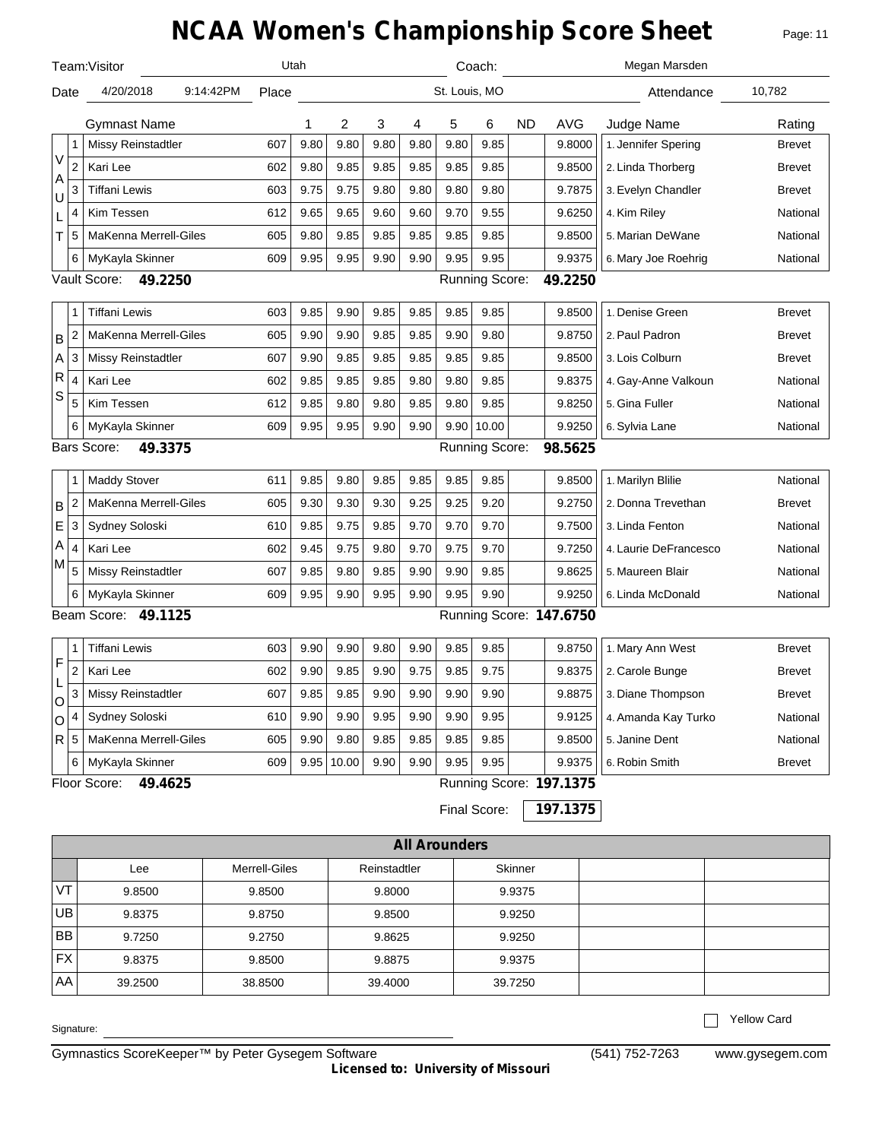Team: Visitor Coach: Utah Utah Coach: Date 4/20/2018 9:14:42PM Place St. Louis, MO St. Louis, MO Attendance 10,782 Gymnast Name  $\begin{array}{cccccccc}\n 1 & 2 & 3 & 4 & 5 & 6 & \text{ND} & \text{AVG} & \text{Judge Name}\n \end{array}$  Rating V A U L T 1. Jennifer Spering Brevet 2. Linda Thorberg Brevet 3. Evelyn Chandler Brevet 4. Kim Riley National 5. Marian DeWane National 6. Mary Joe Roehrig National Vault Score: **49.2250 19.2250 <b>19.2250 19.2250 19.2250 19.2250** B A R S 1. Denise Green Brevet 2. Paul Padron Brevet 3. Lois Colburn Brevet 4. Gay-Anne Valkoun National 5. Gina Fuller National 6. Sylvia Lane National Bars Score: **49.3375 98.5625 198.5625 198.5625 98.5625** B E A M 1. Marilyn Blilie National 2. Donna Trevethan Brevet 3. Linda Fenton National 4. Laurie DeFrancesco National 5. Maureen Blair National 6. Linda McDonald National Beam Score: 49.1125 F L O O R 1. Mary Ann West **Brevet** 2. Carole Bunge Brevet 3. Diane Thompson Brevet 4. Amanda Kay Turko National 5. Janine Dent National 6. Robin Smith Brevet Floor Score: 49.4625 Final Score: **All Arounders** VT UB BB FX AA Megan Marsden 1 Missy Reinstadtler 607 9.80 9.80 9.80 9.80 9.80 9.85 9.8000 2 Kari Lee 602 9.80 9.85 9.85 9.85 9.85 9.85 9.8500 3 Tiffani Lewis 603 9.75 9.75 9.80 9.80 9.80 9.80 9.7875 4 Kim Tessen 612 9.65 9.65 9.60 9.60 9.70 9.55 9.6250 5 MaKenna Merrell-Giles 605 9.80 9.85 9.85 9.85 9.85 9.85 9.8500 6 MyKayla Skinner 609 9.95 9.95 9.90 9.90 9.95 9.95 9.9375 1 Tiffani Lewis 603 9.85 9.90 9.85 9.85 9.85 9.85 9.8500 2 MaKenna Merrell-Giles 605 9.90 9.90 9.85 9.85 9.90 9.80 9.8750 3 Missy Reinstadtler 607 9.90 9.85 9.85 9.85 9.85 9.85 9.8500 4 Kari Lee 602 9.85 9.85 9.85 9.80 9.80 9.85 9.8375 5 Kim Tessen 612 9.85 9.80 9.80 9.85 9.80 9.85 9.8250 6 MyKayla Skinner 609 9.95 9.95 9.90 9.90 9.90 10.00 9.9250 1 Maddy Stover 611 9.85 9.80 9.85 9.85 9.85 9.85 9.8500 2 | MaKenna Merrell-Giles 605 | 9.30 | 9.30 | 9.30 | 9.25 | 9.20 | 9.2750 3 Sydney Soloski 610 9.85 9.75 9.85 9.70 9.70 9.70 9.7500 4 Kari Lee 602 9.45 9.75 9.80 9.70 9.75 9.70 9.7250 5 Missy Reinstadtler 607 9.85 9.80 9.85 9.90 9.90 9.85 9.8625 6 MyKayla Skinner 609 9.95 9.90 9.95 9.90 9.95 9.90 9.9250 **49.1125 147.6750** 1 Tiffani Lewis 603 9.90 9.90 9.80 9.90 9.85 9.85 9.8750 2 Kari Lee 602 9.90 9.85 9.90 9.75 9.85 9.75 9.8375 3 Missy Reinstadtler 607 9.85 9.85 9.90 9.90 9.90 9.90 9.90 9.8875 4 Sydney Soloski 610 9.90 9.90 9.95 9.90 9.90 9.95 9.9125 5 MaKenna Merrell-Giles 605 9.90 9.80 9.85 9.85 9.85 9.85 9.8500 6 MyKayla Skinner 609 9.95 10.00 9.90 9.90 9.95 9.95 9.9375 **49.4625 197.1375 197.1375** Lee | Merrell-Giles | Reinstadtler | Skinner 9.8500 9.8500 9.8000 9.9375 9.8375 9.8750 9.8500 9.9250 9.7250 9.2750 9.8625 9.9250 9.8375 9.8500 9.8875 9.9375 39.2500 38.8500 39.4000 39.7250

Signature:

Gymnastics ScoreKeeper™ by Peter Gysegem Software (541) 752-7263 www.gysegem.com

**Licensed to: University of Missouri**

**Nellow Card**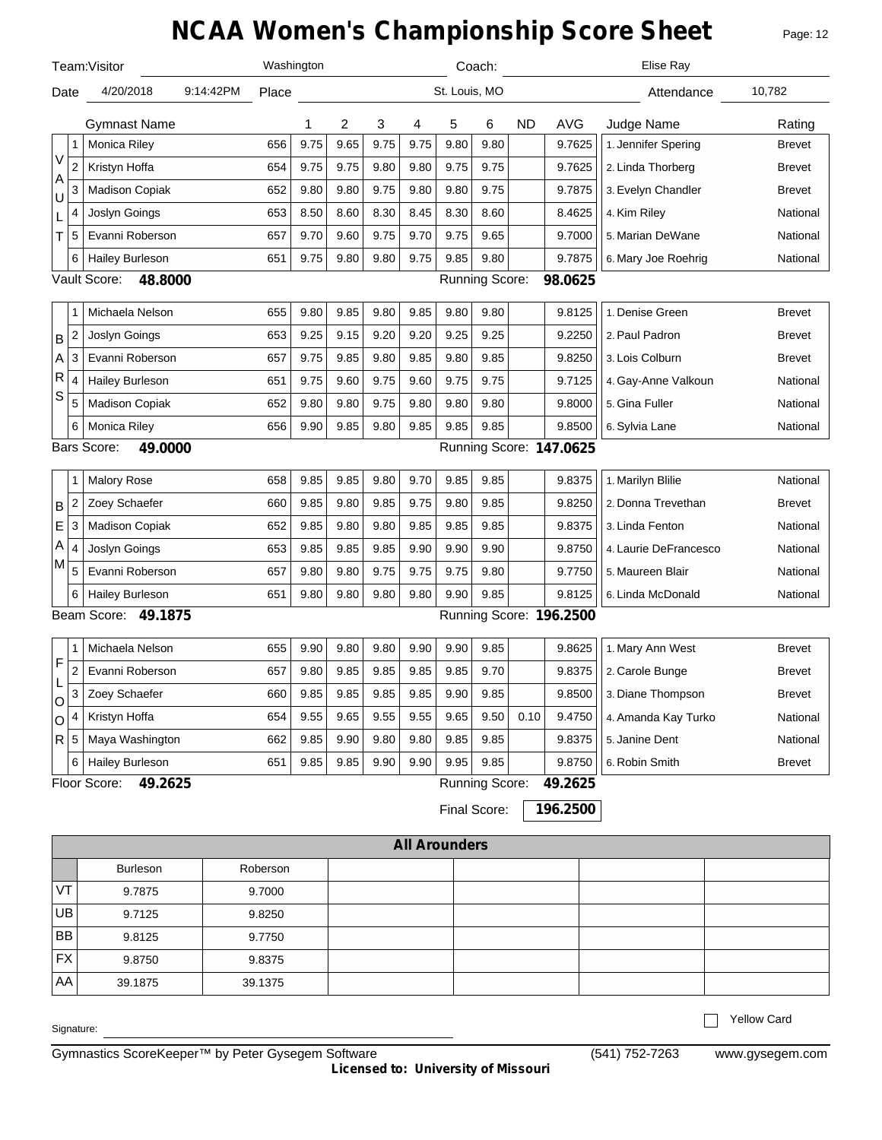|             |                         | Team:Visitor                  |          | Washington |      |      |      |                      | Coach:         |           |                         | Elise Ray             |                    |
|-------------|-------------------------|-------------------------------|----------|------------|------|------|------|----------------------|----------------|-----------|-------------------------|-----------------------|--------------------|
| Date        |                         | 9:14:42PM<br>4/20/2018        | Place    |            |      |      |      | St. Louis, MO        |                |           |                         | Attendance            | 10,782             |
|             |                         | <b>Gymnast Name</b>           |          | 1          | 2    | 3    | 4    | 5                    | 6              | <b>ND</b> | <b>AVG</b>              | Judge Name            | Rating             |
|             | 1                       | Monica Riley                  | 656      | 9.75       | 9.65 | 9.75 | 9.75 | 9.80                 | 9.80           |           | 9.7625                  | 1. Jennifer Spering   | <b>Brevet</b>      |
| ٧           | $\overline{c}$          | Kristyn Hoffa                 | 654      | 9.75       | 9.75 | 9.80 | 9.80 | 9.75                 | 9.75           |           | 9.7625                  | 2. Linda Thorberg     | <b>Brevet</b>      |
| Α<br>U      | 3                       | <b>Madison Copiak</b>         | 652      | 9.80       | 9.80 | 9.75 | 9.80 | 9.80                 | 9.75           |           | 9.7875                  | 3. Evelyn Chandler    | <b>Brevet</b>      |
|             | 4                       | Joslyn Goings                 | 653      | 8.50       | 8.60 | 8.30 | 8.45 | 8.30                 | 8.60           |           | 8.4625                  | 4. Kim Riley          | National           |
| Т           | 5                       | Evanni Roberson               | 657      | 9.70       | 9.60 | 9.75 | 9.70 | 9.75                 | 9.65           |           | 9.7000                  | 5. Marian DeWane      | National           |
|             | 6                       | <b>Hailey Burleson</b>        | 651      | 9.75       | 9.80 | 9.80 | 9.75 | 9.85                 | 9.80           |           | 9.7875                  | 6. Mary Joe Roehrig   | National           |
|             |                         | Vault Score:<br>48.8000       |          |            |      |      |      |                      | Running Score: |           | 98.0625                 |                       |                    |
|             | 1                       | Michaela Nelson               | 655      | 9.80       | 9.85 | 9.80 | 9.85 | 9.80                 | 9.80           |           | 9.8125                  | 1. Denise Green       | <b>Brevet</b>      |
| В           | $\overline{\mathbf{c}}$ | Joslyn Goings                 | 653      | 9.25       | 9.15 | 9.20 | 9.20 | 9.25                 | 9.25           |           | 9.2250                  | 2. Paul Padron        | <b>Brevet</b>      |
| Α           | 3                       | Evanni Roberson               | 657      | 9.75       | 9.85 | 9.80 | 9.85 | 9.80                 | 9.85           |           | 9.8250                  | 3. Lois Colburn       | <b>Brevet</b>      |
| R           | 4                       | <b>Hailey Burleson</b>        | 651      | 9.75       | 9.60 | 9.75 | 9.60 | 9.75                 | 9.75           |           | 9.7125                  | 4. Gay-Anne Valkoun   | National           |
| S           | 5                       | <b>Madison Copiak</b>         | 652      | 9.80       | 9.80 | 9.75 | 9.80 | 9.80                 | 9.80           |           | 9.8000                  | 5. Gina Fuller        | National           |
|             | 6                       | Monica Riley                  | 656      | 9.90       | 9.85 | 9.80 | 9.85 | 9.85                 | 9.85           |           | 9.8500                  | 6. Sylvia Lane        | National           |
|             |                         | <b>Bars Score:</b><br>49.0000 |          |            |      |      |      |                      |                |           | Running Score: 147.0625 |                       |                    |
|             | 1                       | <b>Malory Rose</b>            | 658      | 9.85       | 9.85 | 9.80 | 9.70 | 9.85                 | 9.85           |           | 9.8375                  | 1. Marilyn Blilie     | National           |
| В           | 2                       | Zoey Schaefer                 | 660      | 9.85       | 9.80 | 9.85 | 9.75 | 9.80                 | 9.85           |           | 9.8250                  | 2. Donna Trevethan    | Brevet             |
| Е           | 3                       | <b>Madison Copiak</b>         | 652      | 9.85       | 9.80 | 9.80 | 9.85 | 9.85                 | 9.85           |           | 9.8375                  | 3. Linda Fenton       | National           |
| Α           | 4                       | Joslyn Goings                 | 653      | 9.85       | 9.85 | 9.85 | 9.90 | 9.90                 | 9.90           |           | 9.8750                  | 4. Laurie DeFrancesco | National           |
| M           | 5                       | Evanni Roberson               | 657      | 9.80       | 9.80 | 9.75 | 9.75 | 9.75                 | 9.80           |           | 9.7750                  | 5. Maureen Blair      | National           |
|             | 6                       | <b>Hailey Burleson</b>        | 651      | 9.80       | 9.80 | 9.80 | 9.80 | 9.90                 | 9.85           |           | 9.8125                  | 6. Linda McDonald     | National           |
|             |                         | Beam Score: 49.1875           |          |            |      |      |      |                      |                |           | Running Score: 196.2500 |                       |                    |
|             | 1                       | Michaela Nelson               | 655      | 9.90       | 9.80 | 9.80 | 9.90 | 9.90                 | 9.85           |           | 9.8625                  | 1. Mary Ann West      | <b>Brevet</b>      |
| F           | 2                       | Evanni Roberson               | 657      | 9.80       | 9.85 | 9.85 | 9.85 | 9.85                 | 9.70           |           | 9.8375                  | 2. Carole Bunge       | <b>Brevet</b>      |
| ∩           | 3                       | Zoey Schaefer                 | 660      | 9.85       | 9.85 | 9.85 | 9.85 | 9.90                 | 9.85           |           | 9.8500                  | 3. Diane Thompson     | <b>Brevet</b>      |
| O           | 4                       | Kristyn Hoffa                 | 654      | 9.55       | 9.65 | 9.55 | 9.55 | 9.65                 | 9.50           | 0.10      | 9.4750                  | 4. Amanda Kay Turko   | National           |
| $R \vert 5$ |                         | Maya Washington               | 662      | 9.85       | 9.90 | 9.80 | 9.80 | 9.85                 | 9.85           |           | 9.8375                  | 5. Janine Dent        | National           |
|             | 6                       | <b>Hailey Burleson</b>        | 651      | 9.85       | 9.85 | 9.90 | 9.90 | 9.95                 | 9.85           |           | 9.8750                  | 6. Robin Smith        | <b>Brevet</b>      |
|             |                         | Floor Score:<br>49.2625       |          |            |      |      |      |                      | Running Score: |           | 49.2625                 |                       |                    |
|             |                         |                               |          |            |      |      |      |                      | Final Score:   |           | 196.2500                |                       |                    |
|             |                         |                               |          |            |      |      |      | <b>All Arounders</b> |                |           |                         |                       |                    |
|             |                         | Burleson                      | Roberson |            |      |      |      |                      |                |           |                         |                       |                    |
| VT          |                         | 9.7875                        | 9.7000   |            |      |      |      |                      |                |           |                         |                       |                    |
| UB          |                         | 9.7125                        | 9.8250   |            |      |      |      |                      |                |           |                         |                       |                    |
| BB          |                         | 9.8125                        | 9.7750   |            |      |      |      |                      |                |           |                         |                       |                    |
| <b>FX</b>   |                         | 9.8750                        | 9.8375   |            |      |      |      |                      |                |           |                         |                       |                    |
| AA          |                         | 39.1875                       | 39.1375  |            |      |      |      |                      |                |           |                         |                       |                    |
|             |                         |                               |          |            |      |      |      |                      |                |           |                         |                       |                    |
| Signature:  |                         |                               |          |            |      |      |      |                      |                |           |                         |                       | <b>Yellow Card</b> |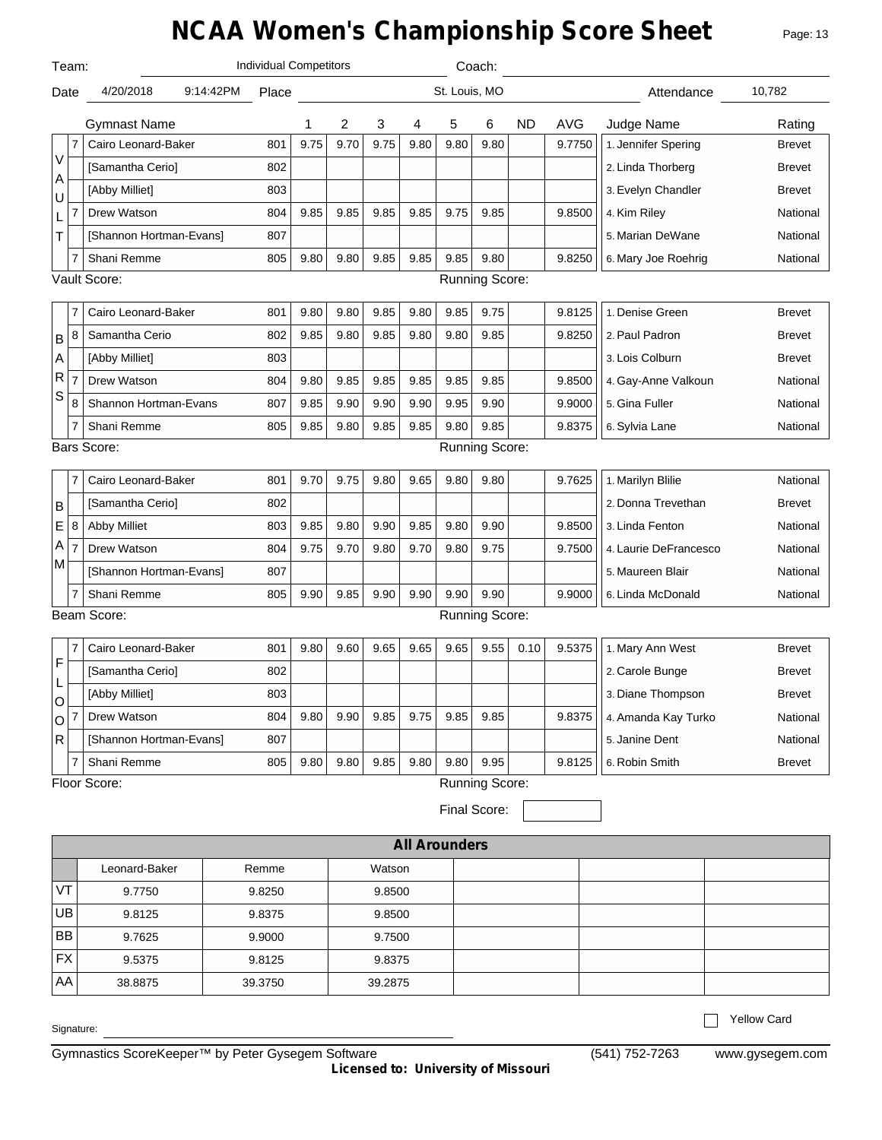|             | Team:                    |                         |           |        | <b>Individual Competitors</b> |      |         |                      |               | Coach:                |           |            |                       |               |
|-------------|--------------------------|-------------------------|-----------|--------|-------------------------------|------|---------|----------------------|---------------|-----------------------|-----------|------------|-----------------------|---------------|
|             | Date                     | 4/20/2018               | 9:14:42PM | Place  |                               |      |         |                      | St. Louis, MO |                       |           |            | Attendance            | 10,782        |
|             |                          | <b>Gymnast Name</b>     |           |        | 1                             | 2    | 3       | 4                    | 5             | 6                     | <b>ND</b> | <b>AVG</b> | Judge Name            | Rating        |
|             | 7                        | Cairo Leonard-Baker     |           | 801    | 9.75                          | 9.70 | 9.75    | 9.80                 | 9.80          | 9.80                  |           | 9.7750     | 1. Jennifer Spering   | <b>Brevet</b> |
| V           |                          | [Samantha Cerio]        |           | 802    |                               |      |         |                      |               |                       |           |            | 2. Linda Thorberg     | <b>Brevet</b> |
| Α<br>U      |                          | [Abby Milliet]          |           | 803    |                               |      |         |                      |               |                       |           |            | 3. Evelyn Chandler    | <b>Brevet</b> |
| L           | $\overline{7}$           | Drew Watson             |           | 804    | 9.85                          | 9.85 | 9.85    | 9.85                 | 9.75          | 9.85                  |           | 9.8500     | 4. Kim Riley          | National      |
| Т           |                          | [Shannon Hortman-Evans] |           | 807    |                               |      |         |                      |               |                       |           |            | 5. Marian DeWane      | National      |
|             | $\overline{7}$           | Shani Remme             |           | 805    | 9.80                          | 9.80 | 9.85    | 9.85                 | 9.85          | 9.80                  |           | 9.8250     | 6. Mary Joe Roehrig   | National      |
|             |                          | Vault Score:            |           |        |                               |      |         |                      |               | <b>Running Score:</b> |           |            |                       |               |
|             | 7                        | Cairo Leonard-Baker     |           | 801    | 9.80                          | 9.80 | 9.85    | 9.80                 | 9.85          | 9.75                  |           | 9.8125     | 1. Denise Green       | <b>Brevet</b> |
| B           | 8                        | Samantha Cerio          |           | 802    | 9.85                          | 9.80 | 9.85    | 9.80                 | 9.80          | 9.85                  |           | 9.8250     | 2. Paul Padron        | <b>Brevet</b> |
| Α           |                          | [Abby Milliet]          |           | 803    |                               |      |         |                      |               |                       |           |            | 3. Lois Colburn       | <b>Brevet</b> |
| R           | $\overline{7}$           | Drew Watson             |           | 804    | 9.80                          | 9.85 | 9.85    | 9.85                 | 9.85          | 9.85                  |           | 9.8500     | 4. Gay-Anne Valkoun   | National      |
| S           | 8                        | Shannon Hortman-Evans   |           | 807    | 9.85                          | 9.90 | 9.90    | 9.90                 | 9.95          | 9.90                  |           | 9.9000     | 5. Gina Fuller        | National      |
|             | $\overline{7}$           | Shani Remme             |           | 805    | 9.85                          | 9.80 | 9.85    | 9.85                 | 9.80          | 9.85                  |           | 9.8375     | 6. Sylvia Lane        | National      |
|             |                          | <b>Bars Score:</b>      |           |        |                               |      |         |                      |               | <b>Running Score:</b> |           |            |                       |               |
|             | 7                        | Cairo Leonard-Baker     |           | 801    | 9.70                          | 9.75 | 9.80    | 9.65                 | 9.80          | 9.80                  |           | 9.7625     | 1. Marilyn Blilie     | National      |
| B           |                          | [Samantha Cerio]        |           | 802    |                               |      |         |                      |               |                       |           |            | 2. Donna Trevethan    | <b>Brevet</b> |
| E           | 8                        | <b>Abby Milliet</b>     |           | 803    | 9.85                          | 9.80 | 9.90    | 9.85                 | 9.80          | 9.90                  |           | 9.8500     | 3. Linda Fenton       | National      |
| Α           | $\overline{7}$           | Drew Watson             |           | 804    | 9.75                          | 9.70 | 9.80    | 9.70                 | 9.80          | 9.75                  |           | 9.7500     | 4. Laurie DeFrancesco | National      |
| м           |                          | [Shannon Hortman-Evans] |           | 807    |                               |      |         |                      |               |                       |           |            | 5. Maureen Blair      | National      |
|             | 7                        | Shani Remme             |           | 805    | 9.90                          | 9.85 | 9.90    | 9.90                 | 9.90          | 9.90                  |           | 9.9000     | 6. Linda McDonald     | National      |
|             |                          | Beam Score:             |           |        |                               |      |         |                      |               | <b>Running Score:</b> |           |            |                       |               |
|             | 7                        | Cairo Leonard-Baker     |           | 801    | 9.80                          | 9.60 | 9.65    | 9.65                 | 9.65          | 9.55                  | 0.10      | 9.5375     | 1. Mary Ann West      | <b>Brevet</b> |
| F           |                          | [Samantha Cerio]        |           | 802    |                               |      |         |                      |               |                       |           |            | 2. Carole Bunge       | <b>Brevet</b> |
| O           |                          | [Abby Milliet]          |           | 803    |                               |      |         |                      |               |                       |           |            | 3. Diane Thompson     | <b>Brevet</b> |
| $\mathsf O$ | 7                        | Drew Watson             |           | 804    | 9.80                          | 9.90 | 9.85    | 9.75                 | 9.85          | 9.85                  |           | 9.8375     | 4. Amanda Kay Turko   | National      |
| ${\sf R}$   |                          | [Shannon Hortman-Evans] |           | 807    |                               |      |         |                      |               |                       |           |            | 5. Janine Dent        | National      |
|             | 7                        | Shani Remme             |           | 805    | 9.80                          | 9.80 | 9.85    | 9.80                 | 9.80          | 9.95                  |           | 9.8125     | 6. Robin Smith        | <b>Brevet</b> |
|             |                          | Floor Score:            |           |        |                               |      |         |                      |               | <b>Running Score:</b> |           |            |                       |               |
|             |                          |                         |           |        |                               |      |         |                      |               | Final Score:          |           |            |                       |               |
|             |                          |                         |           |        |                               |      |         | <b>All Arounders</b> |               |                       |           |            |                       |               |
|             |                          | Leonard-Baker           |           | Remme  |                               |      | Watson  |                      |               |                       |           |            |                       |               |
| VT          |                          | 9.7750                  |           | 9.8250 |                               |      | 9.8500  |                      |               |                       |           |            |                       |               |
| UB          |                          | 9.8125                  |           | 9.8375 |                               |      | 9.8500  |                      |               |                       |           |            |                       |               |
| BB          |                          | 9.7625                  |           | 9.9000 |                               |      | 9.7500  |                      |               |                       |           |            |                       |               |
| <b>FX</b>   |                          | 9.5375                  |           | 9.8125 |                               |      | 9.8375  |                      |               |                       |           |            |                       |               |
|             | AA<br>38.8875<br>39.3750 |                         |           |        |                               |      | 39.2875 |                      |               |                       |           |            |                       |               |
|             |                          |                         |           |        |                               |      |         |                      |               |                       |           |            |                       | Yellow Card   |
|             |                          | Signature:              |           |        |                               |      |         |                      |               |                       |           |            |                       |               |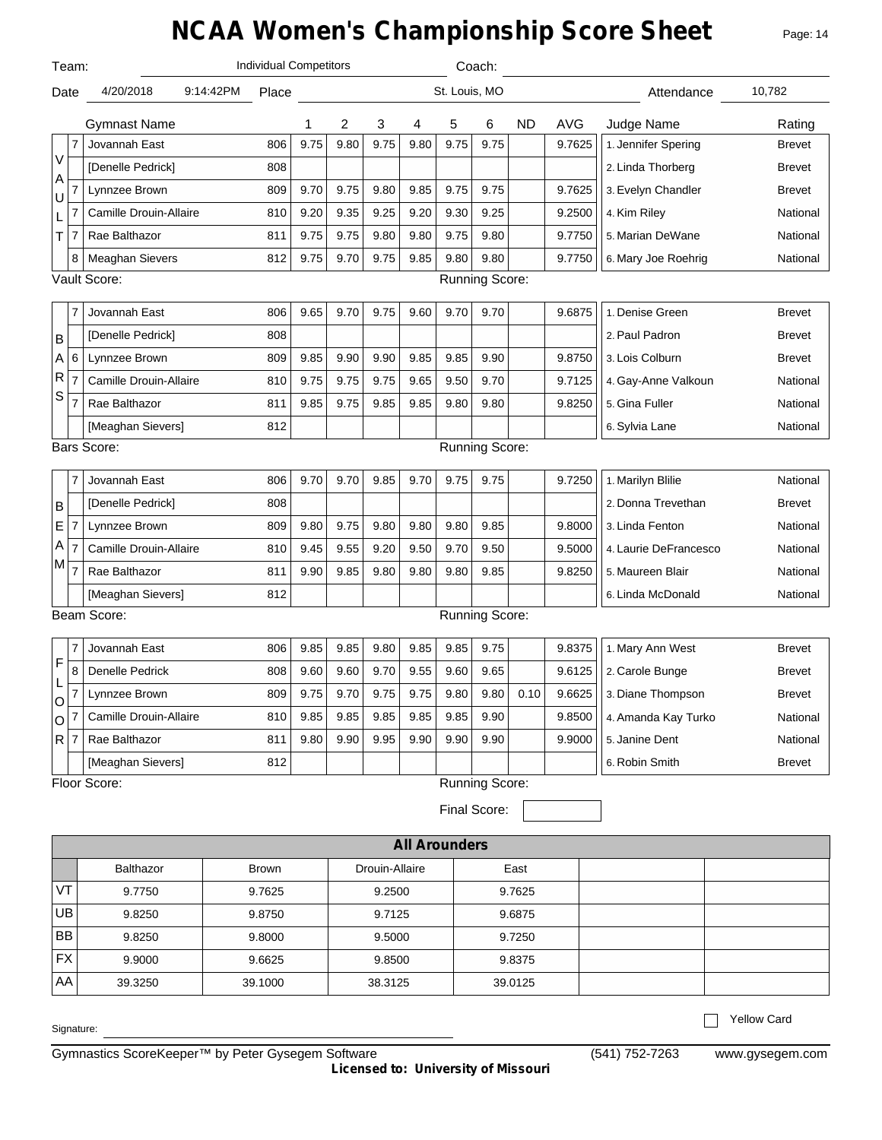| Team:                                               |                                       | <b>Individual Competitors</b><br>Coach: |                    |        |      |         |                      |                |                |            |            |                       |               |
|-----------------------------------------------------|---------------------------------------|-----------------------------------------|--------------------|--------|------|---------|----------------------|----------------|----------------|------------|------------|-----------------------|---------------|
| Date                                                |                                       | 4/20/2018                               | 9:14:42PM<br>Place |        |      |         |                      | St. Louis, MO  |                | Attendance | 10,782     |                       |               |
|                                                     |                                       | <b>Gymnast Name</b>                     |                    | 1      | 2    | 3       | 4                    | 5              | 6              | <b>ND</b>  | <b>AVG</b> | Judge Name            | Rating        |
|                                                     | 7                                     | Jovannah East                           | 806                | 9.75   | 9.80 | 9.75    | 9.80                 | 9.75           | 9.75           |            | 9.7625     | 1. Jennifer Spering   | <b>Brevet</b> |
| V                                                   | 7                                     | [Denelle Pedrick]                       | 808                |        |      |         |                      |                |                |            |            | 2. Linda Thorberg     | <b>Brevet</b> |
| Α<br>U                                              |                                       | Lynnzee Brown                           | 809                | 9.70   | 9.75 | 9.80    | 9.85                 | 9.75           | 9.75           |            | 9.7625     | 3. Evelyn Chandler    | <b>Brevet</b> |
| L                                                   | 7                                     | Camille Drouin-Allaire                  | 810                | 9.20   | 9.35 | 9.25    | 9.20                 | 9.30           | 9.25           |            | 9.2500     | 4. Kim Riley          | National      |
| T                                                   | 7                                     | Rae Balthazor                           | 811                | 9.75   | 9.75 | 9.80    | 9.80                 | 9.75           | 9.80           |            | 9.7750     | 5. Marian DeWane      | National      |
|                                                     | 8                                     | <b>Meaghan Sievers</b>                  | 812                | 9.75   | 9.70 | 9.75    | 9.85                 | 9.80           | 9.80           |            | 9.7750     | 6. Mary Joe Roehrig   | National      |
|                                                     |                                       | Running Score:<br>Vault Score:          |                    |        |      |         |                      |                |                |            |            |                       |               |
|                                                     | 7                                     | Jovannah East                           | 806                | 9.65   | 9.70 | 9.75    | 9.60                 | 9.70           | 9.70           |            | 9.6875     | 1. Denise Green       | <b>Brevet</b> |
| B<br>Α                                              | 6                                     | [Denelle Pedrick]                       | 808                |        |      |         |                      |                |                |            |            | 2. Paul Padron        | <b>Brevet</b> |
|                                                     |                                       | Lynnzee Brown                           | 809                | 9.85   | 9.90 | 9.90    | 9.85                 | 9.85           | 9.90           |            | 9.8750     | 3. Lois Colburn       | <b>Brevet</b> |
| R                                                   | $\overline{7}$                        | Camille Drouin-Allaire                  | 810                | 9.75   | 9.75 | 9.75    | 9.65                 | 9.50           | 9.70           |            | 9.7125     | 4. Gay-Anne Valkoun   | National      |
| S                                                   | $\overline{7}$                        | Rae Balthazor                           | 811                | 9.85   | 9.75 | 9.85    | 9.85                 | 9.80           | 9.80           |            | 9.8250     | 5. Gina Fuller        | National      |
|                                                     |                                       | [Meaghan Sievers]                       | 812                |        |      |         |                      |                |                |            |            | 6. Sylvia Lane        | National      |
|                                                     |                                       | <b>Bars Score:</b>                      |                    |        |      |         |                      | Running Score: |                |            |            |                       |               |
|                                                     | 7                                     | Jovannah East                           | 806                | 9.70   | 9.70 | 9.85    | 9.70                 | 9.75           | 9.75           |            | 9.7250     | 1. Marilyn Blilie     | National      |
| B                                                   | 7<br>$\overline{7}$<br>$\overline{7}$ | [Denelle Pedrick]                       | 808                |        |      |         |                      |                |                |            |            | 2. Donna Trevethan    | <b>Brevet</b> |
| E                                                   |                                       | Lynnzee Brown                           | 809                | 9.80   | 9.75 | 9.80    | 9.80                 | 9.80           | 9.85           |            | 9.8000     | 3. Linda Fenton       | National      |
| Α                                                   |                                       | Camille Drouin-Allaire                  | 810                | 9.45   | 9.55 | 9.20    | 9.50                 | 9.70           | 9.50           |            | 9.5000     | 4. Laurie DeFrancesco | National      |
| M                                                   |                                       | Rae Balthazor                           | 811                | 9.90   | 9.85 | 9.80    | 9.80                 | 9.80           | 9.85           |            | 9.8250     | 5. Maureen Blair      | National      |
|                                                     |                                       | [Meaghan Sievers]                       | 812                |        |      |         |                      |                |                |            |            | 6. Linda McDonald     | National      |
|                                                     |                                       | Beam Score:                             |                    |        |      |         |                      | Running Score: |                |            |            |                       |               |
|                                                     | 7                                     | Jovannah East                           | 806                | 9.85   | 9.85 | 9.80    | 9.85                 | 9.85           | 9.75           |            | 9.8375     | 1. Mary Ann West      | <b>Brevet</b> |
| F                                                   | 8<br>7<br>7                           | Denelle Pedrick                         | 808                | 9.60   | 9.60 | 9.70    | 9.55                 | 9.60           | 9.65           |            | 9.6125     | 2. Carole Bunge       | <b>Brevet</b> |
| ∩                                                   |                                       | Lynnzee Brown                           | 809                | 9.75   | 9.70 | 9.75    | 9.75                 | 9.80           | 9.80           | 0.10       | 9.6625     | 3. Diane Thompson     | <b>Brevet</b> |
| O                                                   |                                       | Camille Drouin-Allaire                  | 810                | 9.85   | 9.85 | 9.85    | 9.85                 | 9.85           | 9.90           |            | 9.8500     | 4. Amanda Kay Turko   | National      |
| R                                                   | 7                                     | Rae Balthazor                           | 811                | 9.80   | 9.90 | 9.95    | 9.90                 | 9.90           | 9.90           |            | 9.9000     | 5. Janine Dent        | National      |
|                                                     |                                       | [Meaghan Sievers]                       | 812                |        |      |         |                      |                |                |            |            | 6. Robin Smith        | <b>Brevet</b> |
|                                                     |                                       | Floor Score:                            |                    |        |      |         |                      |                | Running Score: |            |            |                       |               |
|                                                     |                                       |                                         |                    |        |      |         |                      |                | Final Score:   |            |            |                       |               |
|                                                     |                                       |                                         |                    |        |      |         | <b>All Arounders</b> |                |                |            |            |                       |               |
| Drouin-Allaire<br>Balthazor<br>East<br><b>Brown</b> |                                       |                                         |                    |        |      |         |                      |                |                |            |            |                       |               |
| VT                                                  |                                       | 9.7750                                  | 9.7625             |        |      | 9.2500  |                      |                | 9.7625         |            |            |                       |               |
| UB                                                  |                                       | 9.8250                                  |                    | 9.8750 |      | 9.7125  |                      |                | 9.6875         |            |            |                       |               |
| BB                                                  |                                       | 9.8250                                  | 9.8000             |        |      | 9.5000  |                      |                | 9.7250         |            |            |                       |               |
| <b>FX</b>                                           |                                       | 9.9000<br>9.6625                        |                    |        |      | 9.8500  |                      |                | 9.8375         |            |            |                       |               |
| AA                                                  |                                       | 39.3250                                 | 39.1000            |        |      | 38.3125 |                      |                | 39.0125        |            |            |                       |               |
|                                                     |                                       |                                         |                    |        |      |         |                      |                |                |            |            |                       |               |
| Yellow Card<br>Signature:                           |                                       |                                         |                    |        |      |         |                      |                |                |            |            |                       |               |

Gymnastics ScoreKeeper™ by Peter Gysegem Software (541) 752-7263 www.gysegem.com

**Licensed to: University of Missouri**